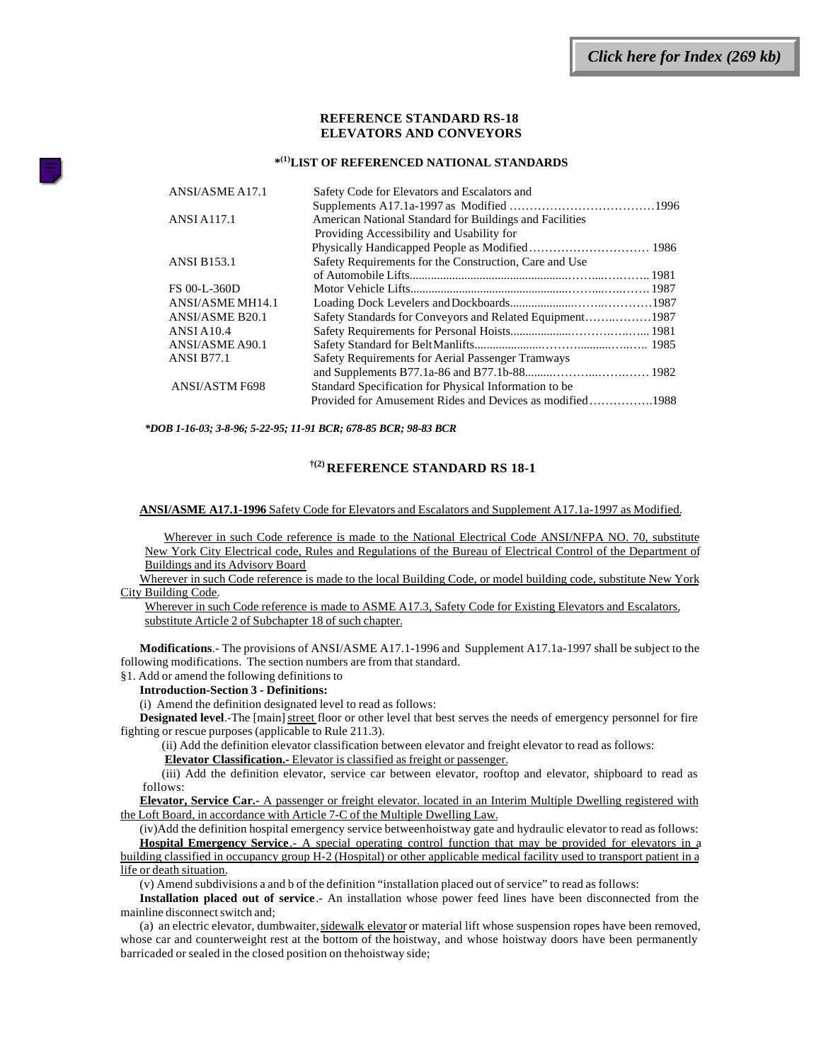# **REFERENCE STANDARD RS-18 ELEVATORS AND CONVEYORS**

## **\* (1)LIST OF REFERENCED NATIONAL STANDARDS**

| ANSI/ASME A17.1       | Safety Code for Elevators and Escalators and            |  |
|-----------------------|---------------------------------------------------------|--|
|                       |                                                         |  |
| <b>ANSI A117.1</b>    | American National Standard for Buildings and Facilities |  |
|                       | Providing Accessibility and Usability for               |  |
|                       |                                                         |  |
| <b>ANSI B153.1</b>    | Safety Requirements for the Construction, Care and Use  |  |
|                       |                                                         |  |
| FS 00-L-360D          |                                                         |  |
| ANSI/ASME MH14.1      |                                                         |  |
| ANSI/ASME B20.1       |                                                         |  |
| <b>ANSI A10.4</b>     |                                                         |  |
| ANSI/ASME A90.1       |                                                         |  |
| <b>ANSI B77.1</b>     | Safety Requirements for Aerial Passenger Tramways       |  |
|                       |                                                         |  |
| <b>ANSI/ASTM F698</b> | Standard Specification for Physical Information to be   |  |
|                       |                                                         |  |
|                       |                                                         |  |

*\*DOB 1-16-03; 3-8-96; 5-22-95; 11-91 BCR; 678-85 BCR; 98-83 BCR*

# **†(2) REFERENCE STANDARD RS 18-1**

#### **ANSI/ASME A17.1-1996** Safety Code for Elevators and Escalators and Supplement A17.1a-1997 as Modified.

Wherever in such Code reference is made to the National Electrical Code ANSI/NFPA NO. 70, substitute New York City Electrical code, Rules and Regulations of the Bureau of Electrical Control of the Department of Buildings and its Advisory Board

Wherever in such Code reference is made to the local Building Code, or model building code, substitute New York City Building Code.

Wherever in such Code reference is made to ASME A17.3, Safety Code for Existing Elevators and Escalators, substitute Article 2 of Subchapter 18 of such chapter.

**Modifications**.- The provisions of ANSI/ASME A17.1-1996 and Supplement A17.1a-1997 shall be subject to the following modifications. The section numbers are from that standard.

§1. Add or amend the following definitions to

#### **Introduction-Section 3 - Definitions:**

(i) Amend the definition designated level to read as follows:

**Designated level**.-The [main] street floor or other level that best serves the needs of emergency personnel for fire fighting or rescue purposes (applicable to Rule 211.3).

(ii) Add the definition elevator classification between elevator and freight elevator to read as follows:

**Elevator Classification.-** Elevator is classified as freight or passenger.

(iii) Add the definition elevator, service car between elevator, rooftop and elevator, shipboard to read as follows:

**Elevator, Service Car.-** A passenger or freight elevator. located in an Interim Multiple Dwelling registered with the Loft Board, in accordance with Article 7-C of the Multiple Dwelling Law.

(iv)Add the definition hospital emergency service between hoistway gate and hydraulic elevator to read as follows: **Hospital Emergency Service**.- A special operating control function that may be provided for elevators in a building classified in occupancy group H-2 (Hospital) or other applicable medical facility used to transport patient in a life or death situation.

(v) Amend subdivisions a and b of the definition "installation placed out of service" to read as follows:

**Installation placed out of service**.- An installation whose power feed lines have been disconnected from the mainline disconnect switch and;

(a) an electric elevator, dumbwaiter, sidewalk elevator or material lift whose suspension ropes have been removed, whose car and counterweight rest at the bottom of the hoistway, and whose hoistway doors have been permanently barricaded or sealed in the closed position on the hoistway side;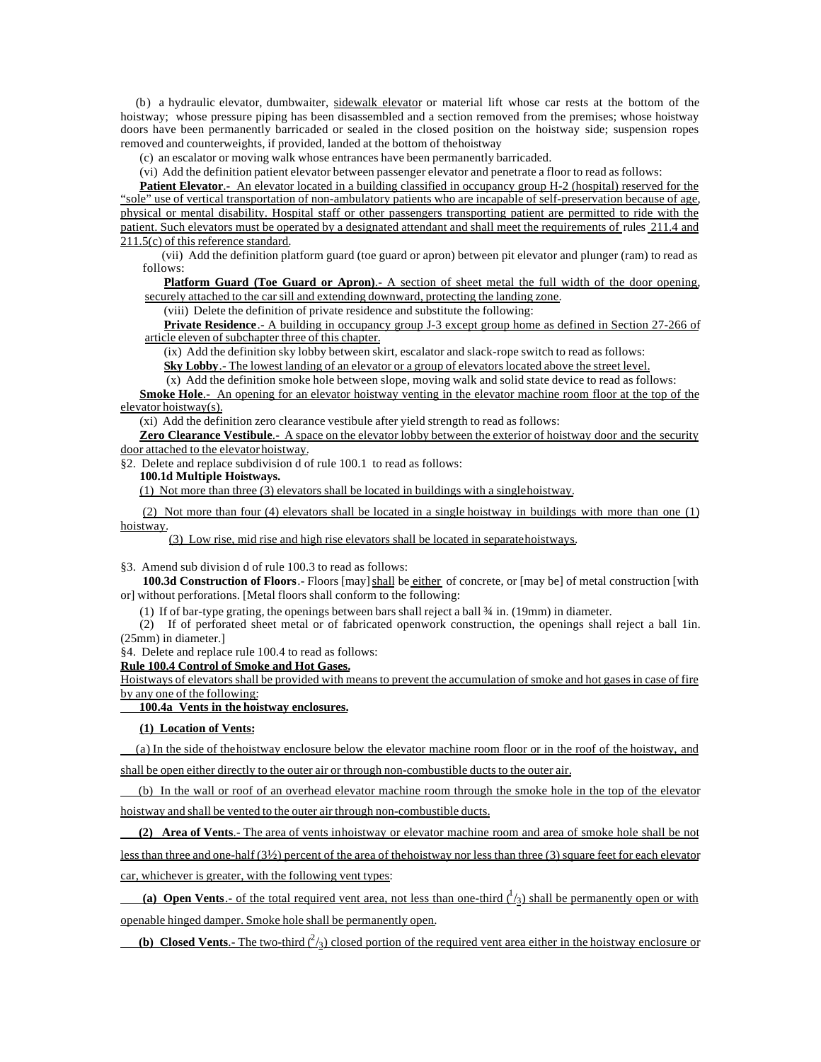(b) a hydraulic elevator, dumbwaiter, sidewalk elevator or material lift whose car rests at the bottom of the hoistway; whose pressure piping has been disassembled and a section removed from the premises; whose hoistway doors have been permanently barricaded or sealed in the closed position on the hoistway side; suspension ropes removed and counterweights, if provided, landed at the bottom of the hoistway

(c) an escalator or moving walk whose entrances have been permanently barricaded.

(vi) Add the definition patient elevator between passenger elevator and penetrate a floor to read as follows:

**Patient Elevator**.- An elevator located in a building classified in occupancy group H-2 (hospital) reserved for the "sole" use of vertical transportation of non-ambulatory patients who are incapable of self-preservation because of age, physical or mental disability. Hospital staff or other passengers transporting patient are permitted to ride with the patient. Such elevators must be operated by a designated attendant and shall meet the requirements of rules 211.4 and 211.5(c) of this reference standard.

(vii) Add the definition platform guard (toe guard or apron) between pit elevator and plunger (ram) to read as follows:

**Platform Guard (Toe Guard or Apron)**.- A section of sheet metal the full width of the door opening, securely attached to the car sill and extending downward, protecting the landing zone.

(viii) Delete the definition of private residence and substitute the following:

**Private Residence**.- A building in occupancy group J-3 except group home as defined in Section 27-266 of article eleven of subchapter three of this chapter.

(ix) Add the definition sky lobby between skirt, escalator and slack-rope switch to read as follows:

**Sky Lobby**.- The lowest landing of an elevator or a group of elevators located above the street level.

 (x) Add the definition smoke hole between slope, moving walk and solid state device to read as follows: **Smoke Hole.**- An opening for an elevator hoistway venting in the elevator machine room floor at the top of the elevator hoistway(s).

(xi) Add the definition zero clearance vestibule after yield strength to read as follows:

**Zero Clearance Vestibule.**- A space on the elevator lobby between the exterior of hoistway door and the security door attached to the elevator hoistway.

§2. Delete and replace subdivision d of rule 100.1 to read as follows:

# **100.1d Multiple Hoistways.**

(1) Not more than three (3) elevators shall be located in buildings with a single hoistway.

(2) Not more than four (4) elevators shall be located in a single hoistway in buildings with more than one (1) hoistway.

(3) Low rise, mid rise and high rise elevators shall be located in separate hoistways.

§3. Amend sub division d of rule 100.3 to read as follows:

**100.3d Construction of Floors**.- Floors [may] shall be either of concrete, or [may be] of metal construction [with or] without perforations. [Metal floors shall conform to the following:

(1) If of bar-type grating, the openings between bars shall reject a ball  $\frac{3}{4}$  in. (19mm) in diameter.

(2) If of perforated sheet metal or of fabricated openwork construction, the openings shall reject a ball 1in. (25mm) in diameter.]

§4. Delete and replace rule 100.4 to read as follows:

**Rule 100.4 Control of Smoke and Hot Gases.**

Hoistways of elevators shall be provided with means to prevent the accumulation of smoke and hot gases in case of fire by any one of the following:

 **100.4a Vents in the hoistway enclosures.**

### **(1) Location of Vents:**

(a) In the side of the hoistway enclosure below the elevator machine room floor or in the roof of the hoistway, and shall be open either directly to the outer air or through non-combustible ducts to the outer air.

 (b) In the wall or roof of an overhead elevator machine room through the smoke hole in the top of the elevator hoistway and shall be vented to the outer air through non-combustible ducts.

 **(2) Area of Vents**.- The area of vents in hoistway or elevator machine room and area of smoke hole shall be not less than three and one-half (3½) percent of the area of the hoistway nor less than three (3) square feet for each elevator car, whichever is greater, with the following vent types:

(a) Open Vents  $\cdot$  of the total required vent area, not less than one-third  $\frac{1}{3}$  shall be permanently open or with openable hinged damper. Smoke hole shall be permanently open.

**(b)** Closed Vents.- The two-third  $\binom{2}{3}$  closed portion of the required vent area either in the hoistway enclosure or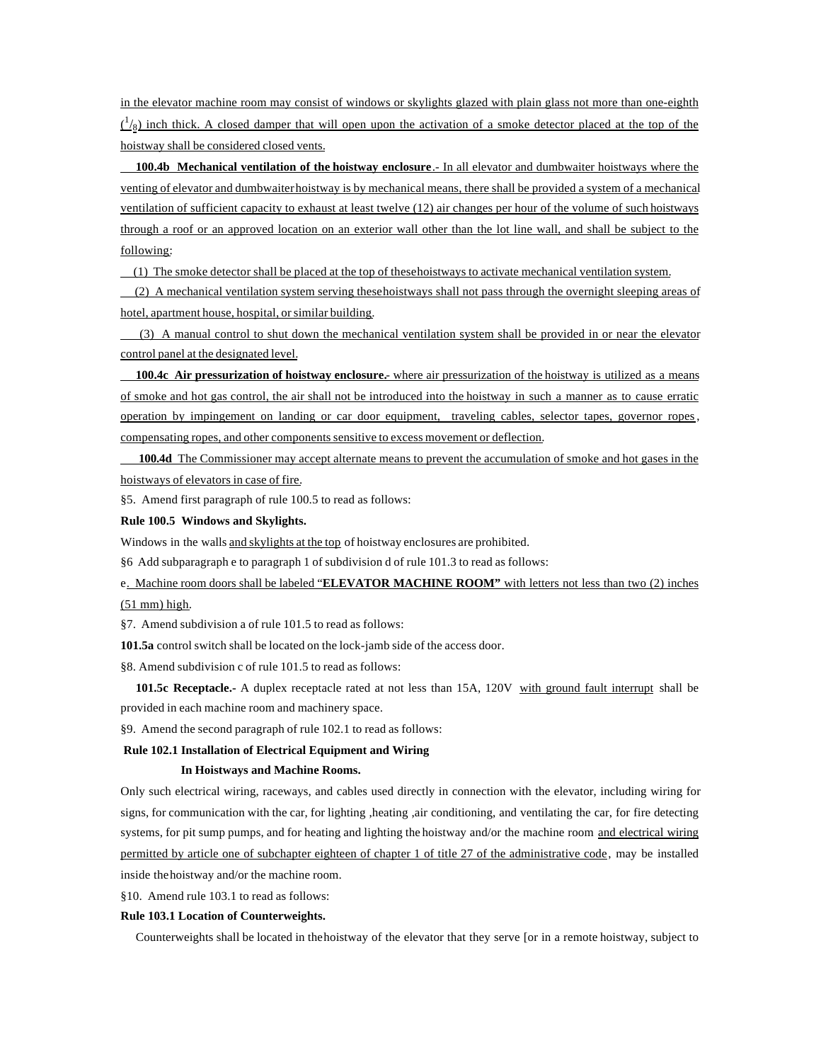in the elevator machine room may consist of windows or skylights glazed with plain glass not more than one-eighth  $\frac{1}{8}$  inch thick. A closed damper that will open upon the activation of a smoke detector placed at the top of the hoistway shall be considered closed vents.

 **100.4b Mechanical ventilation of the hoistway enclosure**.- In all elevator and dumbwaiter hoistways where the venting of elevator and dumbwaiter hoistway is by mechanical means, there shall be provided a system of a mechanical ventilation of sufficient capacity to exhaust at least twelve (12) air changes per hour of the volume of such hoistways through a roof or an approved location on an exterior wall other than the lot line wall, and shall be subject to the following:

(1) The smoke detector shall be placed at the top of these hoistways to activate mechanical ventilation system.

 (2) A mechanical ventilation system serving these hoistways shall not pass through the overnight sleeping areas of hotel, apartment house, hospital, or similar building.

 (3) A manual control to shut down the mechanical ventilation system shall be provided in or near the elevator control panel at the designated level.

 **100.4c Air pressurization of hoistway enclosure.**- where air pressurization of the hoistway is utilized as a means of smoke and hot gas control, the air shall not be introduced into the hoistway in such a manner as to cause erratic operation by impingement on landing or car door equipment, traveling cables, selector tapes, governor ropes, compensating ropes, and other components sensitive to excess movement or deflection.

 **100.4d** The Commissioner may accept alternate means to prevent the accumulation of smoke and hot gases in the hoistways of elevators in case of fire.

§5. Amend first paragraph of rule 100.5 to read as follows:

#### **Rule 100.5 Windows and Skylights.**

Windows in the walls and skylights at the top of hoistway enclosures are prohibited.

§6 Add subparagraph e to paragraph 1 of subdivision d of rule 101.3 to read as follows:

e. Machine room doors shall be labeled "**ELEVATOR MACHINE ROOM"** with letters not less than two (2) inches (51 mm) high.

§7. Amend subdivision a of rule 101.5 to read as follows:

**101.5a** control switch shall be located on the lock-jamb side of the access door.

§8. Amend subdivision c of rule 101.5 to read as follows:

 **101.5c Receptacle.-** A duplex receptacle rated at not less than 15A, 120V with ground fault interrupt shall be provided in each machine room and machinery space.

§9. Amend the second paragraph of rule 102.1 to read as follows:

#### **Rule 102.1 Installation of Electrical Equipment and Wiring**

#### **In Hoistways and Machine Rooms.**

Only such electrical wiring, raceways, and cables used directly in connection with the elevator, including wiring for signs, for communication with the car, for lighting ,heating ,air conditioning, and ventilating the car, for fire detecting systems, for pit sump pumps, and for heating and lighting the hoistway and/or the machine room and electrical wiring permitted by article one of subchapter eighteen of chapter 1 of title 27 of the administrative code, may be installed inside the hoistway and/or the machine room.

§10. Amend rule 103.1 to read as follows:

#### **Rule 103.1 Location of Counterweights.**

Counterweights shall be located in the hoistway of the elevator that they serve [or in a remote hoistway, subject to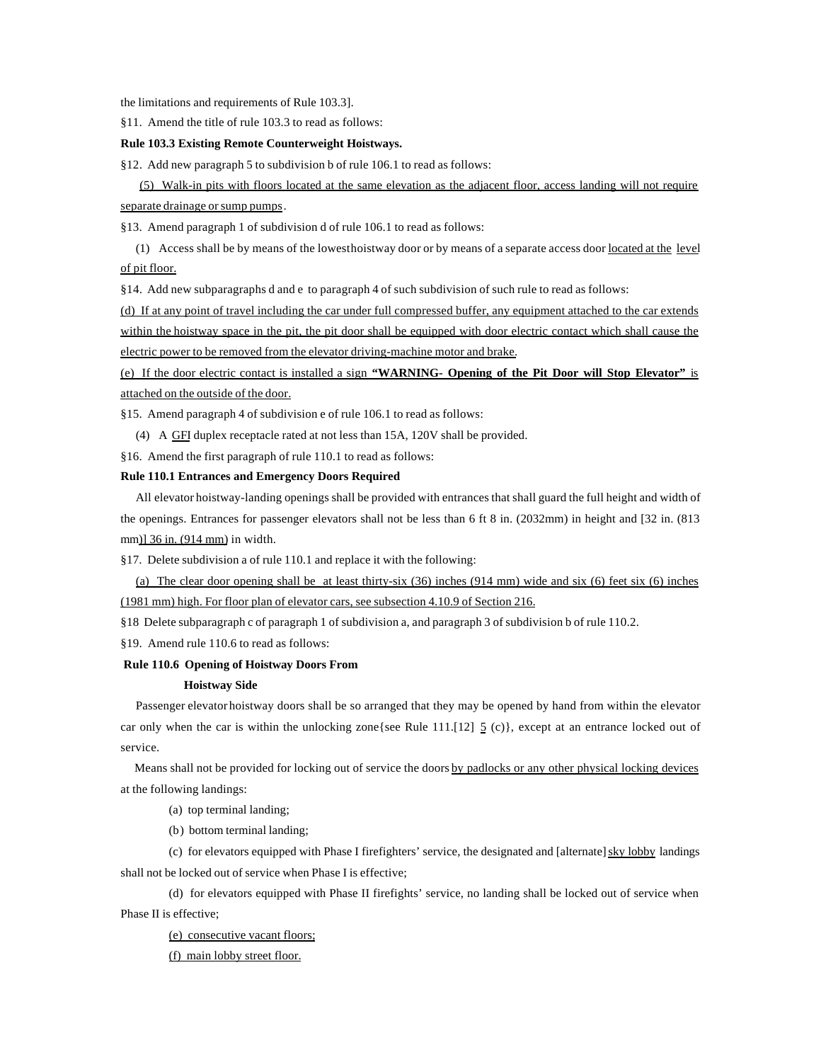the limitations and requirements of Rule 103.3].

§11. Amend the title of rule 103.3 to read as follows:

#### **Rule 103.3 Existing Remote Counterweight Hoistways.**

§12. Add new paragraph 5 to subdivision b of rule 106.1 to read as follows:

(5) Walk-in pits with floors located at the same elevation as the adjacent floor, access landing will not require separate drainage or sump pumps.

§13. Amend paragraph 1 of subdivision d of rule 106.1 to read as follows:

 (1) Access shall be by means of the lowest hoistway door or by means of a separate access door located at the level of pit floor.

§14. Add new subparagraphs d and e to paragraph 4 of such subdivision of such rule to read as follows:

(d) If at any point of travel including the car under full compressed buffer, any equipment attached to the car extends within the hoistway space in the pit, the pit door shall be equipped with door electric contact which shall cause the electric power to be removed from the elevator driving-machine motor and brake.

(e) If the door electric contact is installed a sign **"WARNING- Opening of the Pit Door will Stop Elevator"** is attached on the outside of the door.

§15. Amend paragraph 4 of subdivision e of rule 106.1 to read as follows:

(4) A GFI duplex receptacle rated at not less than 15A, 120V shall be provided.

§16. Amend the first paragraph of rule 110.1 to read as follows:

#### **Rule 110.1 Entrances and Emergency Doors Required**

All elevator hoistway-landing openings shall be provided with entrances that shall guard the full height and width of the openings. Entrances for passenger elevators shall not be less than 6 ft 8 in. (2032mm) in height and [32 in. (813 mm)] 36 in. (914 mm) in width.

§17. Delete subdivision a of rule 110.1 and replace it with the following:

 (a) The clear door opening shall be at least thirty-six (36) inches (914 mm) wide and six (6) feet six (6) inches (1981 mm) high. For floor plan of elevator cars, see subsection 4.10.9 of Section 216.

§18 Delete subparagraph c of paragraph 1 of subdivision a, and paragraph 3 of subdivision b of rule 110.2.

§19. Amend rule 110.6 to read as follows:

#### **Rule 110.6 Opening of Hoistway Doors From**

#### **Hoistway Side**

Passenger elevator hoistway doors shall be so arranged that they may be opened by hand from within the elevator car only when the car is within the unlocking zone{see Rule 111.[12]  $\leq$  (c)}, except at an entrance locked out of service.

Means shall not be provided for locking out of service the doors by padlocks or any other physical locking devices at the following landings:

(a) top terminal landing;

(b) bottom terminal landing;

(c) for elevators equipped with Phase I firefighters' service, the designated and [alternate] sky lobby landings shall not be locked out of service when Phase I is effective;

(d) for elevators equipped with Phase II firefights' service, no landing shall be locked out of service when Phase II is effective;

(e) consecutive vacant floors;

(f) main lobby street floor.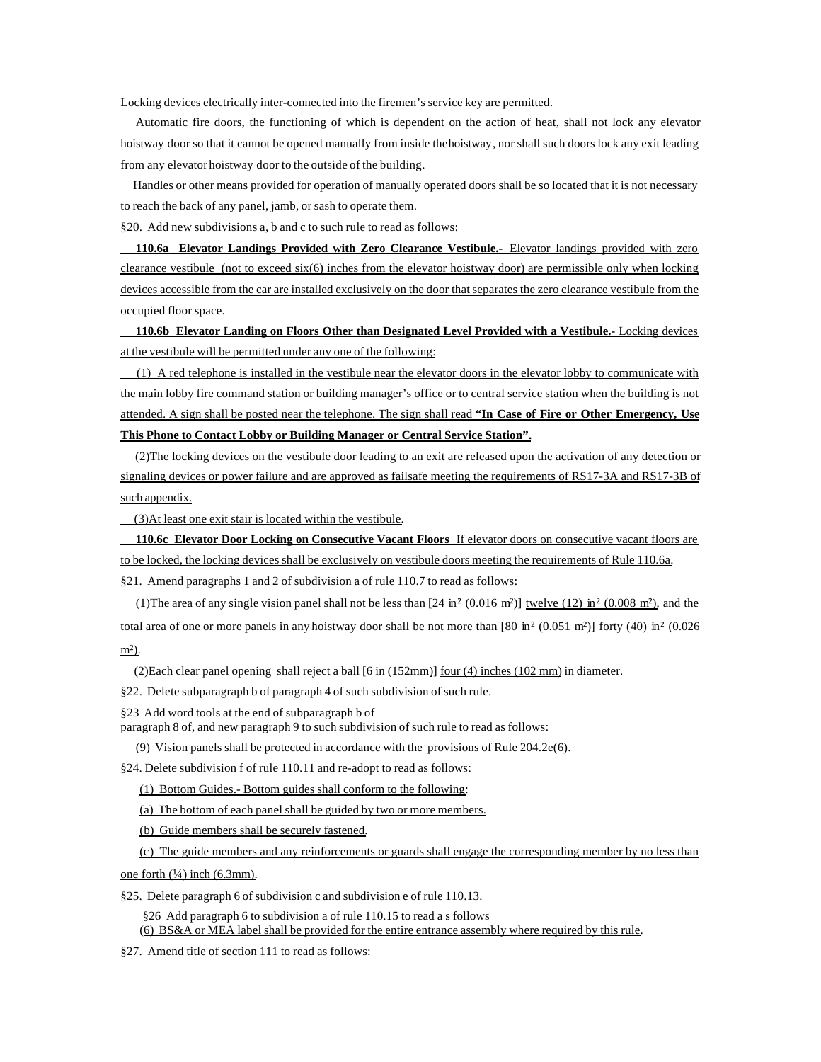### Locking devices electrically inter-connected into the firemen's service key are permitted.

 Automatic fire doors, the functioning of which is dependent on the action of heat, shall not lock any elevator hoistway door so that it cannot be opened manually from inside the hoistway, nor shall such doors lock any exit leading from any elevator hoistway door to the outside of the building.

 Handles or other means provided for operation of manually operated doors shall be so located that it is not necessary to reach the back of any panel, jamb, or sash to operate them.

§20. Add new subdivisions a, b and c to such rule to read as follows:

 **110.6a Elevator Landings Provided with Zero Clearance Vestibule.-** Elevator landings provided with zero clearance vestibule (not to exceed  $six(6)$  inches from the elevator hoistway door) are permissible only when locking devices accessible from the car are installed exclusively on the door that separates the zero clearance vestibule from the occupied floor space.

 **110.6b Elevator Landing on Floors Other than Designated Level Provided with a Vestibule.-** Locking devices at the vestibule will be permitted under any one of the following:

 (1) A red telephone is installed in the vestibule near the elevator doors in the elevator lobby to communicate with the main lobby fire command station or building manager's office or to central service station when the building is not attended. A sign shall be posted near the telephone. The sign shall read **"In Case of Fire or Other Emergency, Use This Phone to Contact Lobby or Building Manager or Central Service Station".**

 (2)The locking devices on the vestibule door leading to an exit are released upon the activation of any detection or signaling devices or power failure and are approved as failsafe meeting the requirements of RS17-3A and RS17-3B of such appendix.

(3)At least one exit stair is located within the vestibule.

 **110.6c Elevator Door Locking on Consecutive Vacant Floors** If elevator doors on consecutive vacant floors are to be locked, the locking devices shall be exclusively on vestibule doors meeting the requirements of Rule 110.6a.

§21. Amend paragraphs 1 and 2 of subdivision a of rule 110.7 to read as follows:

(1) The area of any single vision panel shall not be less than  $[24 \text{ in}^2 (0.016 \text{ m}^2)]$  twelve  $(12) \text{ in}^2 (0.008 \text{ m}^2)$ , and the total area of one or more panels in any hoistway door shall be not more than [80 in<sup>2</sup> (0.051 m<sup>2</sup>)] forty (40) in<sup>2</sup> (0.026 m²).

(2)Each clear panel opening shall reject a ball [6 in (152mm)] four (4) inches (102 mm) in diameter.

§22. Delete subparagraph b of paragraph 4 of such subdivision of such rule.

§23 Add word tools at the end of subparagraph b of

paragraph 8 of, and new paragraph 9 to such subdivision of such rule to read as follows:

(9) Vision panels shall be protected in accordance with the provisions of Rule 204.2e(6).

§24. Delete subdivision f of rule 110.11 and re-adopt to read as follows:

(1) Bottom Guides.- Bottom guides shall conform to the following:

(a) The bottom of each panel shall be guided by two or more members.

(b) Guide members shall be securely fastened.

(c) The guide members and any reinforcements or guards shall engage the corresponding member by no less than

one forth  $(\frac{1}{4})$  inch (6.3mm).

§25. Delete paragraph 6 of subdivision c and subdivision e of rule 110.13.

§26 Add paragraph 6 to subdivision a of rule 110.15 to read a s follows (6) BS&A or MEA label shall be provided for the entire entrance assembly where required by this rule.

§27. Amend title of section 111 to read as follows: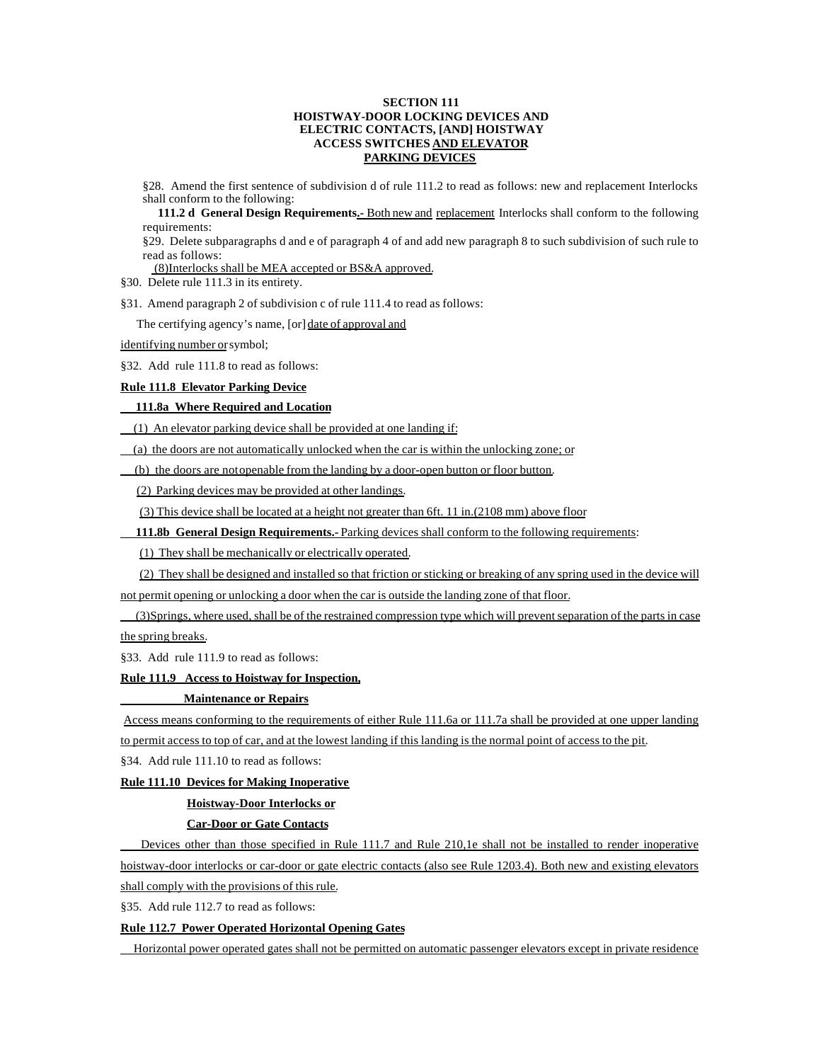## **SECTION 111 HOISTWAY-DOOR LOCKING DEVICES AND ELECTRIC CONTACTS, [AND] HOISTWAY ACCESS SWITCHES AND ELEVATOR PARKING DEVICES**

§28. Amend the first sentence of subdivision d of rule 111.2 to read as follows: new and replacement Interlocks shall conform to the following:

111.2 d General Design Requirements<sub>2</sub> Both new and replacement Interlocks shall conform to the following requirements:

§29. Delete subparagraphs d and e of paragraph 4 of and add new paragraph 8 to such subdivision of such rule to read as follows:

(8)Interlocks shall be MEA accepted or BS&A approved.

§30. Delete rule 111.3 in its entirety.

§31. Amend paragraph 2 of subdivision c of rule 111.4 to read as follows:

The certifying agency's name, [or] date of approval and

identifying number or symbol;

§32. Add rule 111.8 to read as follows:

# **Rule 111.8 Elevator Parking Device**

# **111.8a Where Required and Location**

(1) An elevator parking device shall be provided at one landing if:

(a) the doors are not automatically unlocked when the car is within the unlocking zone; or

(b) the doors are not openable from the landing by a door-open button or floor button.

(2) Parking devices may be provided at other landings.

(3) This device shall be located at a height not greater than 6ft. 11 in.(2108 mm) above floor

**111.8b General Design Requirements.**- Parking devices shall conform to the following requirements:

(1) They shall be mechanically or electrically operated.

(2) They shall be designed and installed so that friction or sticking or breaking of any spring used in the device will

not permit opening or unlocking a door when the car is outside the landing zone of that floor.

 (3)Springs, where used, shall be of the restrained compression type which will prevent separation of the parts in case the spring breaks.

§33. Add rule 111.9 to read as follows:

# **Rule 111.9 Access to Hoistway for Inspection,**

# **Maintenance or Repairs**

Access means conforming to the requirements of either Rule 111.6a or 111.7a shall be provided at one upper landing to permit access to top of car, and at the lowest landing if this landing is the normal point of access to the pit.

§34. Add rule 111.10 to read as follows:

# **Rule 111.10 Devices for Making Inoperative**

### **Hoistway-Door Interlocks or**

#### **Car-Door or Gate Contacts**

Devices other than those specified in Rule 111.7 and Rule 210,1e shall not be installed to render inoperative hoistway-door interlocks or car-door or gate electric contacts (also see Rule 1203.4). Both new and existing elevators shall comply with the provisions of this rule.

§35. Add rule 112.7 to read as follows:

## **Rule 112.7 Power Operated Horizontal Opening Gates**

Horizontal power operated gates shall not be permitted on automatic passenger elevators except in private residence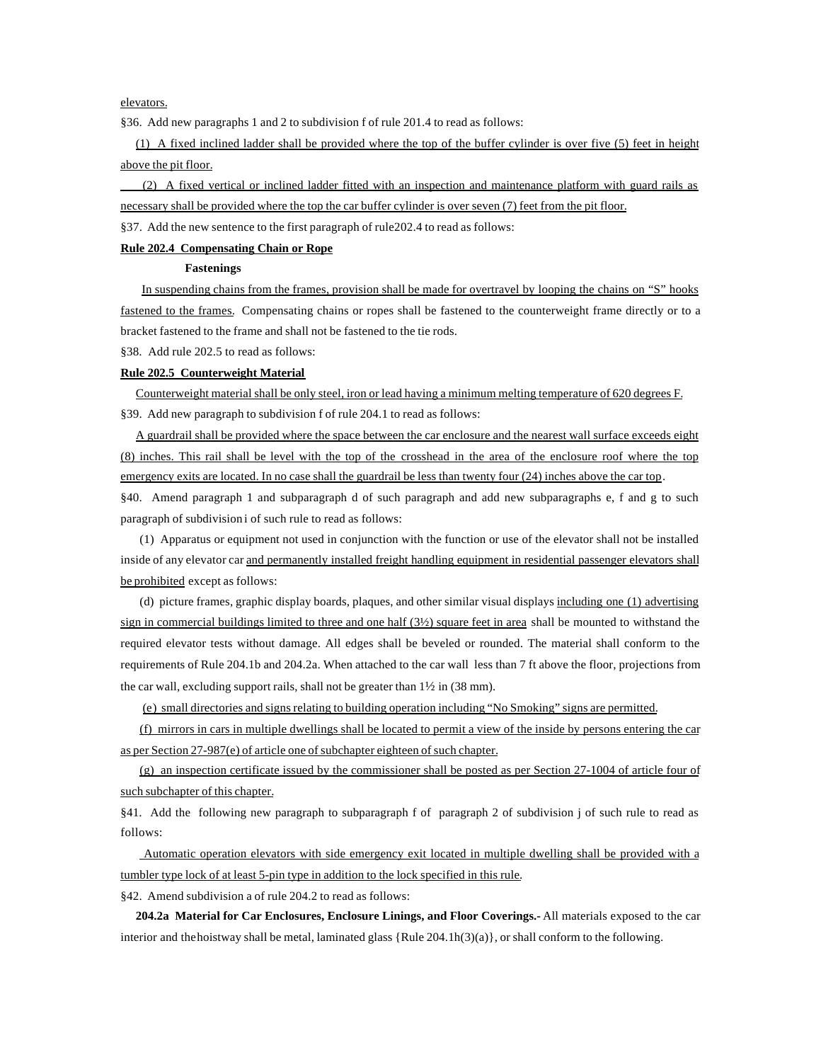elevators.

§36. Add new paragraphs 1 and 2 to subdivision f of rule 201.4 to read as follows:

 (1) A fixed inclined ladder shall be provided where the top of the buffer cylinder is over five (5) feet in height above the pit floor.

 (2) A fixed vertical or inclined ladder fitted with an inspection and maintenance platform with guard rails as necessary shall be provided where the top the car buffer cylinder is over seven (7) feet from the pit floor.

§37. Add the new sentence to the first paragraph of rule202.4 to read as follows:

# **Rule 202.4 Compensating Chain or Rope**

#### **Fastenings**

In suspending chains from the frames, provision shall be made for overtravel by looping the chains on "S" hooks fastened to the frames. Compensating chains or ropes shall be fastened to the counterweight frame directly or to a bracket fastened to the frame and shall not be fastened to the tie rods.

§38. Add rule 202.5 to read as follows:

#### **Rule 202.5 Counterweight Material**

 Counterweight material shall be only steel, iron or lead having a minimum melting temperature of 620 degrees F. §39. Add new paragraph to subdivision f of rule 204.1 to read as follows:

 A guardrail shall be provided where the space between the car enclosure and the nearest wall surface exceeds eight (8) inches. This rail shall be level with the top of the crosshead in the area of the enclosure roof where the top emergency exits are located. In no case shall the guardrail be less than twenty four (24) inches above the car top.

§40. Amend paragraph 1 and subparagraph d of such paragraph and add new subparagraphs e, f and g to such paragraph of subdivision i of such rule to read as follows:

(1) Apparatus or equipment not used in conjunction with the function or use of the elevator shall not be installed inside of any elevator car and permanently installed freight handling equipment in residential passenger elevators shall be prohibited except as follows:

(d) picture frames, graphic display boards, plaques, and other similar visual displays including one (1) advertising sign in commercial buildings limited to three and one half  $(3\frac{1}{2})$  square feet in area shall be mounted to withstand the required elevator tests without damage. All edges shall be beveled or rounded. The material shall conform to the requirements of Rule 204.1b and 204.2a. When attached to the car wall less than 7 ft above the floor, projections from the car wall, excluding support rails, shall not be greater than 1½ in (38 mm).

(e) small directories and signs relating to building operation including "No Smoking" signs are permitted.

(f) mirrors in cars in multiple dwellings shall be located to permit a view of the inside by persons entering the car as per Section 27-987(e) of article one of subchapter eighteen of such chapter.

(g) an inspection certificate issued by the commissioner shall be posted as per Section 27-1004 of article four of such subchapter of this chapter.

§41. Add the following new paragraph to subparagraph f of paragraph 2 of subdivision j of such rule to read as follows:

 Automatic operation elevators with side emergency exit located in multiple dwelling shall be provided with a tumbler type lock of at least 5-pin type in addition to the lock specified in this rule.

§42. Amend subdivision a of rule 204.2 to read as follows:

 **204.2a Material for Car Enclosures, Enclosure Linings, and Floor Coverings.-** All materials exposed to the car interior and the hoistway shall be metal, laminated glass {Rule 204.1h(3)(a)}, or shall conform to the following.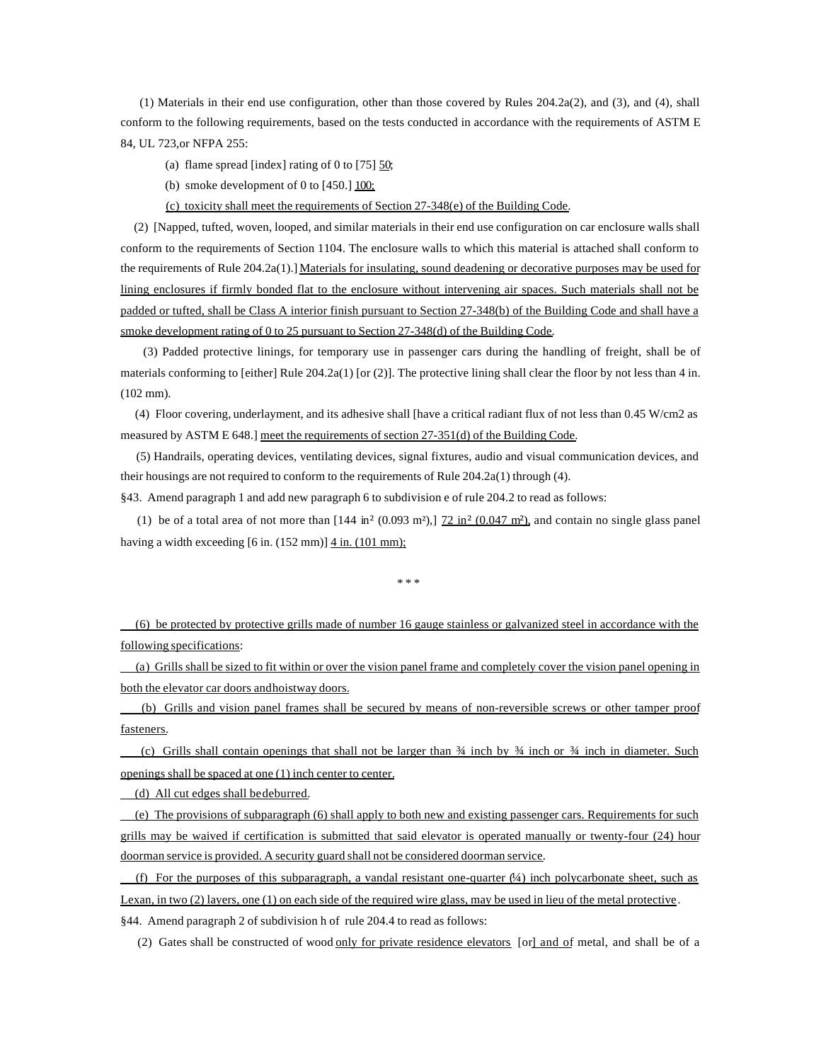(1) Materials in their end use configuration, other than those covered by Rules 204.2a(2), and (3), and (4), shall conform to the following requirements, based on the tests conducted in accordance with the requirements of ASTM E 84, UL 723,or NFPA 255:

(a) flame spread [index] rating of 0 to  $[75]$  50;

(b) smoke development of 0 to  $[450.]$   $\underline{100}$ ;

(c) toxicity shall meet the requirements of Section 27-348(e) of the Building Code.

 (2) [Napped, tufted, woven, looped, and similar materials in their end use configuration on car enclosure walls shall conform to the requirements of Section 1104. The enclosure walls to which this material is attached shall conform to the requirements of Rule 204.2a(1).] Materials for insulating, sound deadening or decorative purposes may be used for lining enclosures if firmly bonded flat to the enclosure without intervening air spaces. Such materials shall not be padded or tufted, shall be Class A interior finish pursuant to Section 27-348(b) of the Building Code and shall have a smoke development rating of 0 to 25 pursuant to Section 27-348(d) of the Building Code.

 (3) Padded protective linings, for temporary use in passenger cars during the handling of freight, shall be of materials conforming to [either] Rule 204.2a(1) [or (2)]. The protective lining shall clear the floor by not less than 4 in. (102 mm).

 (4) Floor covering, underlayment, and its adhesive shall [have a critical radiant flux of not less than 0.45 W/cm2 as measured by ASTM E 648.] meet the requirements of section 27-351(d) of the Building Code.

 (5) Handrails, operating devices, ventilating devices, signal fixtures, audio and visual communication devices, and their housings are not required to conform to the requirements of Rule 204.2a(1) through (4).

§43. Amend paragraph 1 and add new paragraph 6 to subdivision e of rule 204.2 to read as follows:

(1) be of a total area of not more than  $[144 \text{ in}^2 (0.093 \text{ m}^2)]$ ,  $[72 \text{ in}^2 (0.047 \text{ m}^2)]$ , and contain no single glass panel having a width exceeding [6 in. (152 mm)] 4 in. (101 mm);

\* \* \*

 (6) be protected by protective grills made of number 16 gauge stainless or galvanized steel in accordance with the following specifications:

 (a) Grills shall be sized to fit within or over the vision panel frame and completely cover the vision panel opening in both the elevator car doors and hoistway doors.

 (b) Grills and vision panel frames shall be secured by means of non-reversible screws or other tamper proof fasteners.

(c) Grills shall contain openings that shall not be larger than  $\frac{3}{4}$  inch by  $\frac{3}{4}$  inch or  $\frac{3}{4}$  inch in diameter. Such openings shall be spaced at one (1) inch center to center.

(d) All cut edges shall be deburred.

 (e) The provisions of subparagraph (6) shall apply to both new and existing passenger cars. Requirements for such grills may be waived if certification is submitted that said elevator is operated manually or twenty-four (24) hour doorman service is provided. A security guard shall not be considered doorman service.

(f) For the purposes of this subparagraph, a vandal resistant one-quarter  $(\frac{1}{4})$  inch polycarbonate sheet, such as Lexan, in two (2) layers, one (1) on each side of the required wire glass, may be used in lieu of the metal protective. §44. Amend paragraph 2 of subdivision h of rule 204.4 to read as follows:

(2) Gates shall be constructed of wood only for private residence elevators [or] and of metal, and shall be of a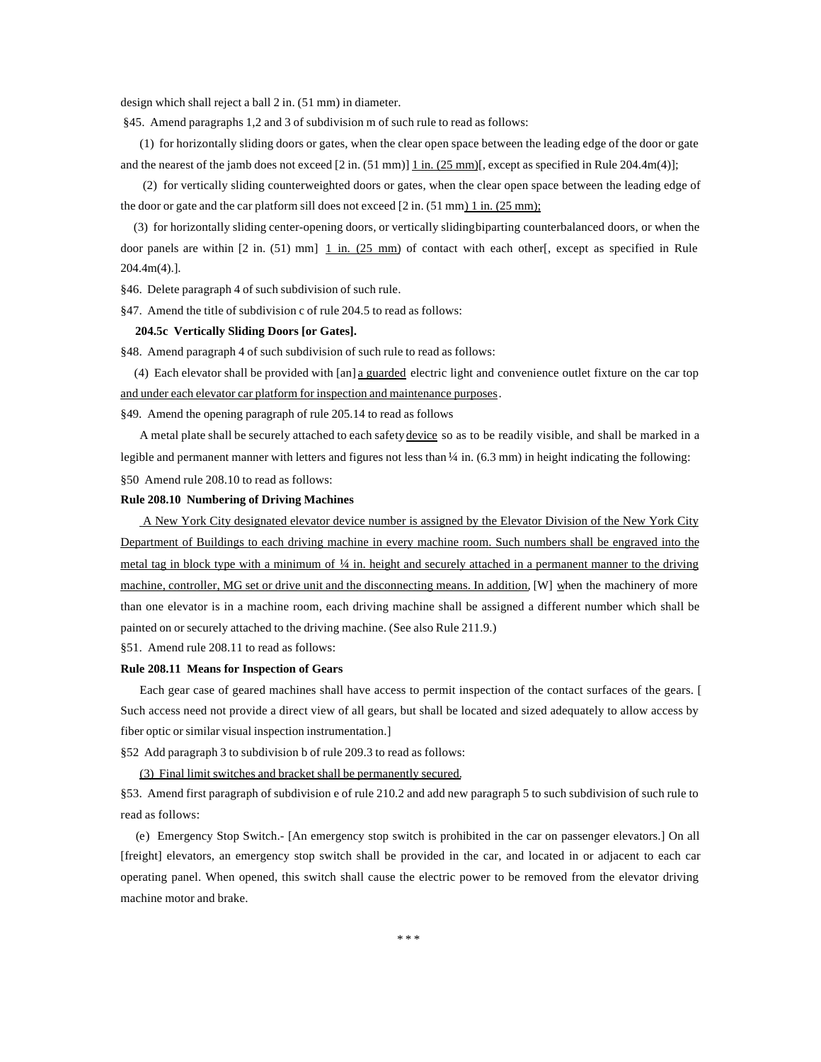design which shall reject a ball 2 in. (51 mm) in diameter.

§45. Amend paragraphs 1,2 and 3 of subdivision m of such rule to read as follows:

(1) for horizontally sliding doors or gates, when the clear open space between the leading edge of the door or gate and the nearest of the jamb does not exceed  $[2 \text{ in. } (51 \text{ mm})] \underline{1 \text{ in. } (25 \text{ mm})}$ , except as specified in Rule 204.4m(4)];

 (2) for vertically sliding counterweighted doors or gates, when the clear open space between the leading edge of the door or gate and the car platform sill does not exceed  $[2 \text{ in.} (51 \text{ mm}) \underline{1 \text{ in.} (25 \text{ mm})}]$ ;

 (3) for horizontally sliding center-opening doors, or vertically sliding biparting counterbalanced doors, or when the door panels are within  $[2 \text{ in. } (51) \text{ mm}]$   $\underline{1}$  in.  $(25 \text{ mm})$  of contact with each other[, except as specified in Rule 204.4m(4).].

§46. Delete paragraph 4 of such subdivision of such rule.

§47. Amend the title of subdivision c of rule 204.5 to read as follows:

# **204.5c Vertically Sliding Doors [or Gates].**

§48. Amend paragraph 4 of such subdivision of such rule to read as follows:

 (4) Each elevator shall be provided with [an] a guarded electric light and convenience outlet fixture on the car top and under each elevator car platform for inspection and maintenance purposes.

§49. Amend the opening paragraph of rule 205.14 to read as follows

A metal plate shall be securely attached to each safety device so as to be readily visible, and shall be marked in a legible and permanent manner with letters and figures not less than  $\frac{1}{4}$  in. (6.3 mm) in height indicating the following: §50 Amend rule 208.10 to read as follows:

#### **Rule 208.10 Numbering of Driving Machines**

 A New York City designated elevator device number is assigned by the Elevator Division of the New York City Department of Buildings to each driving machine in every machine room. Such numbers shall be engraved into the metal tag in block type with a minimum of  $\frac{1}{4}$  in. height and securely attached in a permanent manner to the driving machine, controller, MG set or drive unit and the disconnecting means. In addition, [W] when the machinery of more than one elevator is in a machine room, each driving machine shall be assigned a different number which shall be painted on or securely attached to the driving machine. (See also Rule 211.9.)

§51. Amend rule 208.11 to read as follows:

#### **Rule 208.11 Means for Inspection of Gears**

Each gear case of geared machines shall have access to permit inspection of the contact surfaces of the gears. [ Such access need not provide a direct view of all gears, but shall be located and sized adequately to allow access by fiber optic or similar visual inspection instrumentation.]

§52 Add paragraph 3 to subdivision b of rule 209.3 to read as follows:

(3) Final limit switches and bracket shall be permanently secured.

§53. Amend first paragraph of subdivision e of rule 210.2 and add new paragraph 5 to such subdivision of such rule to read as follows:

 (e) Emergency Stop Switch.- [An emergency stop switch is prohibited in the car on passenger elevators.] On all [freight] elevators, an emergency stop switch shall be provided in the car, and located in or adjacent to each car operating panel. When opened, this switch shall cause the electric power to be removed from the elevator driving machine motor and brake.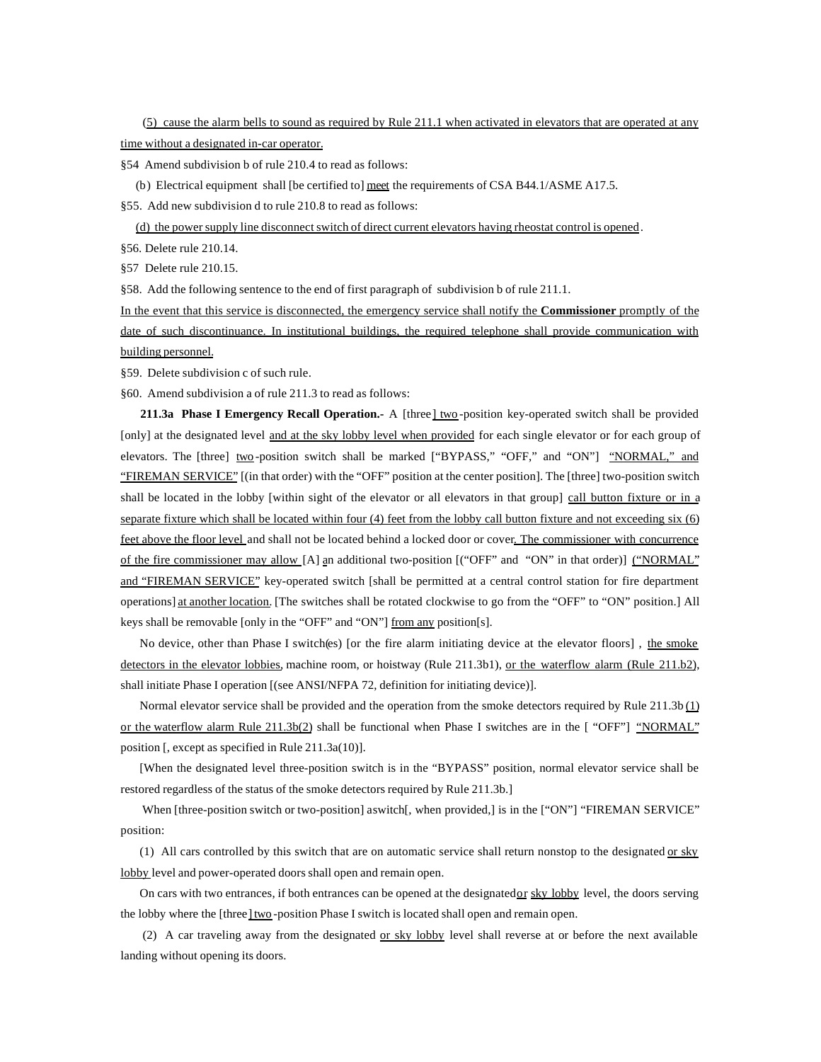(5) cause the alarm bells to sound as required by Rule 211.1 when activated in elevators that are operated at any time without a designated in-car operator.

§54 Amend subdivision b of rule 210.4 to read as follows:

(b) Electrical equipment shall [be certified to] meet the requirements of CSA B44.1/ASME A17.5.

§55. Add new subdivision d to rule 210.8 to read as follows:

(d) the power supply line disconnect switch of direct current elevators having rheostat control is opened.

§56. Delete rule 210.14.

§57 Delete rule 210.15.

§58. Add the following sentence to the end of first paragraph of subdivision b of rule 211.1.

In the event that this service is disconnected, the emergency service shall notify the **Commissioner** promptly of the date of such discontinuance. In institutional buildings, the required telephone shall provide communication with building personnel.

§59. Delete subdivision c of such rule.

§60. Amend subdivision a of rule 211.3 to read as follows:

 **211.3a Phase I Emergency Recall Operation.-** A [three] two -position key-operated switch shall be provided [only] at the designated level and at the sky lobby level when provided for each single elevator or for each group of elevators. The [three] two-position switch shall be marked ["BYPASS," "OFF," and "ON"] "NORMAL," and "FIREMAN SERVICE" [(in that order) with the "OFF" position at the center position]. The [three] two-position switch shall be located in the lobby [within sight of the elevator or all elevators in that group] call button fixture or in a separate fixture which shall be located within four (4) feet from the lobby call button fixture and not exceeding six (6) feet above the floor level and shall not be located behind a locked door or cover. The commissioner with concurrence of the fire commissioner may allow [A] an additional two-position [("OFF" and "ON" in that order)] ("NORMAL" and "FIREMAN SERVICE" key-operated switch [shall be permitted at a central control station for fire department operations] at another location. [The switches shall be rotated clockwise to go from the "OFF" to "ON" position.] All keys shall be removable [only in the "OFF" and "ON"] from any position[s].

No device, other than Phase I switch(es) [or the fire alarm initiating device at the elevator floors] , the smoke detectors in the elevator lobbies, machine room, or hoistway (Rule 211.3b1), or the waterflow alarm (Rule 211.b2), shall initiate Phase I operation [(see ANSI/NFPA 72, definition for initiating device)].

Normal elevator service shall be provided and the operation from the smoke detectors required by Rule  $211.3b$   $(1)$ or the waterflow alarm Rule 211.3b(2) shall be functional when Phase I switches are in the [ "OFF"] "NORMAL" position [, except as specified in Rule 211.3a(10)].

[When the designated level three-position switch is in the "BYPASS" position, normal elevator service shall be restored regardless of the status of the smoke detectors required by Rule 211.3b.]

When [three-position switch or two-position] aswitch[, when provided,] is in the ["ON"] "FIREMAN SERVICE" position:

(1) All cars controlled by this switch that are on automatic service shall return nonstop to the designated  $or$  sky lobby level and power-operated doors shall open and remain open.

On cars with two entrances, if both entrances can be opened at the designated or sky lobby level, the doors serving the lobby where the [three] two-position Phase I switch is located shall open and remain open.

 (2) A car traveling away from the designated or sky lobby level shall reverse at or before the next available landing without opening its doors.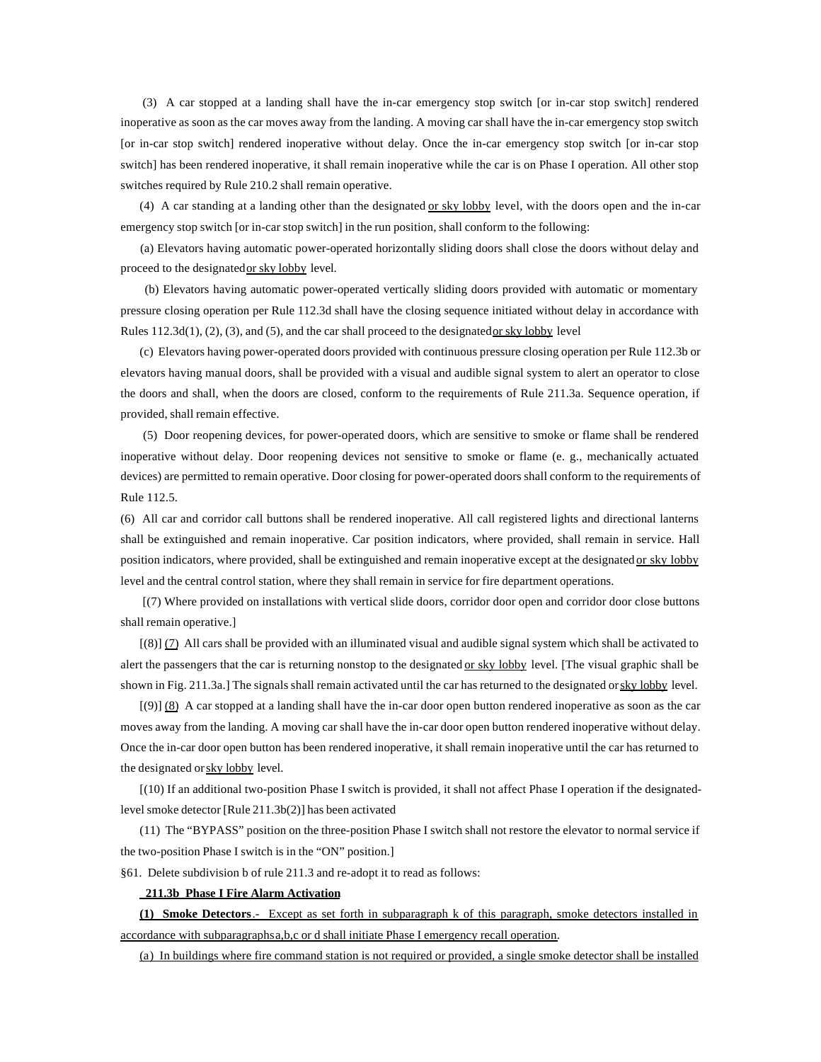(3) A car stopped at a landing shall have the in-car emergency stop switch [or in-car stop switch] rendered inoperative as soon as the car moves away from the landing. A moving car shall have the in-car emergency stop switch [or in-car stop switch] rendered inoperative without delay. Once the in-car emergency stop switch [or in-car stop switch] has been rendered inoperative, it shall remain inoperative while the car is on Phase I operation. All other stop switches required by Rule 210.2 shall remain operative.

(4) A car standing at a landing other than the designated or sky lobby level, with the doors open and the in-car emergency stop switch [or in-car stop switch] in the run position, shall conform to the following:

 (a) Elevators having automatic power-operated horizontally sliding doors shall close the doors without delay and proceed to the designated or sky lobby level.

 (b) Elevators having automatic power-operated vertically sliding doors provided with automatic or momentary pressure closing operation per Rule 112.3d shall have the closing sequence initiated without delay in accordance with Rules  $112.3d(1)$ ,  $(2)$ ,  $(3)$ , and  $(5)$ , and the car shall proceed to the designated or sky lobby level

(c) Elevators having power-operated doors provided with continuous pressure closing operation per Rule 112.3b or elevators having manual doors, shall be provided with a visual and audible signal system to alert an operator to close the doors and shall, when the doors are closed, conform to the requirements of Rule 211.3a. Sequence operation, if provided, shall remain effective.

 (5) Door reopening devices, for power-operated doors, which are sensitive to smoke or flame shall be rendered inoperative without delay. Door reopening devices not sensitive to smoke or flame (e. g., mechanically actuated devices) are permitted to remain operative. Door closing for power-operated doors shall conform to the requirements of Rule 112.5.

(6) All car and corridor call buttons shall be rendered inoperative. All call registered lights and directional lanterns shall be extinguished and remain inoperative. Car position indicators, where provided, shall remain in service. Hall position indicators, where provided, shall be extinguished and remain inoperative except at the designated or sky lobby level and the central control station, where they shall remain in service for fire department operations.

 [(7) Where provided on installations with vertical slide doors, corridor door open and corridor door close buttons shall remain operative.]

[(8)] (7) All cars shall be provided with an illuminated visual and audible signal system which shall be activated to alert the passengers that the car is returning nonstop to the designated or sky lobby level. [The visual graphic shall be shown in Fig. 211.3a.] The signals shall remain activated until the car has returned to the designated or sky lobby level.

 $[9]$  (8) A car stopped at a landing shall have the in-car door open button rendered inoperative as soon as the car moves away from the landing. A moving car shall have the in-car door open button rendered inoperative without delay. Once the in-car door open button has been rendered inoperative, it shall remain inoperative until the car has returned to the designated or sky lobby level.

[(10) If an additional two-position Phase I switch is provided, it shall not affect Phase I operation if the designatedlevel smoke detector [Rule 211.3b(2)] has been activated

(11) The "BYPASS" position on the three-position Phase I switch shall not restore the elevator to normal service if the two-position Phase I switch is in the "ON" position.]

§61. Delete subdivision b of rule 211.3 and re-adopt it to read as follows:

## **211.3b Phase I Fire Alarm Activation**

**(1) Smoke Detectors**.- Except as set forth in subparagraph k of this paragraph, smoke detectors installed in accordance with subparagraphs a,b,c or d shall initiate Phase I emergency recall operation.

(a) In buildings where fire command station is not required or provided, a single smoke detector shall be installed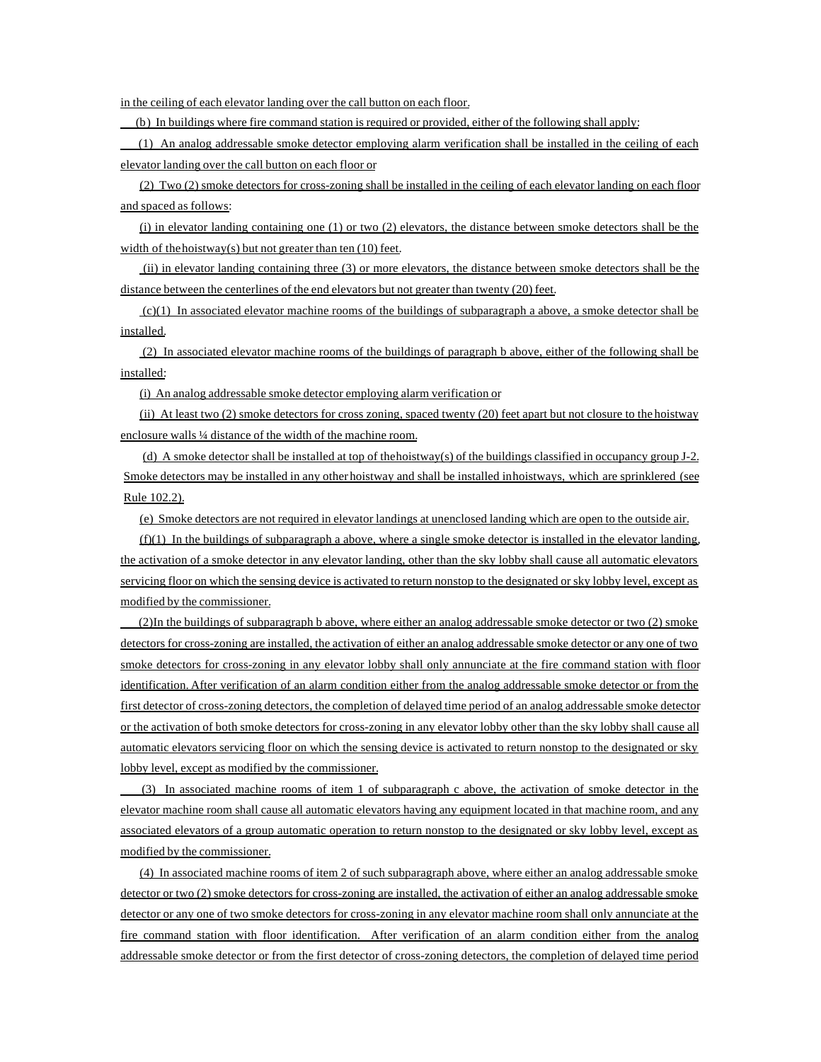in the ceiling of each elevator landing over the call button on each floor.

(b) In buildings where fire command station is required or provided, either of the following shall apply:

 (1) An analog addressable smoke detector employing alarm verification shall be installed in the ceiling of each elevator landing over the call button on each floor or

(2) Two (2) smoke detectors for cross-zoning shall be installed in the ceiling of each elevator landing on each floor and spaced as follows:

 $(i)$  in elevator landing containing one  $(1)$  or two  $(2)$  elevators, the distance between smoke detectors shall be the width of the hoistway(s) but not greater than ten  $(10)$  feet.

 (ii) in elevator landing containing three (3) or more elevators, the distance between smoke detectors shall be the distance between the centerlines of the end elevators but not greater than twenty (20) feet.

 $(c)(1)$  In associated elevator machine rooms of the buildings of subparagraph a above, a smoke detector shall be installed.

 (2) In associated elevator machine rooms of the buildings of paragraph b above, either of the following shall be installed:

(i) An analog addressable smoke detector employing alarm verification or

(ii) At least two (2) smoke detectors for cross zoning, spaced twenty (20) feet apart but not closure to the hoistway enclosure walls ¼ distance of the width of the machine room.

(d) A smoke detector shall be installed at top of the hoistway(s) of the buildings classified in occupancy group J-2. Smoke detectors may be installed in any other hoistway and shall be installed in hoistways, which are sprinklered (see Rule 102.2).

(e) Smoke detectors are not required in elevator landings at unenclosed landing which are open to the outside air.

 $(f)(1)$  In the buildings of subparagraph a above, where a single smoke detector is installed in the elevator landing, the activation of a smoke detector in any elevator landing, other than the sky lobby shall cause all automatic elevators servicing floor on which the sensing device is activated to return nonstop to the designated or sky lobby level, except as modified by the commissioner.

 (2)In the buildings of subparagraph b above, where either an analog addressable smoke detector or two (2) smoke detectors for cross-zoning are installed, the activation of either an analog addressable smoke detector or any one of two smoke detectors for cross-zoning in any elevator lobby shall only annunciate at the fire command station with floor identification. After verification of an alarm condition either from the analog addressable smoke detector or from the first detector of cross-zoning detectors, the completion of delayed time period of an analog addressable smoke detector or the activation of both smoke detectors for cross-zoning in any elevator lobby other than the sky lobby shall cause all automatic elevators servicing floor on which the sensing device is activated to return nonstop to the designated or sky lobby level, except as modified by the commissioner.

 (3) In associated machine rooms of item 1 of subparagraph c above, the activation of smoke detector in the elevator machine room shall cause all automatic elevators having any equipment located in that machine room, and any associated elevators of a group automatic operation to return nonstop to the designated or sky lobby level, except as modified by the commissioner.

(4) In associated machine rooms of item 2 of such subparagraph above, where either an analog addressable smoke detector or two (2) smoke detectors for cross-zoning are installed, the activation of either an analog addressable smoke detector or any one of two smoke detectors for cross-zoning in any elevator machine room shall only annunciate at the fire command station with floor identification. After verification of an alarm condition either from the analog addressable smoke detector or from the first detector of cross-zoning detectors, the completion of delayed time period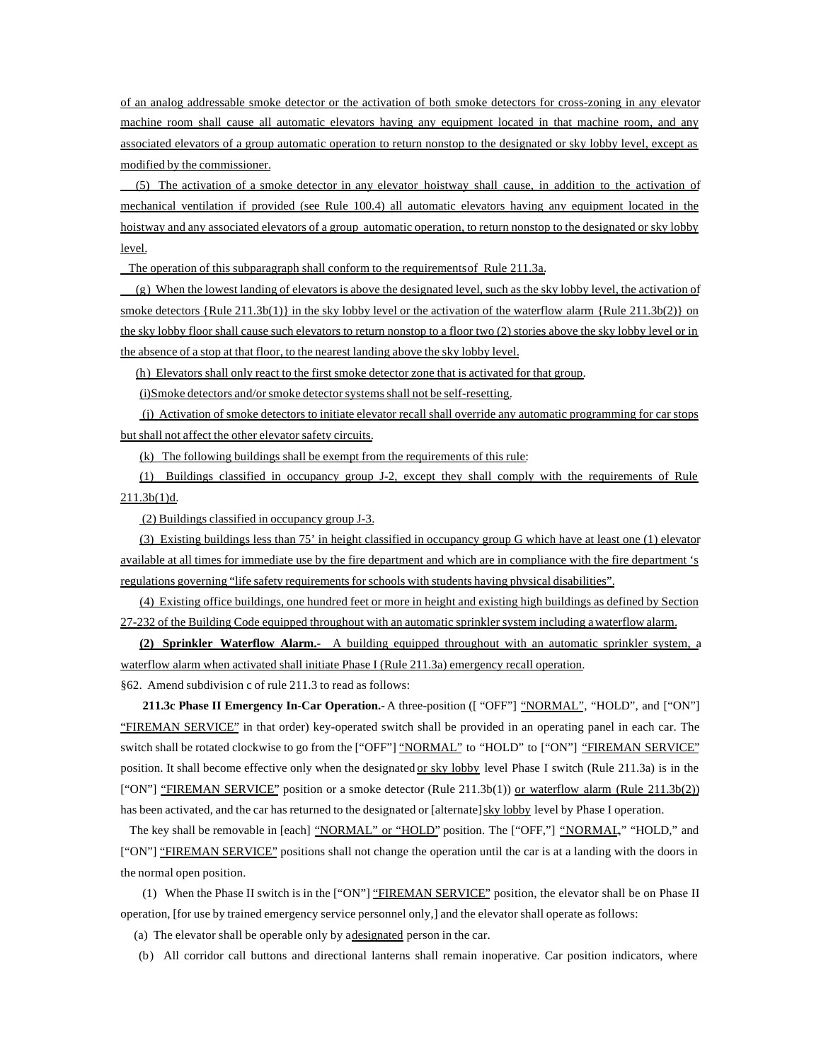of an analog addressable smoke detector or the activation of both smoke detectors for cross-zoning in any elevator machine room shall cause all automatic elevators having any equipment located in that machine room, and any associated elevators of a group automatic operation to return nonstop to the designated or sky lobby level, except as modified by the commissioner.

 (5) The activation of a smoke detector in any elevator hoistway shall cause, in addition to the activation of mechanical ventilation if provided (see Rule 100.4) all automatic elevators having any equipment located in the hoistway and any associated elevators of a group automatic operation, to return nonstop to the designated or sky lobby level.

The operation of this subparagraph shall conform to the requirements of Rule 211.3a.

 (g) When the lowest landing of elevators is above the designated level, such as the sky lobby level, the activation of smoke detectors  ${Rule 211.3b(1)}$  in the sky lobby level or the activation of the waterflow alarm  ${Rule 211.3b(2)}$  on the sky lobby floor shall cause such elevators to return nonstop to a floor two (2) stories above the sky lobby level or in the absence of a stop at that floor, to the nearest landing above the sky lobby level.

(h) Elevators shall only react to the first smoke detector zone that is activated for that group.

(i)Smoke detectors and/or smoke detector systems shall not be self-resetting.

 (j) Activation of smoke detectors to initiate elevator recall shall override any automatic programming for car stops but shall not affect the other elevator safety circuits.

(k) The following buildings shall be exempt from the requirements of this rule:

(1) Buildings classified in occupancy group J-2, except they shall comply with the requirements of Rule 211.3b(1)d.

(2) Buildings classified in occupancy group J-3.

(3) Existing buildings less than 75' in height classified in occupancy group G which have at least one (1) elevator available at all times for immediate use by the fire department and which are in compliance with the fire department 's regulations governing "life safety requirements for schools with students having physical disabilities".

(4) Existing office buildings, one hundred feet or more in height and existing high buildings as defined by Section 27-232 of the Building Code equipped throughout with an automatic sprinkler system including a waterflow alarm.

**(2) Sprinkler Waterflow Alarm.-** A building equipped throughout with an automatic sprinkler system, a waterflow alarm when activated shall initiate Phase I (Rule 211.3a) emergency recall operation.

§62. Amend subdivision c of rule 211.3 to read as follows:

**211.3c Phase II Emergency In-Car Operation.-** A three-position ([ "OFF"] "NORMAL", "HOLD", and ["ON"] "FIREMAN SERVICE" in that order) key-operated switch shall be provided in an operating panel in each car. The switch shall be rotated clockwise to go from the ["OFF"] "NORMAL" to "HOLD" to ["ON"] "FIREMAN SERVICE" position. It shall become effective only when the designated or sky lobby level Phase I switch (Rule 211.3a) is in the ["ON"] "FIREMAN SERVICE" position or a smoke detector (Rule 211.3b(1)) or waterflow alarm (Rule 211.3b(2)) has been activated, and the car has returned to the designated or [alternate] sky lobby level by Phase I operation.

The key shall be removable in [each] "NORMAL" or "HOLD" position. The ["OFF,"] "NORMAL," "HOLD," and ["ON"] "FIREMAN SERVICE" positions shall not change the operation until the car is at a landing with the doors in the normal open position.

 (1) When the Phase II switch is in the ["ON"] "FIREMAN SERVICE" position, the elevator shall be on Phase II operation, [for use by trained emergency service personnel only,] and the elevator shall operate as follows:

(a) The elevator shall be operable only by a designated person in the car.

(b) All corridor call buttons and directional lanterns shall remain inoperative. Car position indicators, where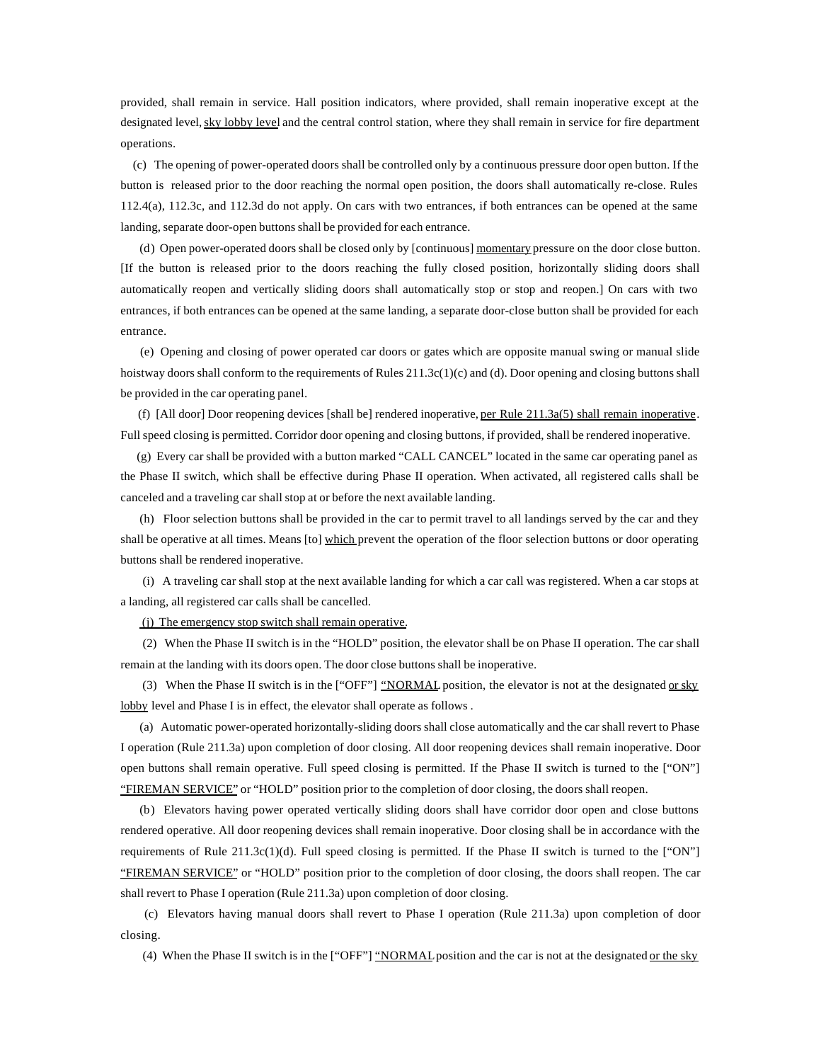provided, shall remain in service. Hall position indicators, where provided, shall remain inoperative except at the designated level, sky lobby level and the central control station, where they shall remain in service for fire department operations.

 (c) The opening of power-operated doors shall be controlled only by a continuous pressure door open button. If the button is released prior to the door reaching the normal open position, the doors shall automatically re-close. Rules 112.4(a), 112.3c, and 112.3d do not apply. On cars with two entrances, if both entrances can be opened at the same landing, separate door-open buttons shall be provided for each entrance.

(d) Open power-operated doors shall be closed only by [continuous] momentary pressure on the door close button. [If the button is released prior to the doors reaching the fully closed position, horizontally sliding doors shall automatically reopen and vertically sliding doors shall automatically stop or stop and reopen.] On cars with two entrances, if both entrances can be opened at the same landing, a separate door-close button shall be provided for each entrance.

 (e) Opening and closing of power operated car doors or gates which are opposite manual swing or manual slide hoistway doors shall conform to the requirements of Rules 211.3c(1)(c) and (d). Door opening and closing buttons shall be provided in the car operating panel.

(f) [All door] Door reopening devices [shall be] rendered inoperative, per Rule  $211.3a(5)$  shall remain inoperative. Full speed closing is permitted. Corridor door opening and closing buttons, if provided, shall be rendered inoperative.

 (g) Every car shall be provided with a button marked "CALL CANCEL" located in the same car operating panel as the Phase II switch, which shall be effective during Phase II operation. When activated, all registered calls shall be canceled and a traveling car shall stop at or before the next available landing.

(h) Floor selection buttons shall be provided in the car to permit travel to all landings served by the car and they shall be operative at all times. Means [to] which prevent the operation of the floor selection buttons or door operating buttons shall be rendered inoperative.

 (i) A traveling car shall stop at the next available landing for which a car call was registered. When a car stops at a landing, all registered car calls shall be cancelled.

(j) The emergency stop switch shall remain operative.

 (2) When the Phase II switch is in the "HOLD" position, the elevator shall be on Phase II operation. The car shall remain at the landing with its doors open. The door close buttons shall be inoperative.

(3) When the Phase II switch is in the ["OFF"] "NORMAL position, the elevator is not at the designated or sky lobby level and Phase I is in effect, the elevator shall operate as follows.

(a) Automatic power-operated horizontally-sliding doors shall close automatically and the car shall revert to Phase I operation (Rule 211.3a) upon completion of door closing. All door reopening devices shall remain inoperative. Door open buttons shall remain operative. Full speed closing is permitted. If the Phase II switch is turned to the ["ON"] "FIREMAN SERVICE" or "HOLD" position prior to the completion of door closing, the doors shall reopen.

(b) Elevators having power operated vertically sliding doors shall have corridor door open and close buttons rendered operative. All door reopening devices shall remain inoperative. Door closing shall be in accordance with the requirements of Rule 211.3c(1)(d). Full speed closing is permitted. If the Phase II switch is turned to the ["ON"] "FIREMAN SERVICE" or "HOLD" position prior to the completion of door closing, the doors shall reopen. The car shall revert to Phase I operation (Rule 211.3a) upon completion of door closing.

 (c) Elevators having manual doors shall revert to Phase I operation (Rule 211.3a) upon completion of door closing.

(4) When the Phase II switch is in the ["OFF"] "NORMAL position and the car is not at the designated or the sky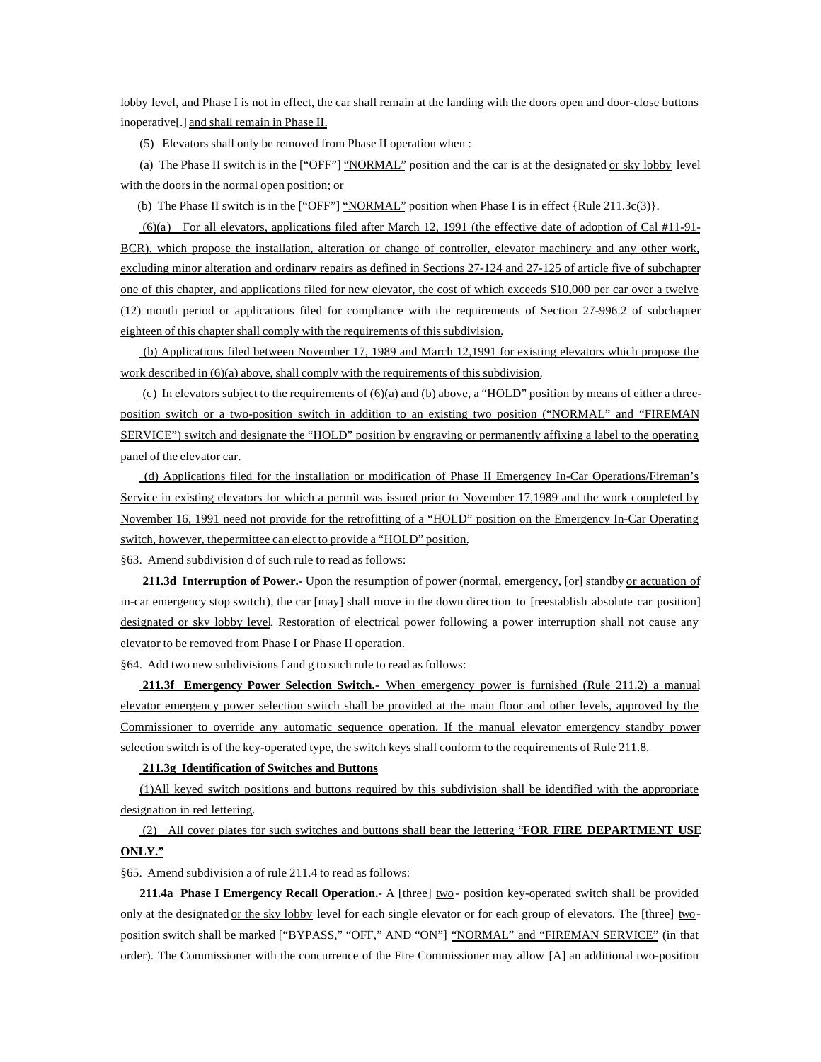lobby level, and Phase I is not in effect, the car shall remain at the landing with the doors open and door-close buttons inoperative[.] and shall remain in Phase II.

(5) Elevators shall only be removed from Phase II operation when :

(a) The Phase II switch is in the ["OFF"] "NORMAL" position and the car is at the designated or sky lobby level with the doors in the normal open position; or

(b) The Phase II switch is in the ["OFF"] "NORMAL" position when Phase I is in effect {Rule 211.3c(3)}.

 (6)(a) For all elevators, applications filed after March 12, 1991 (the effective date of adoption of Cal #11-91- BCR), which propose the installation, alteration or change of controller, elevator machinery and any other work, excluding minor alteration and ordinary repairs as defined in Sections 27-124 and 27-125 of article five of subchapter one of this chapter, and applications filed for new elevator, the cost of which exceeds \$10,000 per car over a twelve (12) month period or applications filed for compliance with the requirements of Section 27-996.2 of subchapter eighteen of this chapter shall comply with the requirements of this subdivision.

 (b) Applications filed between November 17, 1989 and March 12,1991 for existing elevators which propose the work described in (6)(a) above, shall comply with the requirements of this subdivision.

(c) In elevators subject to the requirements of  $(6)(a)$  and (b) above, a "HOLD" position by means of either a threeposition switch or a two-position switch in addition to an existing two position ("NORMAL" and "FIREMAN SERVICE") switch and designate the "HOLD" position by engraving or permanently affixing a label to the operating panel of the elevator car.

 (d) Applications filed for the installation or modification of Phase II Emergency In-Car Operations/Fireman's Service in existing elevators for which a permit was issued prior to November 17,1989 and the work completed by November 16, 1991 need not provide for the retrofitting of a "HOLD" position on the Emergency In-Car Operating switch, however, the permittee can elect to provide a "HOLD" position.

§63. Amend subdivision d of such rule to read as follows:

**211.3d Interruption of Power.-** Upon the resumption of power (normal, emergency, [or] standby or actuation of in-car emergency stop switch), the car [may] shall move in the down direction to [reestablish absolute car position] designated or sky lobby level. Restoration of electrical power following a power interruption shall not cause any elevator to be removed from Phase I or Phase II operation.

§64. Add two new subdivisions f and g to such rule to read as follows:

**211.3f Emergency Power Selection Switch.-** When emergency power is furnished (Rule 211.2) a manual elevator emergency power selection switch shall be provided at the main floor and other levels, approved by the Commissioner to override any automatic sequence operation. If the manual elevator emergency standby power selection switch is of the key-operated type, the switch keys shall conform to the requirements of Rule 211.8.

#### **211.3g Identification of Switches and Buttons**

(1)All keyed switch positions and buttons required by this subdivision shall be identified with the appropriate designation in red lettering.

 (2) All cover plates for such switches and buttons shall bear the lettering "**FOR FIRE DEPARTMENT USE ONLY."**

§65. Amend subdivision a of rule 211.4 to read as follows:

**211.4a Phase I Emergency Recall Operation.**- A [three] two-position key-operated switch shall be provided only at the designated or the sky lobby level for each single elevator or for each group of elevators. The [three] twoposition switch shall be marked ["BYPASS," "OFF," AND "ON"] "NORMAL" and "FIREMAN SERVICE" (in that order). The Commissioner with the concurrence of the Fire Commissioner may allow [A] an additional two-position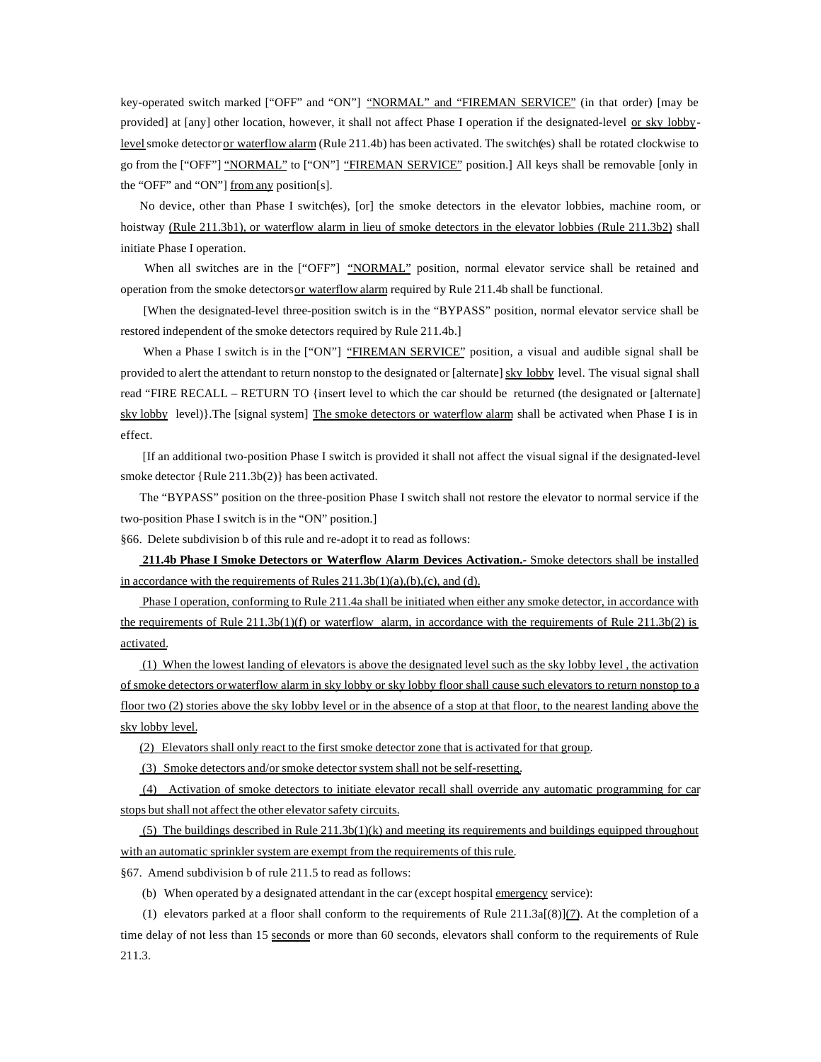key-operated switch marked ["OFF" and "ON"] "NORMAL" and "FIREMAN SERVICE" (in that order) [may be provided] at [any] other location, however, it shall not affect Phase I operation if the designated-level or sky lobbylevel smoke detector or waterflow alarm (Rule 211.4b) has been activated. The switch(es) shall be rotated clockwise to go from the ["OFF"] "NORMAL" to ["ON"] "FIREMAN SERVICE" position.] All keys shall be removable [only in the "OFF" and "ON"] from any position[s].

No device, other than Phase I switch(es), [or] the smoke detectors in the elevator lobbies, machine room, or hoistway (Rule 211.3b1), or waterflow alarm in lieu of smoke detectors in the elevator lobbies (Rule 211.3b2) shall initiate Phase I operation.

When all switches are in the ["OFF"] "NORMAL" position, normal elevator service shall be retained and operation from the smoke detectors or waterflow alarm required by Rule 211.4b shall be functional.

 [When the designated-level three-position switch is in the "BYPASS" position, normal elevator service shall be restored independent of the smoke detectors required by Rule 211.4b.]

When a Phase I switch is in the ["ON"] "FIREMAN SERVICE" position, a visual and audible signal shall be provided to alert the attendant to return nonstop to the designated or [alternate] sky lobby level. The visual signal shall read "FIRE RECALL – RETURN TO {insert level to which the car should be returned (the designated or [alternate] sky lobby level)}. The [signal system] The smoke detectors or waterflow alarm shall be activated when Phase I is in effect.

 [If an additional two-position Phase I switch is provided it shall not affect the visual signal if the designated-level smoke detector {Rule 211.3b(2)} has been activated.

The "BYPASS" position on the three-position Phase I switch shall not restore the elevator to normal service if the two-position Phase I switch is in the "ON" position.]

§66. Delete subdivision b of this rule and re-adopt it to read as follows:

**211.4b Phase I Smoke Detectors or Waterflow Alarm Devices Activation.-** Smoke detectors shall be installed in accordance with the requirements of Rules  $211.3b(1)(a)$ ,  $(b)$ ,  $(c)$ , and  $(d)$ .

 Phase I operation, conforming to Rule 211.4a shall be initiated when either any smoke detector, in accordance with the requirements of Rule  $211.3b(1)(f)$  or waterflow alarm, in accordance with the requirements of Rule  $211.3b(2)$  is activated.

 (1) When the lowest landing of elevators is above the designated level such as the sky lobby level , the activation of smoke detectors or waterflow alarm in sky lobby or sky lobby floor shall cause such elevators to return nonstop to a floor two (2) stories above the sky lobby level or in the absence of a stop at that floor, to the nearest landing above the sky lobby level.

(2) Elevators shall only react to the first smoke detector zone that is activated for that group.

(3) Smoke detectors and/or smoke detector system shall not be self-resetting.

 (4) Activation of smoke detectors to initiate elevator recall shall override any automatic programming for car stops but shall not affect the other elevator safety circuits.

(5) The buildings described in Rule  $211.3b(1)(k)$  and meeting its requirements and buildings equipped throughout with an automatic sprinkler system are exempt from the requirements of this rule.

§67. Amend subdivision b of rule 211.5 to read as follows:

(b) When operated by a designated attendant in the car (except hospital emergency service):

(1) elevators parked at a floor shall conform to the requirements of Rule  $211.3a(8)$ ](7). At the completion of a time delay of not less than 15 seconds or more than 60 seconds, elevators shall conform to the requirements of Rule 211.3.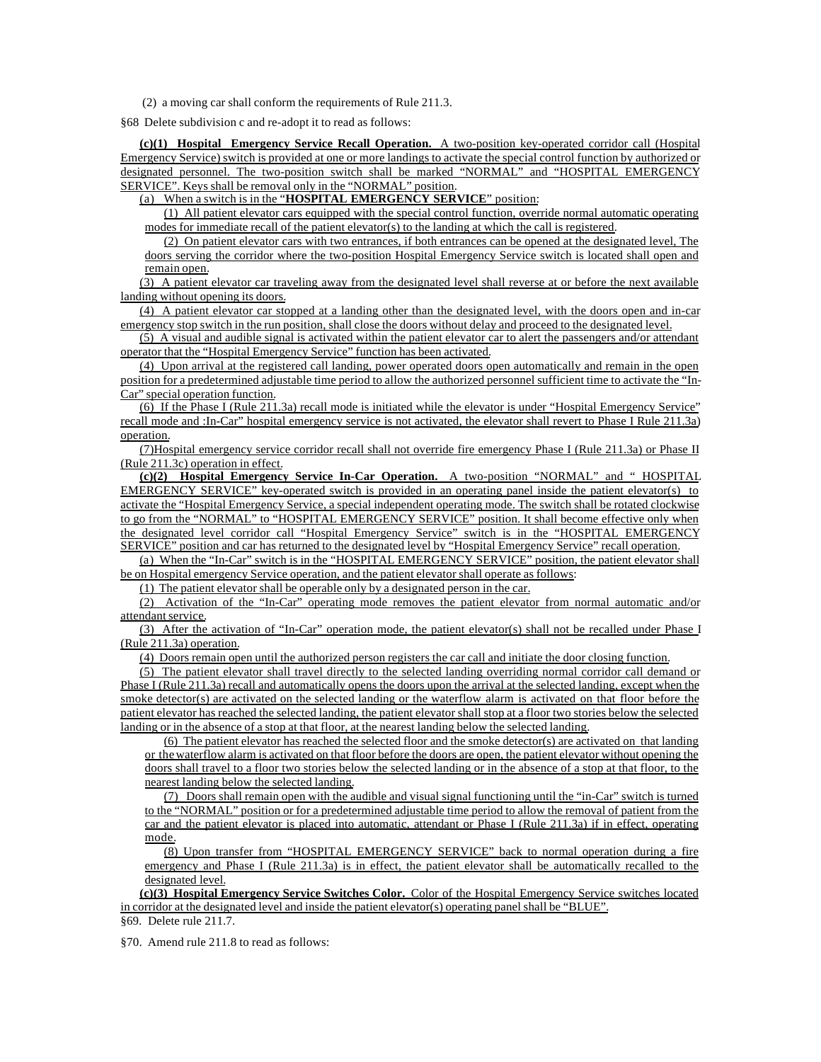(2) a moving car shall conform the requirements of Rule 211.3.

§68 Delete subdivision c and re-adopt it to read as follows:

**(c)(1) Hospital Emergency Service Recall Operation.** A two-position key-operated corridor call (Hospital Emergency Service) switch is provided at one or more landings to activate the special control function by authorized or designated personnel. The two-position switch shall be marked "NORMAL" and "HOSPITAL EMERGENCY SERVICE". Keys shall be removal only in the "NORMAL" position.

(a) When a switch is in the "**HOSPITAL EMERGENCY SERVICE**" position:

(1) All patient elevator cars equipped with the special control function, override normal automatic operating modes for immediate recall of the patient elevator(s) to the landing at which the call is registered.

(2) On patient elevator cars with two entrances, if both entrances can be opened at the designated level, The doors serving the corridor where the two-position Hospital Emergency Service switch is located shall open and remain open.

(3) A patient elevator car traveling away from the designated level shall reverse at or before the next available landing without opening its doors.

(4) A patient elevator car stopped at a landing other than the designated level, with the doors open and in-car emergency stop switch in the run position, shall close the doors without delay and proceed to the designated level.

(5) A visual and audible signal is activated within the patient elevator car to alert the passengers and/or attendant operator that the "Hospital Emergency Service" function has been activated.

(4) Upon arrival at the registered call landing, power operated doors open automatically and remain in the open position for a predetermined adjustable time period to allow the authorized personnel sufficient time to activate the "In-Car" special operation function.

(6) If the Phase I (Rule 211.3a) recall mode is initiated while the elevator is under "Hospital Emergency Service" recall mode and :In-Car" hospital emergency service is not activated, the elevator shall revert to Phase I Rule 211.3a) operation.

(7)Hospital emergency service corridor recall shall not override fire emergency Phase I (Rule 211.3a) or Phase II (Rule 211.3c) operation in effect.

**(c)(2) Hospital Emergency Service In-Car Operation.** A two-position "NORMAL" and " HOSPITAL EMERGENCY SERVICE" key-operated switch is provided in an operating panel inside the patient elevator(s) to activate the "Hospital Emergency Service, a special independent operating mode. The switch shall be rotated clockwise to go from the "NORMAL" to "HOSPITAL EMERGENCY SERVICE" position. It shall become effective only when the designated level corridor call "Hospital Emergency Service" switch is in the "HOSPITAL EMERGENCY SERVICE" position and car has returned to the designated level by "Hospital Emergency Service" recall operation.

(a) When the "In-Car" switch is in the "HOSPITAL EMERGENCY SERVICE" position, the patient elevator shall be on Hospital emergency Service operation, and the patient elevator shall operate as follows:

(1) The patient elevator shall be operable only by a designated person in the car.

(2) Activation of the "In-Car" operating mode removes the patient elevator from normal automatic and/or attendant service.

(3) After the activation of "In-Car" operation mode, the patient elevator(s) shall not be recalled under Phase I (Rule 211.3a) operation.

(4) Doors remain open until the authorized person registers the car call and initiate the door closing function.

(5) The patient elevator shall travel directly to the selected landing overriding normal corridor call demand or Phase I (Rule 211.3a) recall and automatically opens the doors upon the arrival at the selected landing, except when the smoke detector(s) are activated on the selected landing or the waterflow alarm is activated on that floor before the patient elevator has reached the selected landing, the patient elevator shall stop at a floor two stories below the selected landing or in the absence of a stop at that floor, at the nearest landing below the selected landing.

(6) The patient elevator has reached the selected floor and the smoke detector(s) are activated on that landing or the waterflow alarm is activated on that floor before the doors are open, the patient elevator without opening the doors shall travel to a floor two stories below the selected landing or in the absence of a stop at that floor, to the nearest landing below the selected landing.

(7) Doors shall remain open with the audible and visual signal functioning until the "in-Car" switch is turned to the "NORMAL" position or for a predetermined adjustable time period to allow the removal of patient from the car and the patient elevator is placed into automatic, attendant or Phase I (Rule 211.3a) if in effect, operating mode.

(8) Upon transfer from "HOSPITAL EMERGENCY SERVICE" back to normal operation during a fire emergency and Phase I (Rule 211.3a) is in effect, the patient elevator shall be automatically recalled to the designated level.

**(c)(3) Hospital Emergency Service Switches Color.** Color of the Hospital Emergency Service switches located in corridor at the designated level and inside the patient elevator(s) operating panel shall be "BLUE". §69. Delete rule 211.7.

§70. Amend rule 211.8 to read as follows: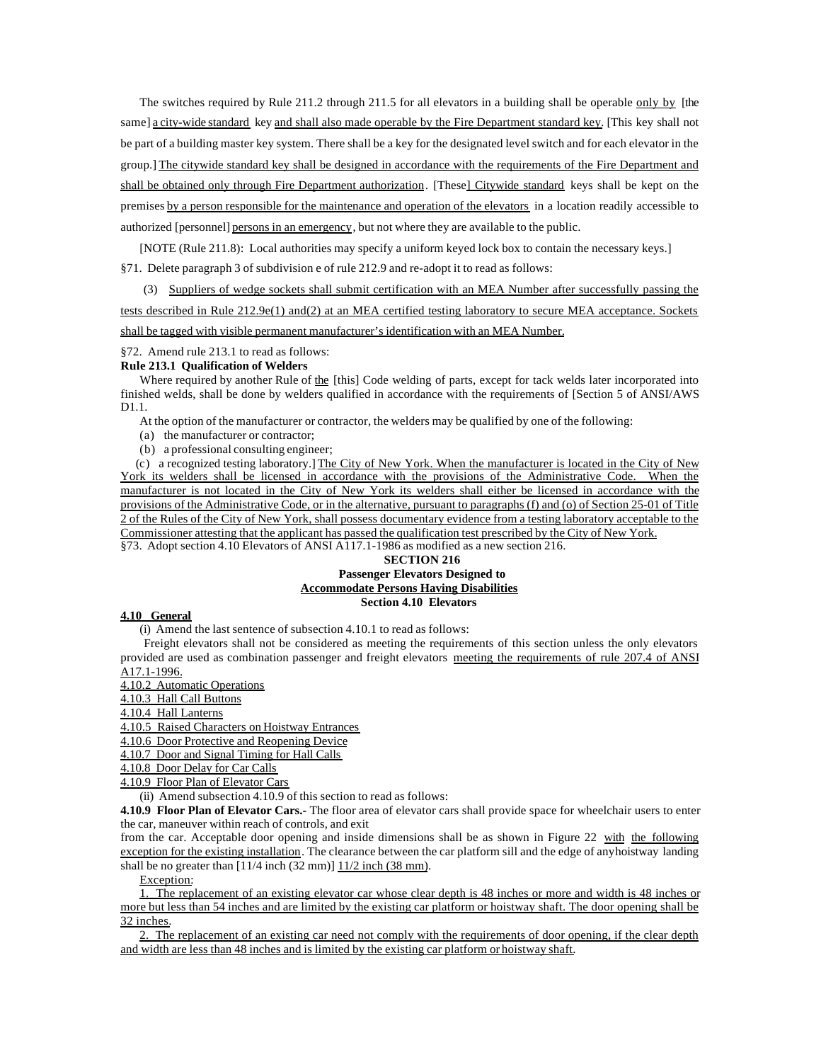The switches required by Rule 211.2 through 211.5 for all elevators in a building shall be operable only by [the same] a city-wide standard key and shall also made operable by the Fire Department standard key. [This key shall not be part of a building master key system. There shall be a key for the designated level switch and for each elevator in the group.] The citywide standard key shall be designed in accordance with the requirements of the Fire Department and shall be obtained only through Fire Department authorization. [These] Citywide standard keys shall be kept on the premises by a person responsible for the maintenance and operation of the elevators in a location readily accessible to authorized [personnel] persons in an emergency, but not where they are available to the public.

[NOTE (Rule 211.8): Local authorities may specify a uniform keyed lock box to contain the necessary keys.]

§71. Delete paragraph 3 of subdivision e of rule 212.9 and re-adopt it to read as follows:

 (3) Suppliers of wedge sockets shall submit certification with an MEA Number after successfully passing the tests described in Rule 212.9e(1) and(2) at an MEA certified testing laboratory to secure MEA acceptance. Sockets shall be tagged with visible permanent manufacturer's identification with an MEA Number.

§72. Amend rule 213.1 to read as follows:

#### **Rule 213.1 Qualification of Welders**

Where required by another Rule of the [this] Code welding of parts, except for tack welds later incorporated into finished welds, shall be done by welders qualified in accordance with the requirements of [Section 5 of ANSI/AWS D1.1.

At the option of the manufacturer or contractor, the welders may be qualified by one of the following:

(a) the manufacturer or contractor;

(b) a professional consulting engineer;

 (c) a recognized testing laboratory.] The City of New York. When the manufacturer is located in the City of New York its welders shall be licensed in accordance with the provisions of the Administrative Code. When the manufacturer is not located in the City of New York its welders shall either be licensed in accordance with the provisions of the Administrative Code, or in the alternative, pursuant to paragraphs (f) and (o) of Section 25-01 of Title 2 of the Rules of the City of New York, shall possess documentary evidence from a testing laboratory acceptable to the Commissioner attesting that the applicant has passed the qualification test prescribed by the City of New York. §73. Adopt section 4.10 Elevators of ANSI A117.1-1986 as modified as a new section 216.

## **SECTION 216 Passenger Elevators Designed to Accommodate Persons Having Disabilities Section 4.10 Elevators**

### **4.10 General**

(i) Amend the last sentence of subsection 4.10.1 to read as follows:

 Freight elevators shall not be considered as meeting the requirements of this section unless the only elevators provided are used as combination passenger and freight elevators meeting the requirements of rule 207.4 of ANSI A17.1-1996.

4.10.2 Automatic Operations

4.10.3 Hall Call Buttons

4.10.4 Hall Lanterns

4.10.5 Raised Characters on Hoistway Entrances

4.10.6 Door Protective and Reopening Device

4.10.7 Door and Signal Timing for Hall Calls

4.10.8 Door Delay for Car Calls

4.10.9 Floor Plan of Elevator Cars

(ii) Amend subsection 4.10.9 of this section to read as follows:

**4.10.9 Floor Plan of Elevator Cars.-** The floor area of elevator cars shall provide space for wheelchair users to enter the car, maneuver within reach of controls, and exit

from the car. Acceptable door opening and inside dimensions shall be as shown in Figure 22 with the following exception for the existing installation. The clearance between the car platform sill and the edge of any hoistway landing shall be no greater than  $[11/4$  inch  $(32 \text{ mm})]$   $11/2$  inch  $(38 \text{ mm})$ .

Exception:

1. The replacement of an existing elevator car whose clear depth is 48 inches or more and width is 48 inches or more but less than 54 inches and are limited by the existing car platform or hoistway shaft. The door opening shall be 32 inches.

2. The replacement of an existing car need not comply with the requirements of door opening, if the clear depth and width are less than 48 inches and is limited by the existing car platform or hoistway shaft.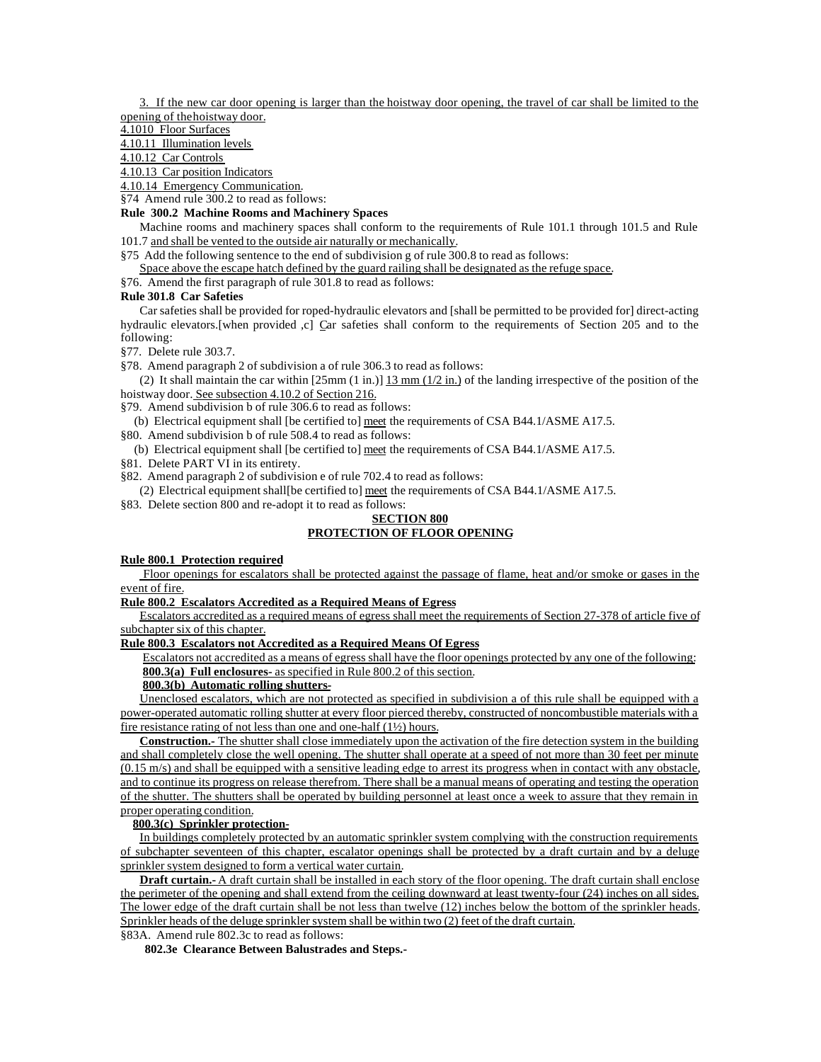3. If the new car door opening is larger than the hoistway door opening, the travel of car shall be limited to the opening of the hoistway door.

4.1010 Floor Surfaces

#### 4.10.11 Illumination levels

4.10.12 Car Controls

4.10.13 Car position Indicators

- 4.10.14 Emergency Communication.
- §74 Amend rule 300.2 to read as follows:

# **Rule 300.2 Machine Rooms and Machinery Spaces**

Machine rooms and machinery spaces shall conform to the requirements of Rule 101.1 through 101.5 and Rule 101.7 and shall be vented to the outside air naturally or mechanically.

- §75 Add the following sentence to the end of subdivision g of rule 300.8 to read as follows:
- Space above the escape hatch defined by the guard railing shall be designated as the refuge space.
- §76. Amend the first paragraph of rule 301.8 to read as follows:

### **Rule 301.8 Car Safeties**

Car safeties shall be provided for roped-hydraulic elevators and [shall be permitted to be provided for] direct-acting hydraulic elevators.[when provided ,c] Car safeties shall conform to the requirements of Section 205 and to the following:

§77. Delete rule 303.7.

§78. Amend paragraph 2 of subdivision a of rule 306.3 to read as follows:

(2) It shall maintain the car within  $[25mm (1 in.)]$   $\underline{13mm (1/2 in.)}$  of the landing irrespective of the position of the hoistway door. See subsection 4.10.2 of Section 216.

- §79. Amend subdivision b of rule 306.6 to read as follows:
- (b) Electrical equipment shall [be certified to] meet the requirements of CSA B44.1/ASME A17.5.
- §80. Amend subdivision b of rule 508.4 to read as follows:
- (b) Electrical equipment shall [be certified to] meet the requirements of CSA B44.1/ASME A17.5.
- §81. Delete PART VI in its entirety.
- §82. Amend paragraph 2 of subdivision e of rule 702.4 to read as follows:

(2) Electrical equipment shall[be certified to] meet the requirements of CSA B44.1/ASME A17.5.

§83. Delete section 800 and re-adopt it to read as follows:

#### **SECTION 800 PROTECTION OF FLOOR OPENING**

# **Rule 800.1 Protection required**

 Floor openings for escalators shall be protected against the passage of flame, heat and/or smoke or gases in the event of fire.

#### **Rule 800.2 Escalators Accredited as a Required Means of Egress**

Escalators accredited as a required means of egress shall meet the requirements of Section 27-378 of article five of subchapter six of this chapter.

#### **Rule 800.3 Escalators not Accredited as a Required Means Of Egress**

Escalators not accredited as a means of egress shall have the floor openings protected by any one of the following: **800.3(a) Full enclosures-** as specified in Rule 800.2 of this section.

**800.3(b) Automatic rolling shutters-**

Unenclosed escalators, which are not protected as specified in subdivision a of this rule shall be equipped with a power-operated automatic rolling shutter at every floor pierced thereby, constructed of noncombustible materials with a fire resistance rating of not less than one and one-half  $(1\frac{1}{2})$  hours.

**Construction.-** The shutter shall close immediately upon the activation of the fire detection system in the building and shall completely close the well opening. The shutter shall operate at a speed of not more than 30 feet per minute  $(0.15 \text{ m/s})$  and shall be equipped with a sensitive leading edge to arrest its progress when in contact with any obstacle, and to continue its progress on release therefrom. There shall be a manual means of operating and testing the operation of the shutter. The shutters shall be operated by building personnel at least once a week to assure that they remain in proper operating condition.

## **800.3(c) Sprinkler protection-**

In buildings completely protected by an automatic sprinkler system complying with the construction requirements of subchapter seventeen of this chapter, escalator openings shall be protected by a draft curtain and by a deluge sprinkler system designed to form a vertical water curtain.

**Draft curtain.** A draft curtain shall be installed in each story of the floor opening. The draft curtain shall enclose the perimeter of the opening and shall extend from the ceiling downward at least twenty-four (24) inches on all sides. The lower edge of the draft curtain shall be not less than twelve (12) inches below the bottom of the sprinkler heads. Sprinkler heads of the deluge sprinkler system shall be within two (2) feet of the draft curtain. §83A. Amend rule 802.3c to read as follows:

**802.3e Clearance Between Balustrades and Steps.-**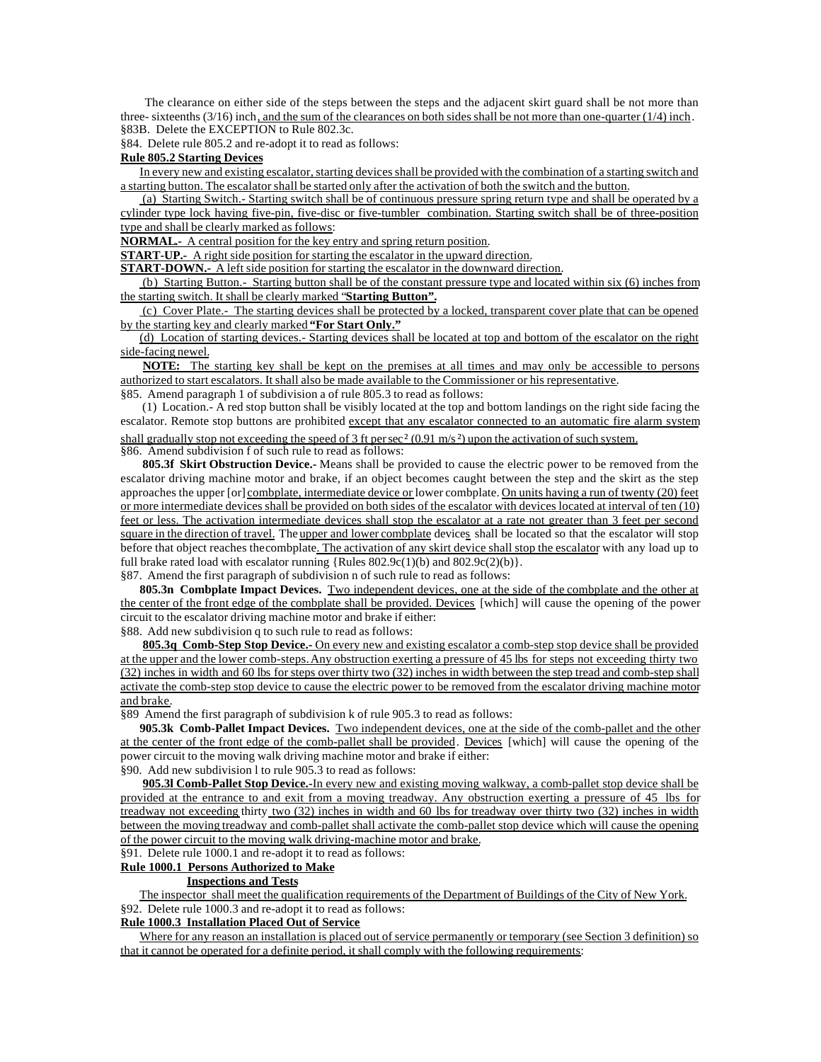The clearance on either side of the steps between the steps and the adjacent skirt guard shall be not more than three- sixteenths  $(3/16)$  inch, and the sum of the clearances on both sides shall be not more than one-quarter  $(1/4)$  inch. §83B. Delete the EXCEPTION to Rule 802.3c.

§84. Delete rule 805.2 and re-adopt it to read as follows:

#### **Rule 805.2 Starting Devices**

In every new and existing escalator, starting devices shall be provided with the combination of a starting switch and a starting button. The escalator shall be started only after the activation of both the switch and the button.

 (a) Starting Switch.- Starting switch shall be of continuous pressure spring return type and shall be operated by a cylinder type lock having five-pin, five-disc or five-tumbler combination. Starting switch shall be of three-position type and shall be clearly marked as follows:

**NORMAL.-** A central position for the key entry and spring return position.

**START-UP.** A right side position for starting the escalator in the upward direction.

**START-DOWN.-** A left side position for starting the escalator in the downward direction.

 (b) Starting Button.- Starting button shall be of the constant pressure type and located within six (6) inches from the starting switch. It shall be clearly marked "**Starting Button".**

 (c) Cover Plate.- The starting devices shall be protected by a locked, transparent cover plate that can be opened by the starting key and clearly marked **"For Start Only."**

(d) Location of starting devices.- Starting devices shall be located at top and bottom of the escalator on the right side-facing newel.

**NOTE:** The starting key shall be kept on the premises at all times and may only be accessible to persons authorized to start escalators. It shall also be made available to the Commissioner or his representative. §85. Amend paragraph 1 of subdivision a of rule 805.3 to read as follows:

 (1) Location.- A red stop button shall be visibly located at the top and bottom landings on the right side facing the escalator. Remote stop buttons are prohibited except that any escalator connected to an automatic fire alarm system shall gradually stop not exceeding the speed of 3 ft per sec<sup>2</sup> (0.91 m/s<sup>2</sup>) upon the activation of such system.

§86. Amend subdivision f of such rule to read as follows:

 **805.3f Skirt Obstruction Device.-** Means shall be provided to cause the electric power to be removed from the escalator driving machine motor and brake, if an object becomes caught between the step and the skirt as the step approaches the upper [or] combplate, intermediate device or lower combplate. On units having a run of twenty (20) feet or more intermediate devices shall be provided on both sides of the escalator with devices located at interval of ten (10) feet or less. The activation intermediate devices shall stop the escalator at a rate not greater than 3 feet per second square in the direction of travel. The upper and lower combplate devices shall be located so that the escalator will stop before that object reaches the combplate. The activation of any skirt device shall stop the escalator with any load up to full brake rated load with escalator running {Rules  $802.9c(1)(b)$  and  $802.9c(2)(b)$ }.

§87. Amend the first paragraph of subdivision n of such rule to read as follows:

**805.3n Combplate Impact Devices.** Two independent devices, one at the side of the combplate and the other at the center of the front edge of the combplate shall be provided. Devices [which] will cause the opening of the power circuit to the escalator driving machine motor and brake if either:

§88. Add new subdivision q to such rule to read as follows:

**805.3q Comb-Step Stop Device.-** On every new and existing escalator a comb-step stop device shall be provided at the upper and the lower comb-steps. Any obstruction exerting a pressure of 45 lbs for steps not exceeding thirty two (32) inches in width and 60 lbs for steps over thirty two (32) inches in width between the step tread and comb-step shall activate the comb-step stop device to cause the electric power to be removed from the escalator driving machine motor and brake.

§89 Amend the first paragraph of subdivision k of rule 905.3 to read as follows:

**905.3k Comb-Pallet Impact Devices.** Two independent devices, one at the side of the comb-pallet and the other at the center of the front edge of the comb-pallet shall be provided. Devices [which] will cause the opening of the power circuit to the moving walk driving machine motor and brake if either:

§90. Add new subdivision l to rule 905.3 to read as follows:

**905.3l Comb-Pallet Stop Device.-**In every new and existing moving walkway, a comb-pallet stop device shall be provided at the entrance to and exit from a moving treadway. Any obstruction exerting a pressure of 45 lbs for treadway not exceeding thirty two (32) inches in width and 60 lbs for treadway over thirty two (32) inches in width between the moving treadway and comb-pallet shall activate the comb-pallet stop device which will cause the opening of the power circuit to the moving walk driving-machine motor and brake.

§91. Delete rule 1000.1 and re-adopt it to read as follows:

# **Rule 1000.1 Persons Authorized to Make**

# **Inspections and Tests**

The inspector shall meet the qualification requirements of the Department of Buildings of the City of New York. §92. Delete rule 1000.3 and re-adopt it to read as follows:

# **Rule 1000.3 Installation Placed Out of Service**

Where for any reason an installation is placed out of service permanently or temporary (see Section 3 definition) so that it cannot be operated for a definite period, it shall comply with the following requirements: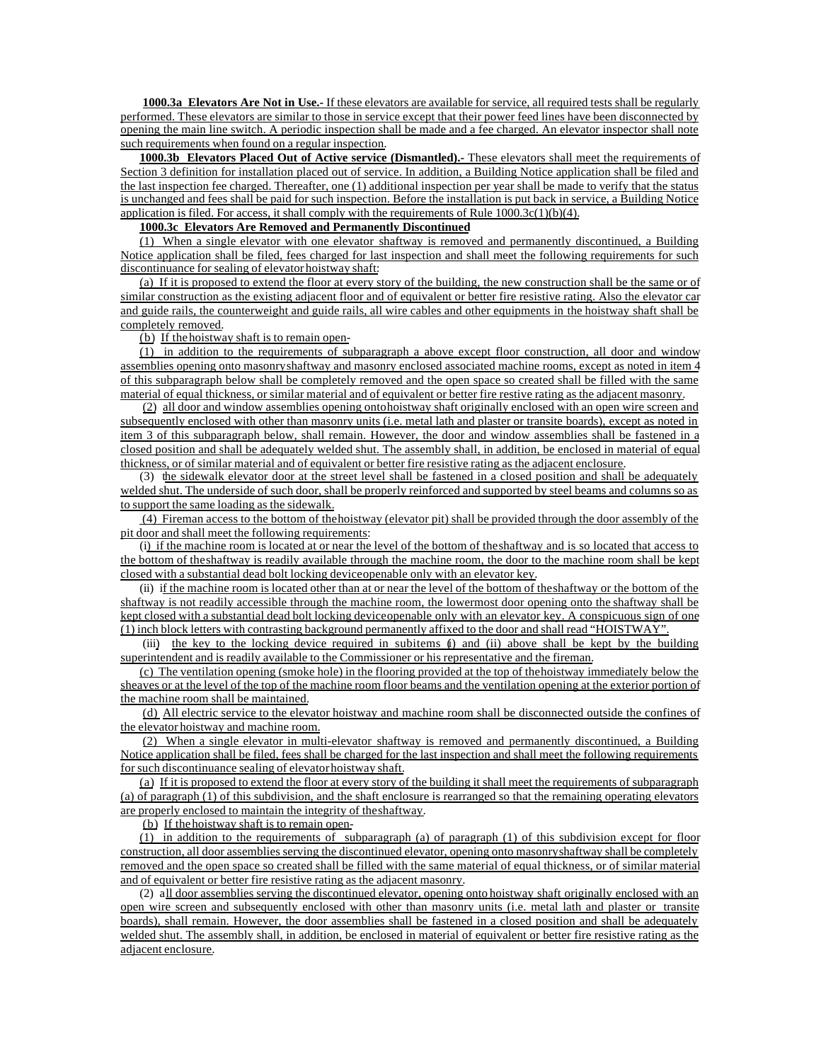**1000.3a Elevators Are Not in Use.-** If these elevators are available for service, all required tests shall be regularly performed. These elevators are similar to those in service except that their power feed lines have been disconnected by opening the main line switch. A periodic inspection shall be made and a fee charged. An elevator inspector shall note such requirements when found on a regular inspection.

**1000.3b Elevators Placed Out of Active service (Dismantled).**- These elevators shall meet the requirements of Section 3 definition for installation placed out of service. In addition, a Building Notice application shall be filed and the last inspection fee charged. Thereafter, one (1) additional inspection per year shall be made to verify that the status is unchanged and fees shall be paid for such inspection. Before the installation is put back in service, a Building Notice application is filed. For access, it shall comply with the requirements of Rule 1000.3c(1)(b)(4).

# **1000.3c Elevators Are Removed and Permanently Discontinued**

(1) When a single elevator with one elevator shaftway is removed and permanently discontinued, a Building Notice application shall be filed, fees charged for last inspection and shall meet the following requirements for such discontinuance for sealing of elevator hoistway shaft:

(a) If it is proposed to extend the floor at every story of the building, the new construction shall be the same or of similar construction as the existing adjacent floor and of equivalent or better fire resistive rating. Also the elevator car and guide rails, the counterweight and guide rails, all wire cables and other equipments in the hoistway shaft shall be completely removed.

#### (b) If the hoistway shaft is to remain open-

(1) in addition to the requirements of subparagraph a above except floor construction, all door and window assemblies opening onto masonry shaftway and masonry enclosed associated machine rooms, except as noted in item 4 of this subparagraph below shall be completely removed and the open space so created shall be filled with the same material of equal thickness, or similar material and of equivalent or better fire restive rating as the adjacent masonry.

(2) all door and window assemblies opening onto hoistway shaft originally enclosed with an open wire screen and subsequently enclosed with other than masonry units (i.e. metal lath and plaster or transite boards), except as noted in item 3 of this subparagraph below, shall remain. However, the door and window assemblies shall be fastened in a closed position and shall be adequately welded shut. The assembly shall, in addition, be enclosed in material of equal thickness, or of similar material and of equivalent or better fire resistive rating as the adjacent enclosure.

(3) the sidewalk elevator door at the street level shall be fastened in a closed position and shall be adequately welded shut. The underside of such door, shall be properly reinforced and supported by steel beams and columns so as to support the same loading as the sidewalk.

 (4) Fireman access to the bottom of the hoistway (elevator pit) shall be provided through the door assembly of the pit door and shall meet the following requirements:

(i) if the machine room is located at or near the level of the bottom of the shaftway and is so located that access to the bottom of the shaftway is readily available through the machine room, the door to the machine room shall be kept closed with a substantial dead bolt locking device openable only with an elevator key.

(ii) if the machine room is located other than at or near the level of the bottom of the shaftway or the bottom of the shaftway is not readily accessible through the machine room, the lowermost door opening onto the shaftway shall be kept closed with a substantial dead bolt locking device openable only with an elevator key. A conspicuous sign of one (1) inch block letters with contrasting background permanently affixed to the door and shall read "HOISTWAY".

 (iii) the key to the locking device required in subitems (i) and (ii) above shall be kept by the building superintendent and is readily available to the Commissioner or his representative and the fireman.

(c) The ventilation opening (smoke hole) in the flooring provided at the top of the hoistway immediately below the sheaves or at the level of the top of the machine room floor beams and the ventilation opening at the exterior portion of the machine room shall be maintained.

(d) All electric service to the elevator hoistway and machine room shall be disconnected outside the confines of the elevator hoistway and machine room.

(2) When a single elevator in multi-elevator shaftway is removed and permanently discontinued, a Building Notice application shall be filed, fees shall be charged for the last inspection and shall meet the following requirements for such discontinuance sealing of elevator hoistway shaft.

(a) If it is proposed to extend the floor at every story of the building it shall meet the requirements of subparagraph (a) of paragraph (1) of this subdivision, and the shaft enclosure is rearranged so that the remaining operating elevators are properly enclosed to maintain the integrity of the shaftway.

(b) If the hoistway shaft is to remain open-

(1) in addition to the requirements of subparagraph (a) of paragraph (1) of this subdivision except for floor construction, all door assemblies serving the discontinued elevator, opening onto masonry shaftway shall be completely removed and the open space so created shall be filled with the same material of equal thickness, or of similar material and of equivalent or better fire resistive rating as the adjacent masonry.

(2) all door assemblies serving the discontinued elevator, opening onto hoistway shaft originally enclosed with an open wire screen and subsequently enclosed with other than masonry units (i.e. metal lath and plaster or transite boards), shall remain. However, the door assemblies shall be fastened in a closed position and shall be adequately welded shut. The assembly shall, in addition, be enclosed in material of equivalent or better fire resistive rating as the adjacent enclosure.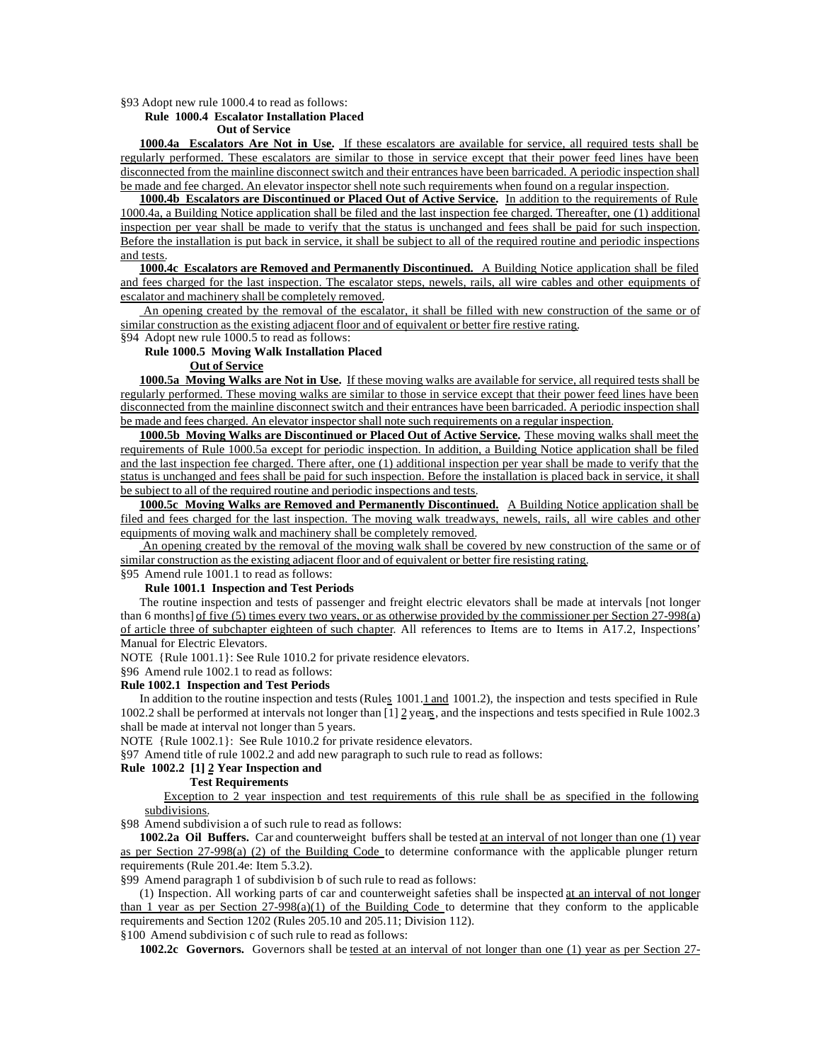§93 Adopt new rule 1000.4 to read as follows:

### **Rule 1000.4 Escalator Installation Placed**

#### **Out of Service**

**1000.4a Escalators Are Not in Use.** If these escalators are available for service, all required tests shall be regularly performed. These escalators are similar to those in service except that their power feed lines have been disconnected from the mainline disconnect switch and their entrances have been barricaded. A periodic inspection shall be made and fee charged. An elevator inspector shell note such requirements when found on a regular inspection.

**1000.4b Escalators are Discontinued or Placed Out of Active Service.** In addition to the requirements of Rule 1000.4a, a Building Notice application shall be filed and the last inspection fee charged. Thereafter, one (1) additional inspection per year shall be made to verify that the status is unchanged and fees shall be paid for such inspection. Before the installation is put back in service, it shall be subject to all of the required routine and periodic inspections and tests.

**1000.4c Escalators are Removed and Permanently Discontinued.** A Building Notice application shall be filed and fees charged for the last inspection. The escalator steps, newels, rails, all wire cables and other equipments of escalator and machinery shall be completely removed.

 An opening created by the removal of the escalator, it shall be filled with new construction of the same or of similar construction as the existing adjacent floor and of equivalent or better fire restive rating. §94 Adopt new rule 1000.5 to read as follows:

**Rule 1000.5 Moving Walk Installation Placed**

#### **Out of Service**

**1000.5a Moving Walks are Not in Use.** If these moving walks are available for service, all required tests shall be regularly performed. These moving walks are similar to those in service except that their power feed lines have been disconnected from the mainline disconnect switch and their entrances have been barricaded. A periodic inspection shall be made and fees charged. An elevator inspector shall note such requirements on a regular inspection.

**1000.5b Moving Walks are Discontinued or Placed Out of Active Service.** These moving walks shall meet the requirements of Rule 1000.5a except for periodic inspection. In addition, a Building Notice application shall be filed and the last inspection fee charged. There after, one (1) additional inspection per year shall be made to verify that the status is unchanged and fees shall be paid for such inspection. Before the installation is placed back in service, it shall be subject to all of the required routine and periodic inspections and tests.

**1000.5c Moving Walks are Removed and Permanently Discontinued.** A Building Notice application shall be filed and fees charged for the last inspection. The moving walk treadways, newels, rails, all wire cables and other equipments of moving walk and machinery shall be completely removed.

 An opening created by the removal of the moving walk shall be covered by new construction of the same or of similar construction as the existing adjacent floor and of equivalent or better fire resisting rating.

# §95 Amend rule 1001.1 to read as follows:

## **Rule 1001.1 Inspection and Test Periods**

The routine inspection and tests of passenger and freight electric elevators shall be made at intervals [not longer than 6 months] of five (5) times every two years, or as otherwise provided by the commissioner per Section 27-998(a) of article three of subchapter eighteen of such chapter. All references to Items are to Items in A17.2, Inspections' Manual for Electric Elevators.

NOTE {Rule 1001.1}: See Rule 1010.2 for private residence elevators.

§96 Amend rule 1002.1 to read as follows:

## **Rule 1002.1 Inspection and Test Periods**

In addition to the routine inspection and tests (Rules 1001.1 and 1001.2), the inspection and tests specified in Rule 1002.2 shall be performed at intervals not longer than [1] 2 years, and the inspections and tests specified in Rule 1002.3 shall be made at interval not longer than 5 years.

NOTE {Rule 1002.1}: See Rule 1010.2 for private residence elevators.

§97 Amend title of rule 1002.2 and add new paragraph to such rule to read as follows:

#### **Rule 1002.2 [1] 2 Year Inspection and**

## **Test Requirements**

Exception to 2 year inspection and test requirements of this rule shall be as specified in the following subdivisions.

§98 Amend subdivision a of such rule to read as follows:

**1002.2a Oil Buffers.** Car and counterweight buffers shall be tested at an interval of not longer than one (1) year as per Section 27-998(a) (2) of the Building Code to determine conformance with the applicable plunger return requirements (Rule 201.4e: Item 5.3.2).

§99 Amend paragraph 1 of subdivision b of such rule to read as follows:

(1) Inspection*.* All working parts of car and counterweight safeties shall be inspected at an interval of not longer than 1 year as per Section 27-998(a)(1) of the Building Code to determine that they conform to the applicable requirements and Section 1202 (Rules 205.10 and 205.11; Division 112).

§100 Amend subdivision c of such rule to read as follows:

**1002.2c Governors.** Governors shall be tested at an interval of not longer than one (1) year as per Section 27-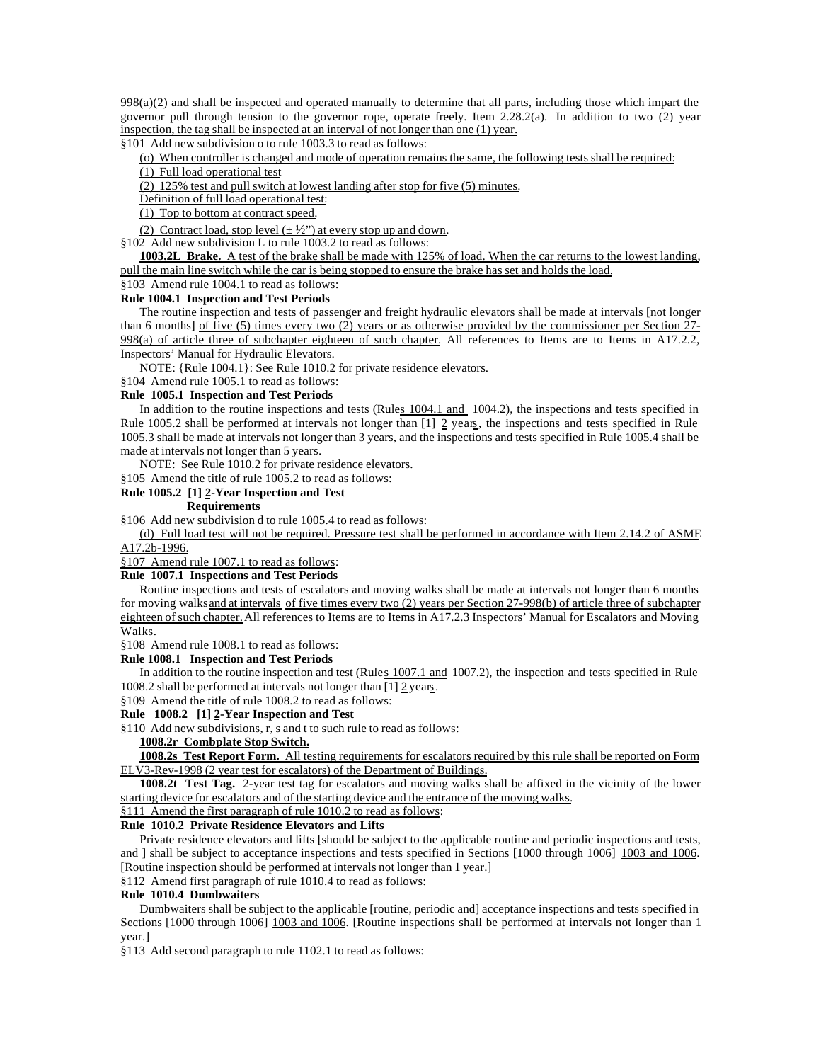$998(a)(2)$  and shall be inspected and operated manually to determine that all parts, including those which impart the governor pull through tension to the governor rope, operate freely. Item 2.28.2(a). In addition to two (2) year inspection, the tag shall be inspected at an interval of not longer than one (1) year.

§101 Add new subdivision o to rule 1003.3 to read as follows:

(o) When controller is changed and mode of operation remains the same, the following tests shall be required:

(1) Full load operational test

(2) 125% test and pull switch at lowest landing after stop for five (5) minutes.

Definition of full load operational test:

(1) Top to bottom at contract speed.

(2) Contract load, stop level  $(\pm \frac{1}{2})$  at every stop up and down.

§102 Add new subdivision L to rule 1003.2 to read as follows:

**1003.2L Brake.** A test of the brake shall be made with 125% of load. When the car returns to the lowest landing, pull the main line switch while the car is being stopped to ensure the brake has set and holds the load.

#### §103 Amend rule 1004.1 to read as follows: **Rule 1004.1 Inspection and Test Periods**

The routine inspection and tests of passenger and freight hydraulic elevators shall be made at intervals [not longer than 6 months] of five (5) times every two (2) years or as otherwise provided by the commissioner per Section 27-998(a) of article three of subchapter eighteen of such chapter. All references to Items are to Items in A17.2.2, Inspectors' Manual for Hydraulic Elevators.

NOTE: {Rule 1004.1}: See Rule 1010.2 for private residence elevators.

§104 Amend rule 1005.1 to read as follows:

#### **Rule 1005.1 Inspection and Test Periods**

In addition to the routine inspections and tests (Rules 1004.1 and 1004.2), the inspections and tests specified in Rule 1005.2 shall be performed at intervals not longer than [1] 2 years, the inspections and tests specified in Rule 1005.3 shall be made at intervals not longer than 3 years, and the inspections and tests specified in Rule 1005.4 shall be made at intervals not longer than 5 years.

NOTE: See Rule 1010.2 for private residence elevators.

§105 Amend the title of rule 1005.2 to read as follows:

# **Rule 1005.2 [1] 2-Year Inspection and Test**

## **Requirements**

§106 Add new subdivision d to rule 1005.4 to read as follows:

(d) Full load test will not be required. Pressure test shall be performed in accordance with Item 2.14.2 of ASME A17.2b-1996.

§107 Amend rule 1007.1 to read as follows:

#### **Rule 1007.1 Inspections and Test Periods**

Routine inspections and tests of escalators and moving walks shall be made at intervals not longer than 6 months for moving walks and at intervals of five times every two (2) years per Section 27-998(b) of article three of subchapter eighteen of such chapter. All references to Items are to Items in A17.2.3 Inspectors' Manual for Escalators and Moving Walks.

§108 Amend rule 1008.1 to read as follows:

# **Rule 1008.1 Inspection and Test Periods**

In addition to the routine inspection and test (Rules 1007.1 and 1007.2), the inspection and tests specified in Rule 1008.2 shall be performed at intervals not longer than  $[1]$   $\underline{2}$  years.

§109 Amend the title of rule 1008.2 to read as follows:

#### **Rule 1008.2 [1] 2-Year Inspection and Test**

§110 Add new subdivisions, r, s and t to such rule to read as follows:

# **1008.2r Combplate Stop Switch.**

**1008.2s Test Report Form.** All testing requirements for escalators required by this rule shall be reported on Form ELV3-Rev-1998 (2 year test for escalators) of the Department of Buildings.

**1008.2t Test Tag.** 2-year test tag for escalators and moving walks shall be affixed in the vicinity of the lower starting device for escalators and of the starting device and the entrance of the moving walks.

§111 Amend the first paragraph of rule 1010.2 to read as follows:

## **Rule 1010.2 Private Residence Elevators and Lifts**

Private residence elevators and lifts [should be subject to the applicable routine and periodic inspections and tests, and ] shall be subject to acceptance inspections and tests specified in Sections [1000 through 1006] 1003 and 1006. [Routine inspection should be performed at intervals not longer than 1 year.]

#### §112 Amend first paragraph of rule 1010.4 to read as follows:

## **Rule 1010.4 Dumbwaiters**

Dumbwaiters shall be subject to the applicable [routine, periodic and] acceptance inspections and tests specified in Sections [1000 through 1006] 1003 and 1006. [Routine inspections shall be performed at intervals not longer than 1 year.]

§113 Add second paragraph to rule 1102.1 to read as follows: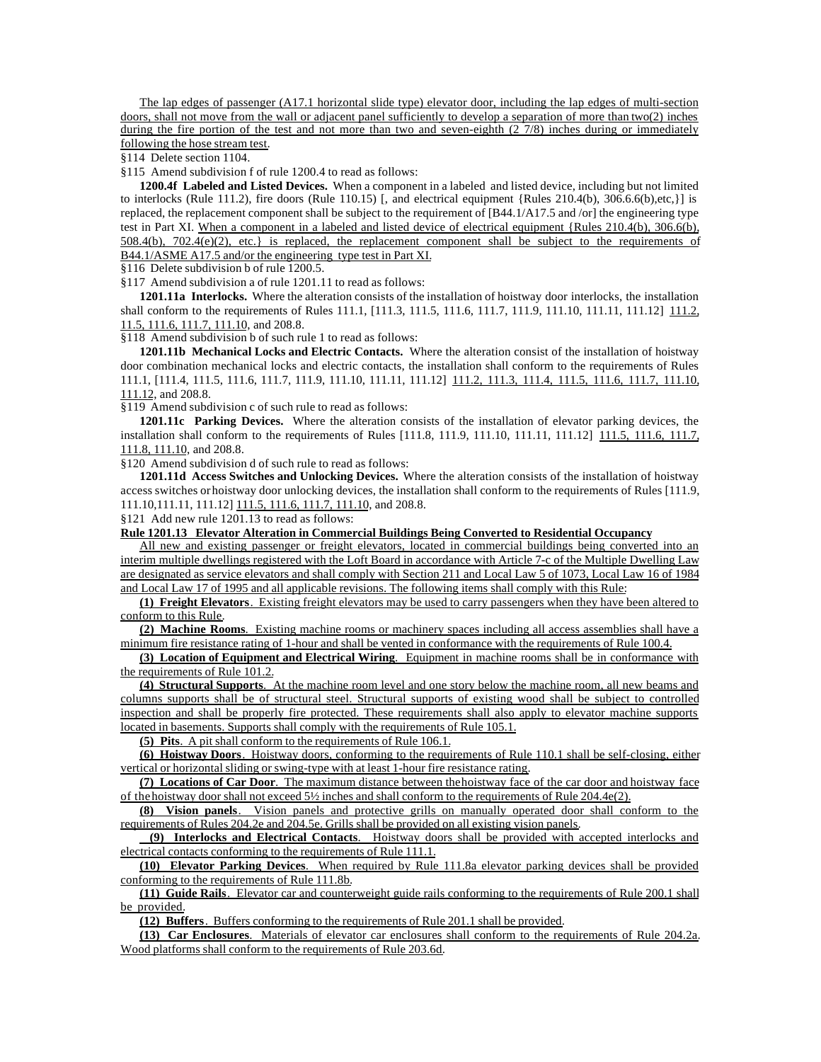The lap edges of passenger (A17.1 horizontal slide type) elevator door, including the lap edges of multi-section doors, shall not move from the wall or adjacent panel sufficiently to develop a separation of more than two(2) inches during the fire portion of the test and not more than two and seven-eighth (2 7/8) inches during or immediately following the hose stream test.

§114 Delete section 1104.

§115 Amend subdivision f of rule 1200.4 to read as follows:

**1200.4f Labeled and Listed Devices.** When a component in a labeled and listed device, including but not limited to interlocks (Rule 111.2), fire doors (Rule 110.15) [, and electrical equipment {Rules  $210.4(b)$ ,  $306.6.6(b)$ ,etc,}] is replaced, the replacement component shall be subject to the requirement of [B44.1/A17.5 and /or] the engineering type test in Part XI. When a component in a labeled and listed device of electrical equipment {Rules 210.4(b), 306.6(b),  $508.4(b)$ ,  $702.4(e)(2)$ , etc.} is replaced, the replacement component shall be subject to the requirements of B44.1/ASME A17.5 and/or the engineering type test in Part XI.

§116 Delete subdivision b of rule 1200.5.

§117 Amend subdivision a of rule 1201.11 to read as follows:

**1201.11a Interlocks.** Where the alteration consists of the installation of hoistway door interlocks, the installation shall conform to the requirements of Rules 111.1, [111.3, 111.5, 111.6, 111.7, 111.9, 111.10, 111.11, 111.12] 111.2, 11.5, 111.6, 111.7, 111.10, and 208.8.

§118 Amend subdivision b of such rule 1 to read as follows:

**1201.11b Mechanical Locks and Electric Contacts.** Where the alteration consist of the installation of hoistway door combination mechanical locks and electric contacts, the installation shall conform to the requirements of Rules 111.1, [111.4, 111.5, 111.6, 111.7, 111.9, 111.10, 111.11, 111.12] 111.2, 111.3, 111.4, 111.5, 111.6, 111.7, 111.10, 111.12, and 208.8.

§119 Amend subdivision c of such rule to read as follows:

**1201.11c Parking Devices.** Where the alteration consists of the installation of elevator parking devices, the installation shall conform to the requirements of Rules [111.8, 111.9, 111.10, 111.11, 111.12] 111.5, 111.6, 111.7, 111.8, 111.10, and 208.8.

§120 Amend subdivision d of such rule to read as follows:

**1201.11d Access Switches and Unlocking Devices.** Where the alteration consists of the installation of hoistway access switches or hoistway door unlocking devices, the installation shall conform to the requirements of Rules [111.9, 111.10,111.11, 111.12] 111.5, 111.6, 111.7, 111.10, and 208.8.

§121 Add new rule 1201.13 to read as follows:

**Rule 1201.13 Elevator Alteration in Commercial Buildings Being Converted to Residential Occupancy**

All new and existing passenger or freight elevators, located in commercial buildings being converted into an interim multiple dwellings registered with the Loft Board in accordance with Article 7-c of the Multiple Dwelling Law are designated as service elevators and shall comply with Section 211 and Local Law 5 of 1073, Local Law 16 of 1984 and Local Law 17 of 1995 and all applicable revisions. The following items shall comply with this Rule:

**(1) Freight Elevators**. Existing freight elevators may be used to carry passengers when they have been altered to conform to this Rule.

**(2) Machine Rooms**. Existing machine rooms or machinery spaces including all access assemblies shall have a minimum fire resistance rating of 1-hour and shall be vented in conformance with the requirements of Rule 100.4.

**(3) Location of Equipment and Electrical Wiring**. Equipment in machine rooms shall be in conformance with the requirements of Rule 101.2.

**(4) Structural Supports**. At the machine room level and one story below the machine room, all new beams and columns supports shall be of structural steel. Structural supports of existing wood shall be subject to controlled inspection and shall be properly fire protected. These requirements shall also apply to elevator machine supports located in basements. Supports shall comply with the requirements of Rule 105.1.

**(5) Pits**. A pit shall conform to the requirements of Rule 106.1.

**(6) Hoistway Doors**. Hoistway doors, conforming to the requirements of Rule 110.1 shall be self-closing, either vertical or horizontal sliding or swing-type with at least 1-hour fire resistance rating.

**(7) Locations of Car Door**. The maximum distance between the hoistway face of the car door and hoistway face of the hoistway door shall not exceed  $5\frac{1}{2}$  inches and shall conform to the requirements of Rule 204.4e(2).

**(8) Vision panels**. Vision panels and protective grills on manually operated door shall conform to the requirements of Rules 204.2e and 204.5e. Grills shall be provided on all existing vision panels.

 **(9) Interlocks and Electrical Contacts**. Hoistway doors shall be provided with accepted interlocks and electrical contacts conforming to the requirements of Rule 111.1.

**(10) Elevator Parking Devices**. When required by Rule 111.8a elevator parking devices shall be provided conforming to the requirements of Rule 111.8b.

**(11) Guide Rails**. Elevator car and counterweight guide rails conforming to the requirements of Rule 200.1 shall be provided.

**(12) Buffers**. Buffers conforming to the requirements of Rule 201.1 shall be provided.

**(13) Car Enclosures**. Materials of elevator car enclosures shall conform to the requirements of Rule 204.2a. Wood platforms shall conform to the requirements of Rule 203.6d.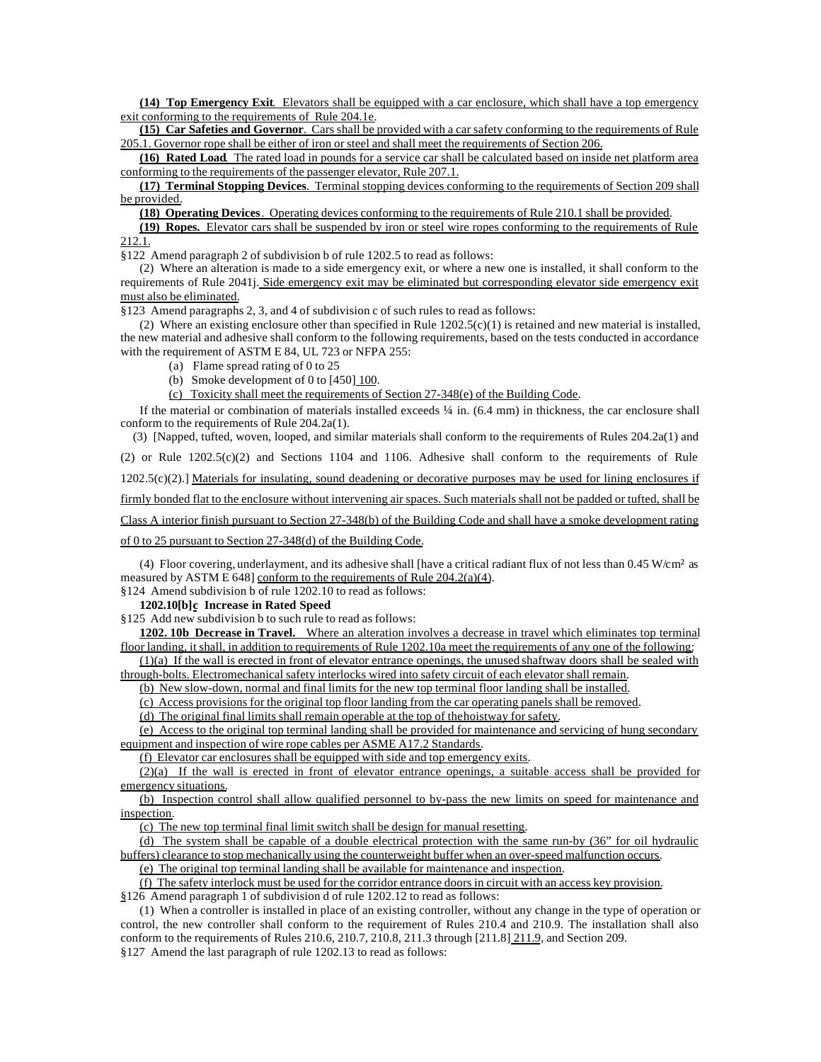**(14) Top Emergency Exit**. Elevators shall be equipped with a car enclosure, which shall have a top emergency exit conforming to the requirements of Rule 204.1e.

**(15) Car Safeties and Governor**. Cars shall be provided with a car safety conforming to the requirements of Rule 205.1. Governor rope shall be either of iron or steel and shall meet the requirements of Section 206.

**(16) Rated Load**. The rated load in pounds for a service car shall be calculated based on inside net platform area conforming to the requirements of the passenger elevator, Rule 207.1.

**(17) Terminal Stopping Devices**. Terminal stopping devices conforming to the requirements of Section 209 shall be provided.

**(18) Operating Devices**. Operating devices conforming to the requirements of Rule 210.1 shall be provided.

**(19) Ropes.** Elevator cars shall be suspended by iron or steel wire ropes conforming to the requirements of Rule 212.1.

§122 Amend paragraph 2 of subdivision b of rule 1202.5 to read as follows:

(2) Where an alteration is made to a side emergency exit, or where a new one is installed, it shall conform to the requirements of Rule 2041j. Side emergency exit may be eliminated but corresponding elevator side emergency exit must also be eliminated.

§123 Amend paragraphs 2, 3, and 4 of subdivision c of such rules to read as follows:

(2) Where an existing enclosure other than specified in Rule  $1202.5(c)(1)$  is retained and new material is installed, the new material and adhesive shall conform to the following requirements, based on the tests conducted in accordance with the requirement of ASTM E 84, UL 723 or NFPA 255:

- (a) Flame spread rating of 0 to 25
- (b) Smoke development of 0 to [450] 100.

(c) Toxicity shall meet the requirements of Section 27-348(e) of the Building Code.

If the material or combination of materials installed exceeds  $\frac{1}{4}$  in. (6.4 mm) in thickness, the car enclosure shall conform to the requirements of Rule 204.2a(1).

 (3) [Napped, tufted, woven, looped, and similar materials shall conform to the requirements of Rules 204.2a(1) and (2) or Rule 1202.5(c)(2) and Sections 1104 and 1106. Adhesive shall conform to the requirements of Rule  $1202.5(c)(2)$ .] Materials for insulating, sound deadening or decorative purposes may be used for lining enclosures if firmly bonded flat to the enclosure without intervening air spaces. Such materials shall not be padded or tufted, shall be Class A interior finish pursuant to Section 27-348(b) of the Building Code and shall have a smoke development rating

of 0 to 25 pursuant to Section 27-348(d) of the Building Code.

(4) Floor covering, underlayment, and its adhesive shall [have a critical radiant flux of not less than  $0.45$  W/cm<sup>2</sup> as measured by ASTM E 648] conform to the requirements of Rule 204.2(a)(4).

§124 Amend subdivision b of rule 1202.10 to read as follows:

**1202.10[b]c Increase in Rated Speed**

§125 Add new subdivision b to such rule to read as follows:

**1202. 10b Decrease in Travel.** Where an alteration involves a decrease in travel which eliminates top terminal floor landing, it shall, in addition to requirements of Rule 1202.10a meet the requirements of any one of the following:

 $(1)(a)$  If the wall is erected in front of elevator entrance openings, the unused shaftway doors shall be sealed with through-bolts. Electromechanical safety interlocks wired into safety circuit of each elevator shall remain.

(b) New slow-down, normal and final limits for the new top terminal floor landing shall be installed.

(c) Access provisions for the original top floor landing from the car operating panels shall be removed.

(d) The original final limits shall remain operable at the top of the hoistway for safety.

(e) Access to the original top terminal landing shall be provided for maintenance and servicing of hung secondary equipment and inspection of wire rope cables per ASME A17.2 Standards.

(f) Elevator car enclosures shall be equipped with side and top emergency exits.

(2)(a) If the wall is erected in front of elevator entrance openings, a suitable access shall be provided for emergency situations.

(b) Inspection control shall allow qualified personnel to by-pass the new limits on speed for maintenance and inspection.

(c) The new top terminal final limit switch shall be design for manual resetting.

(d) The system shall be capable of a double electrical protection with the same run-by (36" for oil hydraulic buffers) clearance to stop mechanically using the counterweight buffer when an over-speed malfunction occurs.

(e) The original top terminal landing shall be available for maintenance and inspection.

(f) The safety interlock must be used for the corridor entrance doors in circuit with an access key provision. §126 Amend paragraph 1 of subdivision d of rule 1202.12 to read as follows:

(1) When a controller is installed in place of an existing controller, without any change in the type of operation or control, the new controller shall conform to the requirement of Rules 210.4 and 210.9. The installation shall also conform to the requirements of Rules 210.6, 210.7, 210.8, 211.3 through [211.8] 211.9, and Section 209.

§127 Amend the last paragraph of rule 1202.13 to read as follows: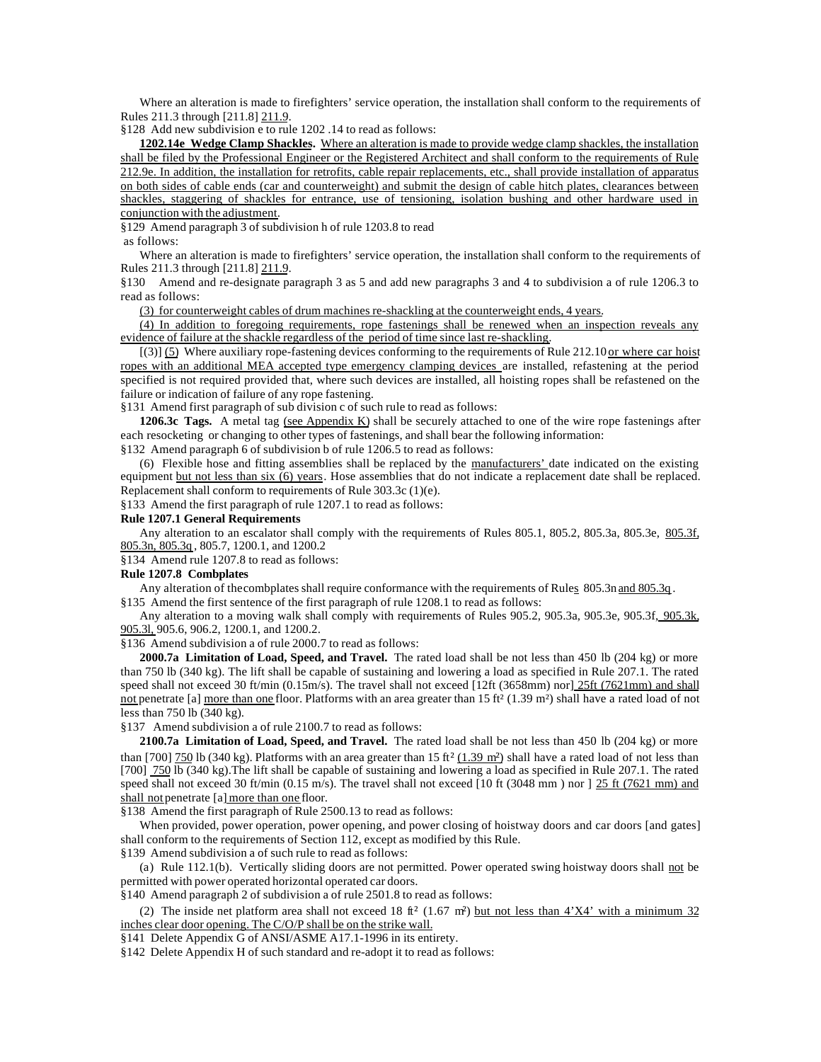Where an alteration is made to firefighters' service operation, the installation shall conform to the requirements of Rules 211.3 through [211.8] 211.9.

§128 Add new subdivision e to rule 1202 .14 to read as follows:

**1202.14e Wedge Clamp Shackles.** Where an alteration is made to provide wedge clamp shackles, the installation shall be filed by the Professional Engineer or the Registered Architect and shall conform to the requirements of Rule 212.9e. In addition, the installation for retrofits, cable repair replacements, etc., shall provide installation of apparatus on both sides of cable ends (car and counterweight) and submit the design of cable hitch plates, clearances between shackles, staggering of shackles for entrance, use of tensioning, isolation bushing and other hardware used in conjunction with the adjustment.

§129 Amend paragraph 3 of subdivision h of rule 1203.8 to read

as follows:

Where an alteration is made to firefighters' service operation, the installation shall conform to the requirements of Rules 211.3 through [211.8] 211.9.

§130 Amend and re-designate paragraph 3 as 5 and add new paragraphs 3 and 4 to subdivision a of rule 1206.3 to read as follows:

(3) for counterweight cables of drum machines re-shackling at the counterweight ends, 4 years.

(4) In addition to foregoing requirements, rope fastenings shall be renewed when an inspection reveals any evidence of failure at the shackle regardless of the period of time since last re-shackling.

 $[(3)]$  (5) Where auxiliary rope-fastening devices conforming to the requirements of Rule 212.10 or where car hoist ropes with an additional MEA accepted type emergency clamping devices are installed, refastening at the period specified is not required provided that, where such devices are installed, all hoisting ropes shall be refastened on the failure or indication of failure of any rope fastening.

§131 Amend first paragraph of sub division c of such rule to read as follows:

**1206.3c Tags.** A metal tag (see Appendix K) shall be securely attached to one of the wire rope fastenings after each resocketing or changing to other types of fastenings, and shall bear the following information:

§132 Amend paragraph 6 of subdivision b of rule 1206.5 to read as follows:

(6) Flexible hose and fitting assemblies shall be replaced by the manufacturers' date indicated on the existing equipment but not less than six (6) years. Hose assemblies that do not indicate a replacement date shall be replaced. Replacement shall conform to requirements of Rule 303.3c (1)(e).

§133 Amend the first paragraph of rule 1207.1 to read as follows:

#### **Rule 1207.1 General Requirements**

Any alteration to an escalator shall comply with the requirements of Rules 805.1, 805.2, 805.3a, 805.3e, 805.3f, 805.3n, 805.3q , 805.7, 1200.1, and 1200.2

§134 Amend rule 1207.8 to read as follows:

## **Rule 1207.8 Combplates**

Any alteration of the combplates shall require conformance with the requirements of Rules 805.3n and 805.3q .

§135 Amend the first sentence of the first paragraph of rule 1208.1 to read as follows:

Any alteration to a moving walk shall comply with requirements of Rules 905.2, 905.3a, 905.3e, 905.3f, 905.3k, 905.3l, 905.6, 906.2, 1200.1, and 1200.2.

§136 Amend subdivision a of rule 2000.7 to read as follows:

**2000.7a Limitation of Load, Speed, and Travel.** The rated load shall be not less than 450 lb (204 kg) or more than 750 lb (340 kg). The lift shall be capable of sustaining and lowering a load as specified in Rule 207.1. The rated speed shall not exceed 30 ft/min (0.15m/s). The travel shall not exceed  $[12ft (3658mm)$  nor]  $25ft (7621mm)$  and shall not penetrate [a] more than one floor. Platforms with an area greater than 15 ft<sup>2</sup> (1.39 m<sup>2</sup>) shall have a rated load of not less than 750 lb (340 kg).

§137 Amend subdivision a of rule 2100.7 to read as follows:

**2100.7a Limitation of Load, Speed, and Travel.** The rated load shall be not less than 450 lb (204 kg) or more than [700] 750 lb (340 kg). Platforms with an area greater than 15 ft<sup>2</sup> (1.39 m<sup>2</sup>) shall have a rated load of not less than [700] 750 lb (340 kg).The lift shall be capable of sustaining and lowering a load as specified in Rule 207.1. The rated speed shall not exceed 30 ft/min (0.15 m/s). The travel shall not exceed  $[10 \text{ ft } (3048 \text{ mm } )$  nor  $] 25 \text{ ft } (7621 \text{ mm } )$  and shall not penetrate [a] more than one floor.

§138 Amend the first paragraph of Rule 2500.13 to read as follows:

When provided, power operation, power opening, and power closing of hoistway doors and car doors [and gates] shall conform to the requirements of Section 112, except as modified by this Rule.

§139 Amend subdivision a of such rule to read as follows:

(a) Rule 112.1(b). Vertically sliding doors are not permitted. Power operated swing hoistway doors shall not be permitted with power operated horizontal operated car doors.

§140 Amend paragraph 2 of subdivision a of rule 2501.8 to read as follows:

(2) The inside net platform area shall not exceed 18 ft<sup>2</sup> (1.67 m<sup>2</sup>) but not less than  $4'X4'$  with a minimum 32 inches clear door opening. The C/O/P shall be on the strike wall.

§141 Delete Appendix G of ANSI/ASME A17.1-1996 in its entirety.

§142 Delete Appendix H of such standard and re-adopt it to read as follows: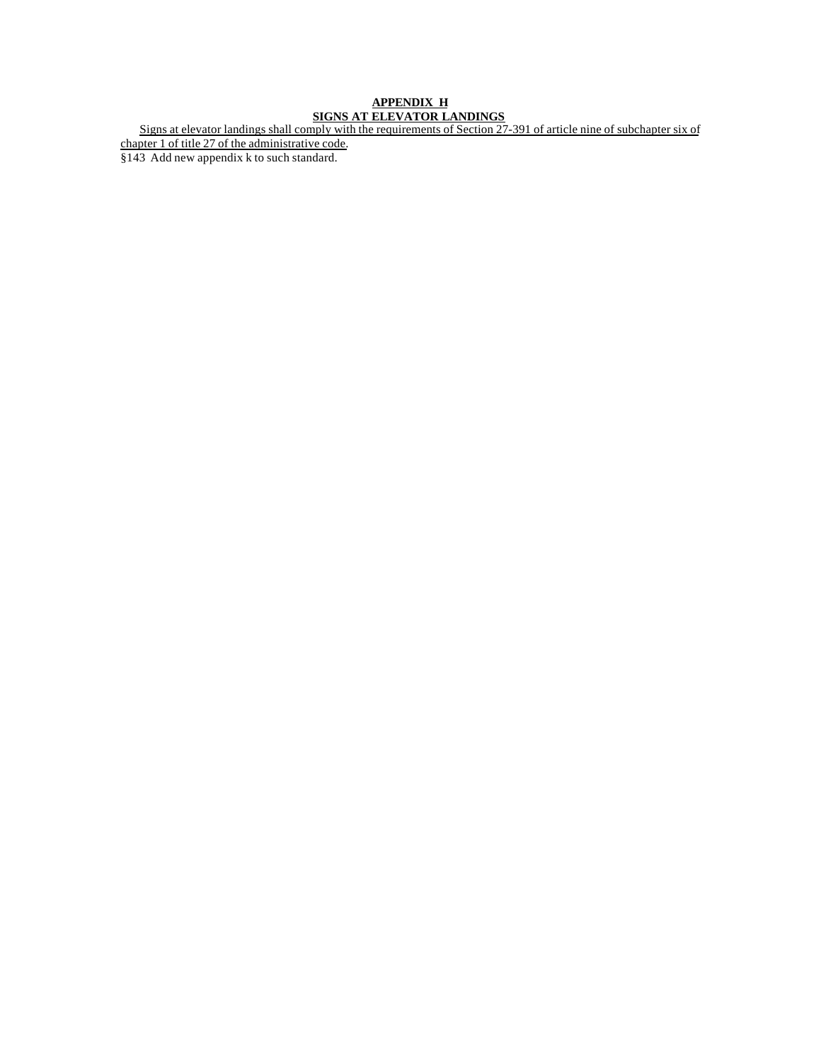# **APPENDIX H SIGNS AT ELEVATOR LANDINGS**

Signs at elevator landings shall comply with the requirements of Section 27-391 of article nine of subchapter six of chapter 1 of title 27 of the administrative code.

§143 Add new appendix k to such standard.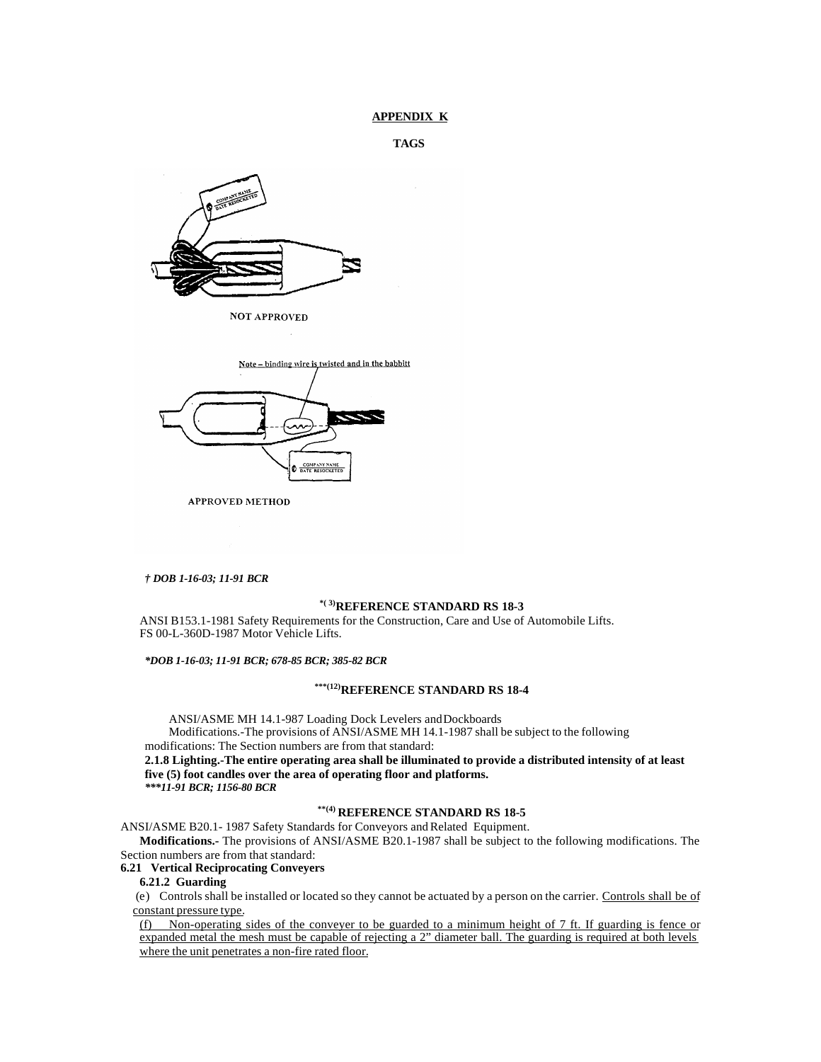## **APPENDIX K**

```
TAGS
```


**NOT APPROVED** 

| Note - binding wire is twisted and in the babbitt |
|---------------------------------------------------|
|                                                   |
| --<br>$\sim$                                      |
| <b>COMPANY NAME</b><br>DATE RESOCKETED<br>Ð       |

**APPROVED METHOD** 

#### *† DOB 1-16-03; 11-91 BCR*

# **\*( 3)REFERENCE STANDARD RS 18-3**

ANSI B153.1-1981 Safety Requirements for the Construction, Care and Use of Automobile Lifts. FS 00-L-360D-1987 Motor Vehicle Lifts.

*\*DOB 1-16-03; 11-91 BCR; 678-85 BCR; 385-82 BCR*

# **\*\*\*(12)REFERENCE STANDARD RS 18-4**

ANSI/ASME MH 14.1-987 Loading Dock Levelers and Dockboards Modifications.-The provisions of ANSI/ASME MH 14.1-1987 shall be subject to the following modifications: The Section numbers are from that standard:

**2.1.8 Lighting.-The entire operating area shall be illuminated to provide a distributed intensity of at least five (5) foot candles over the area of operating floor and platforms.** *\*\*\*11-91 BCR; 1156-80 BCR*

# **\*\*(4) REFERENCE STANDARD RS 18-5**

ANSI/ASME B20.1- 1987 Safety Standards for Conveyors and Related Equipment.

**Modifications.-** The provisions of ANSI/ASME B20.1-1987 shall be subject to the following modifications. The Section numbers are from that standard:

### **6.21 Vertical Reciprocating Conveyers**

**6.21.2 Guarding**

 (e) Controls shall be installed or located so they cannot be actuated by a person on the carrier. Controls shall be of constant pressure type.

(f) Non-operating sides of the conveyer to be guarded to a minimum height of 7 ft. If guarding is fence or expanded metal the mesh must be capable of rejecting a 2" diameter ball. The guarding is required at both levels where the unit penetrates a non-fire rated floor.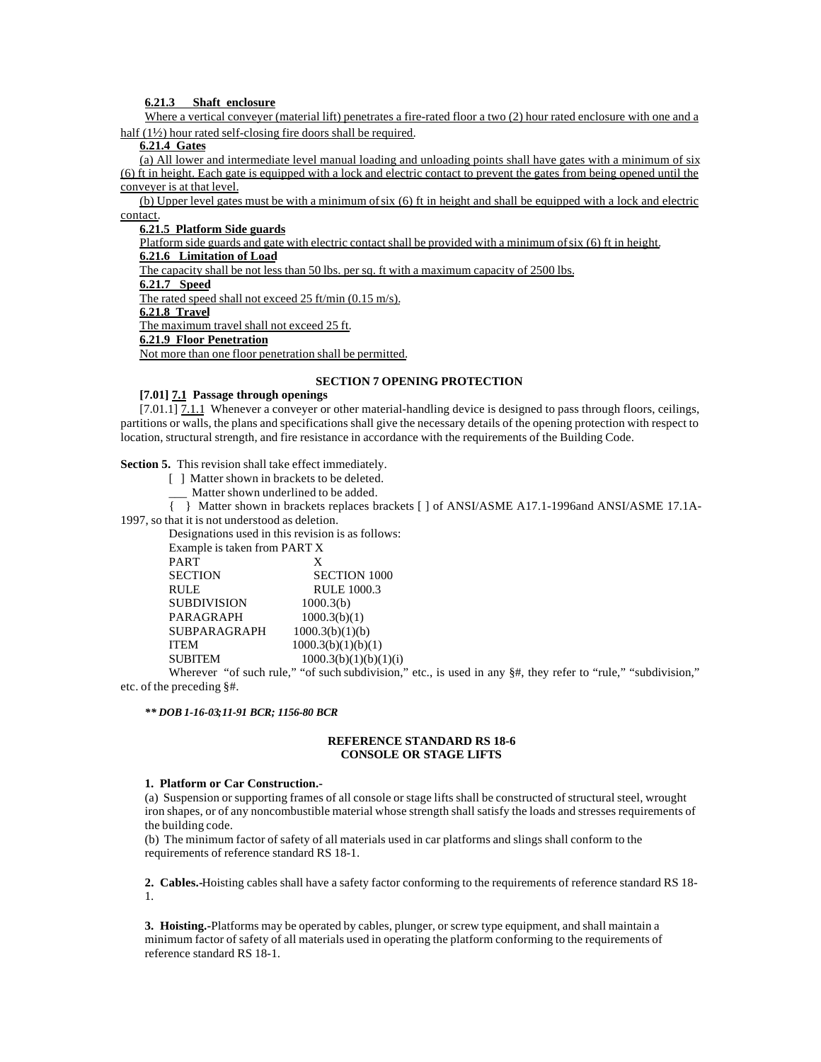**6.21.3 Shaft enclosure**

Where a vertical conveyer (material lift) penetrates a fire-rated floor a two (2) hour rated enclosure with one and a half (1½) hour rated self-closing fire doors shall be required.

**6.21.4 Gates**

(a) All lower and intermediate level manual loading and unloading points shall have gates with a minimum of six (6) ft in height. Each gate is equipped with a lock and electric contact to prevent the gates from being opened until the conveyer is at that level.

(b) Upper level gates must be with a minimum of six (6) ft in height and shall be equipped with a lock and electric contact.

**6.21.5 Platform Side guards**

Platform side guards and gate with electric contact shall be provided with a minimum of six (6) ft in height.

**6.21.6 Limitation of Load**

The capacity shall be not less than 50 lbs. per sq. ft with a maximum capacity of 2500 lbs.

**6.21.7 Speed**

The rated speed shall not exceed 25 ft/min (0.15 m/s).

**6.21.8 Travel**

The maximum travel shall not exceed 25 ft.

**6.21.9 Floor Penetration**

Not more than one floor penetration shall be permitted.

## **SECTION 7 OPENING PROTECTION**

#### **[7.01] 7.1 Passage through openings**

 $[7.01.1]$   $\overline{7.1.1}$  Whenever a conveyer or other material-handling device is designed to pass through floors, ceilings, partitions or walls, the plans and specifications shall give the necessary details of the opening protection with respect to location, structural strength, and fire resistance in accordance with the requirements of the Building Code.

**Section 5.** This revision shall take effect immediately.

- [ ] Matter shown in brackets to be deleted.
	- Matter shown underlined to be added.

{ } Matter shown in brackets replaces brackets [ ] of ANSI/ASME A17.1-1996and ANSI/ASME 17.1A-1997, so that it is not understood as deletion.

Designations used in this revision is as follows: Example is taken from PART X PART X<br>SECTION SI SECTION SECTION 1000<br>RULE 1000.3 RULE RULE 1000.3 SUBDIVISION 1000.3(b) PARAGRAPH 1000.3(b)(1)  $SUBPARAGRAPH$   $1000.3(b)(1)(b)$ ITEM 1000.3(b)(1)(b)(1) SUBITEM  $1000.3(b)(1)(b)(1)(i)$ 

Wherever "of such rule," "of such subdivision," etc., is used in any  $\frac{4}{3}$ , they refer to "rule," "subdivision," etc. of the preceding §#.

*\*\* DOB 1-16-03;11-91 BCR; 1156-80 BCR*

#### **REFERENCE STANDARD RS 18-6 CONSOLE OR STAGE LIFTS**

#### **1. Platform or Car Construction.-**

(a) Suspension or supporting frames of all console or stage lifts shall be constructed of structural steel, wrought iron shapes, or of any noncombustible material whose strength shall satisfy the loads and stresses requirements of the building code.

(b) The minimum factor of safety of all materials used in car platforms and slings shall conform to the requirements of reference standard RS 18-1.

**2. Cables.-**Hoisting cables shall have a safety factor conforming to the requirements of reference standard RS 18- 1.

**3. Hoisting.-**Platforms may be operated by cables, plunger, or screw type equipment, and shall maintain a minimum factor of safety of all materials used in operating the platform conforming to the requirements of reference standard RS 18-1.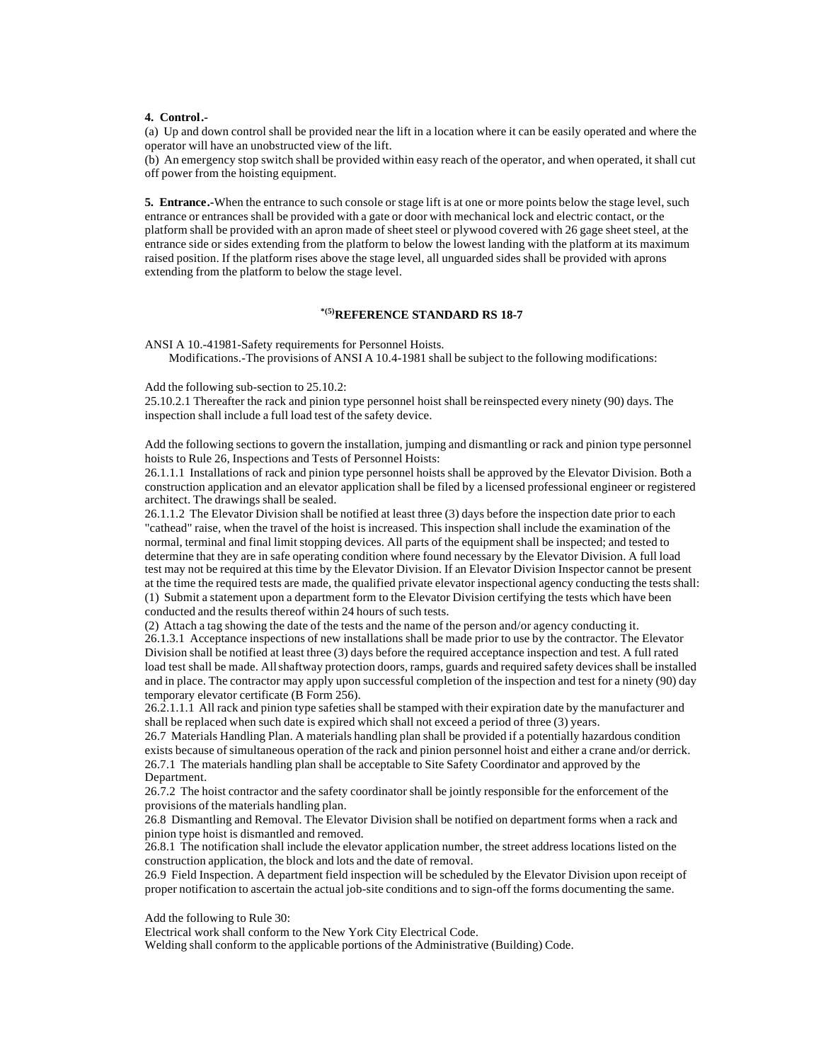#### **4. Control.-**

(a) Up and down control shall be provided near the lift in a location where it can be easily operated and where the operator will have an unobstructed view of the lift.

(b) An emergency stop switch shall be provided within easy reach of the operator, and when operated, it shall cut off power from the hoisting equipment.

**5. Entrance.-**When the entrance to such console or stage lift is at one or more points below the stage level, such entrance or entrances shall be provided with a gate or door with mechanical lock and electric contact, or the platform shall be provided with an apron made of sheet steel or plywood covered with 26 gage sheet steel, at the entrance side or sides extending from the platform to below the lowest landing with the platform at its maximum raised position. If the platform rises above the stage level, all unguarded sides shall be provided with aprons extending from the platform to below the stage level.

# **\*(5)REFERENCE STANDARD RS 18-7**

ANSI A 10.-41981-Safety requirements for Personnel Hoists.

Modifications.-The provisions of ANSI A 10.4-1981 shall be subject to the following modifications:

Add the following sub-section to 25.10.2:

25.10.2.1 Thereafter the rack and pinion type personnel hoist shall be reinspected every ninety (90) days. The inspection shall include a full load test of the safety device.

Add the following sections to govern the installation, jumping and dismantling or rack and pinion type personnel hoists to Rule 26, Inspections and Tests of Personnel Hoists:

26.1.1.1 Installations of rack and pinion type personnel hoists shall be approved by the Elevator Division. Both a construction application and an elevator application shall be filed by a licensed professional engineer or registered architect. The drawings shall be sealed.

26.1.1.2 The Elevator Division shall be notified at least three (3) days before the inspection date prior to each "cathead" raise, when the travel of the hoist is increased. This inspection shall include the examination of the normal, terminal and final limit stopping devices. All parts of the equipment shall be inspected; and tested to determine that they are in safe operating condition where found necessary by the Elevator Division. A full load test may not be required at this time by the Elevator Division. If an Elevator Division Inspector cannot be present at the time the required tests are made, the qualified private elevator inspectional agency conducting the tests shall: (1) Submit a statement upon a department form to the Elevator Division certifying the tests which have been conducted and the results thereof within 24 hours of such tests.

(2) Attach a tag showing the date of the tests and the name of the person and/or agency conducting it.

26.1.3.1 Acceptance inspections of new installations shall be made prior to use by the contractor. The Elevator Division shall be notified at least three (3) days before the required acceptance inspection and test. A full rated load test shall be made. All shaftway protection doors, ramps, guards and required safety devices shall be installed and in place. The contractor may apply upon successful completion of the inspection and test for a ninety (90) day temporary elevator certificate (B Form 256).

26.2.1.1.1 All rack and pinion type safeties shall be stamped with their expiration date by the manufacturer and shall be replaced when such date is expired which shall not exceed a period of three (3) years.

26.7 Materials Handling Plan. A materials handling plan shall be provided if a potentially hazardous condition exists because of simultaneous operation of the rack and pinion personnel hoist and either a crane and/or derrick. 26.7.1 The materials handling plan shall be acceptable to Site Safety Coordinator and approved by the Department.

26.7.2 The hoist contractor and the safety coordinator shall be jointly responsible for the enforcement of the provisions of the materials handling plan.

26.8 Dismantling and Removal. The Elevator Division shall be notified on department forms when a rack and pinion type hoist is dismantled and removed.

26.8.1 The notification shall include the elevator application number, the street address locations listed on the construction application, the block and lots and the date of removal.

26.9 Field Inspection. A department field inspection will be scheduled by the Elevator Division upon receipt of proper notification to ascertain the actual job-site conditions and to sign-off the forms documenting the same.

Add the following to Rule 30:

Electrical work shall conform to the New York City Electrical Code.

Welding shall conform to the applicable portions of the Administrative (Building) Code.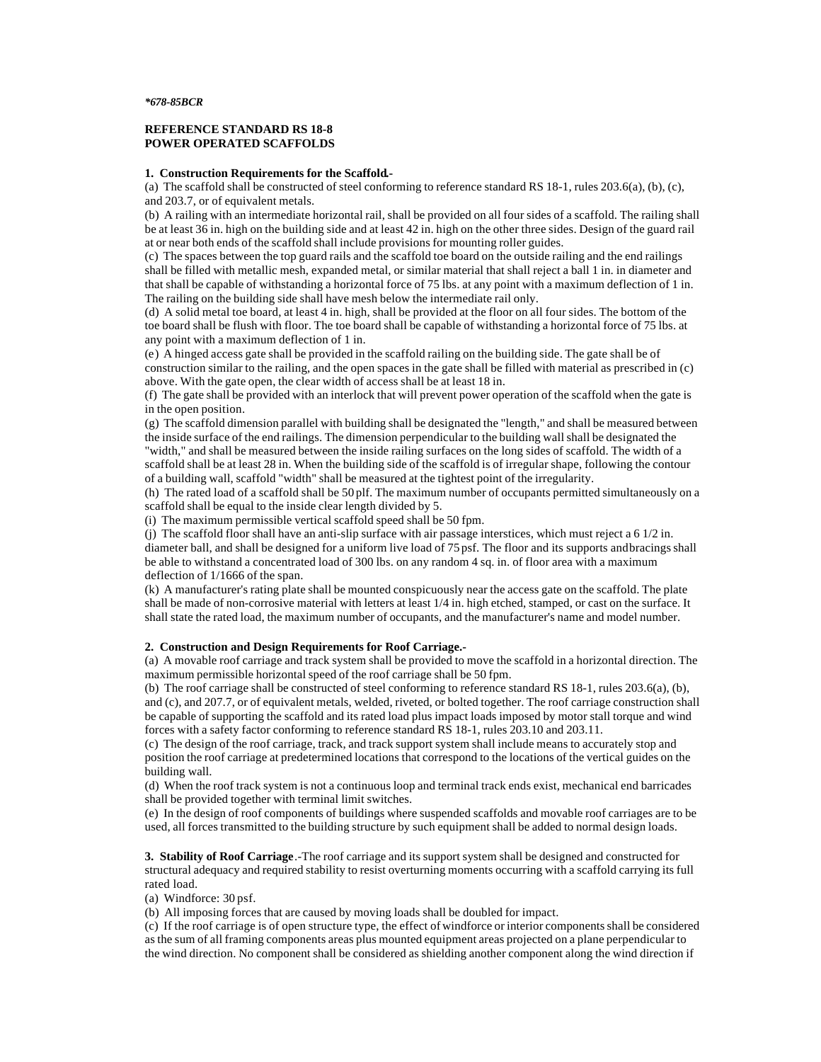#### *\*678-85BCR*

#### **REFERENCE STANDARD RS 18-8 POWER OPERATED SCAFFOLDS**

#### **1. Construction Requirements for the Scaffold.-**

(a) The scaffold shall be constructed of steel conforming to reference standard RS 18-1, rules  $203.6(a)$ , (b), (c), and 203.7, or of equivalent metals.

(b) A railing with an intermediate horizontal rail, shall be provided on all four sides of a scaffold. The railing shall be at least 36 in. high on the building side and at least 42 in. high on the other three sides. Design of the guard rail at or near both ends of the scaffold shall include provisions for mounting roller guides.

(c) The spaces between the top guard rails and the scaffold toe board on the outside railing and the end railings shall be filled with metallic mesh, expanded metal, or similar material that shall reject a ball 1 in. in diameter and that shall be capable of withstanding a horizontal force of 75 lbs. at any point with a maximum deflection of 1 in. The railing on the building side shall have mesh below the intermediate rail only.

(d) A solid metal toe board, at least 4 in. high, shall be provided at the floor on all four sides. The bottom of the toe board shall be flush with floor. The toe board shall be capable of withstanding a horizontal force of 75 lbs. at any point with a maximum deflection of 1 in.

(e) A hinged access gate shall be provided in the scaffold railing on the building side. The gate shall be of construction similar to the railing, and the open spaces in the gate shall be filled with material as prescribed in (c) above. With the gate open, the clear width of access shall be at least 18 in.

(f) The gate shall be provided with an interlock that will prevent power operation of the scaffold when the gate is in the open position.

(g) The scaffold dimension parallel with building shall be designated the "length," and shall be measured between the inside surface of the end railings. The dimension perpendicular to the building wall shall be designated the "width," and shall be measured between the inside railing surfaces on the long sides of scaffold. The width of a scaffold shall be at least 28 in. When the building side of the scaffold is of irregular shape, following the contour of a building wall, scaffold "width" shall be measured at the tightest point of the irregularity.

(h) The rated load of a scaffold shall be 50 plf. The maximum number of occupants permitted simultaneously on a scaffold shall be equal to the inside clear length divided by 5.

(i) The maximum permissible vertical scaffold speed shall be 50 fpm.

(j) The scaffold floor shall have an anti-slip surface with air passage interstices, which must reject a 6 1/2 in. diameter ball, and shall be designed for a uniform live load of 75 psf. The floor and its supports and bracings shall be able to withstand a concentrated load of 300 lbs. on any random 4 sq. in. of floor area with a maximum deflection of 1/1666 of the span.

(k) A manufacturer's rating plate shall be mounted conspicuously near the access gate on the scaffold. The plate shall be made of non-corrosive material with letters at least 1/4 in. high etched, stamped, or cast on the surface. It shall state the rated load, the maximum number of occupants, and the manufacturer's name and model number.

#### **2. Construction and Design Requirements for Roof Carriage.-**

(a) A movable roof carriage and track system shall be provided to move the scaffold in a horizontal direction. The maximum permissible horizontal speed of the roof carriage shall be 50 fpm.

(b) The roof carriage shall be constructed of steel conforming to reference standard RS 18-1, rules 203.6(a), (b), and (c), and 207.7, or of equivalent metals, welded, riveted, or bolted together. The roof carriage construction shall be capable of supporting the scaffold and its rated load plus impact loads imposed by motor stall torque and wind forces with a safety factor conforming to reference standard RS 18-1, rules 203.10 and 203.11.

(c) The design of the roof carriage, track, and track support system shall include means to accurately stop and position the roof carriage at predetermined locations that correspond to the locations of the vertical guides on the building wall.

(d) When the roof track system is not a continuous loop and terminal track ends exist, mechanical end barricades shall be provided together with terminal limit switches.

(e) In the design of roof components of buildings where suspended scaffolds and movable roof carriages are to be used, all forces transmitted to the building structure by such equipment shall be added to normal design loads.

**3. Stability of Roof Carriage**.-The roof carriage and its support system shall be designed and constructed for structural adequacy and required stability to resist overturning moments occurring with a scaffold carrying its full rated load.

(a) Windforce: 30 psf.

(b) All imposing forces that are caused by moving loads shall be doubled for impact.

(c) If the roof carriage is of open structure type, the effect of windforce or interior components shall be considered as the sum of all framing components areas plus mounted equipment areas projected on a plane perpendicular to the wind direction. No component shall be considered as shielding another component along the wind direction if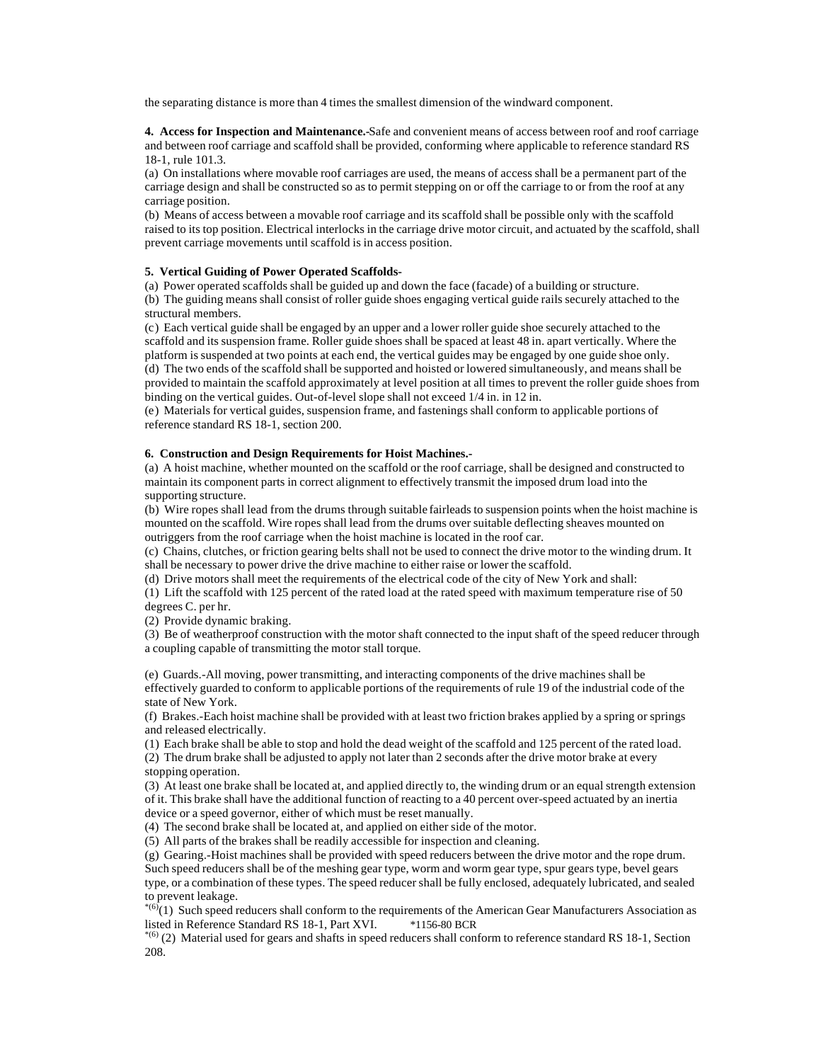the separating distance is more than 4 times the smallest dimension of the windward component.

**4. Access for Inspection and Maintenance.-**Safe and convenient means of access between roof and roof carriage and between roof carriage and scaffold shall be provided, conforming where applicable to reference standard RS 18-1, rule 101.3.

(a) On installations where movable roof carriages are used, the means of access shall be a permanent part of the carriage design and shall be constructed so as to permit stepping on or off the carriage to or from the roof at any carriage position.

(b) Means of access between a movable roof carriage and its scaffold shall be possible only with the scaffold raised to its top position. Electrical interlocks in the carriage drive motor circuit, and actuated by the scaffold, shall prevent carriage movements until scaffold is in access position.

### **5. Vertical Guiding of Power Operated Scaffolds-**

(a) Power operated scaffolds shall be guided up and down the face (facade) of a building or structure. (b) The guiding means shall consist of roller guide shoes engaging vertical guide rails securely attached to the structural members.

(c) Each vertical guide shall be engaged by an upper and a lower roller guide shoe securely attached to the scaffold and its suspension frame. Roller guide shoes shall be spaced at least 48 in. apart vertically. Where the platform is suspended at two points at each end, the vertical guides may be engaged by one guide shoe only. (d) The two ends of the scaffold shall be supported and hoisted or lowered simultaneously, and means shall be provided to maintain the scaffold approximately at level position at all times to prevent the roller guide shoes from binding on the vertical guides. Out-of-level slope shall not exceed 1/4 in. in 12 in.

(e) Materials for vertical guides, suspension frame, and fastenings shall conform to applicable portions of reference standard RS 18-1, section 200.

### **6. Construction and Design Requirements for Hoist Machines.-**

(a) A hoist machine, whether mounted on the scaffold or the roof carriage, shall be designed and constructed to maintain its component parts in correct alignment to effectively transmit the imposed drum load into the supporting structure.

(b) Wire ropes shall lead from the drums through suitable fairleads to suspension points when the hoist machine is mounted on the scaffold. Wire ropes shall lead from the drums over suitable deflecting sheaves mounted on outriggers from the roof carriage when the hoist machine is located in the roof car.

(c) Chains, clutches, or friction gearing belts shall not be used to connect the drive motor to the winding drum. It shall be necessary to power drive the drive machine to either raise or lower the scaffold.

(d) Drive motors shall meet the requirements of the electrical code of the city of New York and shall:

(1) Lift the scaffold with 125 percent of the rated load at the rated speed with maximum temperature rise of 50 degrees C. per hr.

(2) Provide dynamic braking.

(3) Be of weatherproof construction with the motor shaft connected to the input shaft of the speed reducer through a coupling capable of transmitting the motor stall torque.

(e) Guards.-All moving, power transmitting, and interacting components of the drive machines shall be effectively guarded to conform to applicable portions of the requirements of rule 19 of the industrial code of the state of New York.

(f) Brakes.-Each hoist machine shall be provided with at least two friction brakes applied by a spring or springs and released electrically.

(1) Each brake shall be able to stop and hold the dead weight of the scaffold and 125 percent of the rated load. (2) The drum brake shall be adjusted to apply not later than 2 seconds after the drive motor brake at every stopping operation.

(3) At least one brake shall be located at, and applied directly to, the winding drum or an equal strength extension of it. This brake shall have the additional function of reacting to a 40 percent over-speed actuated by an inertia device or a speed governor, either of which must be reset manually.

(4) The second brake shall be located at, and applied on either side of the motor.

(5) All parts of the brakes shall be readily accessible for inspection and cleaning.

(g) Gearing.-Hoist machines shall be provided with speed reducers between the drive motor and the rope drum. Such speed reducers shall be of the meshing gear type, worm and worm gear type, spur gears type, bevel gears type, or a combination of these types. The speed reducer shall be fully enclosed, adequately lubricated, and sealed to prevent leakage.

\*(6)(1) Such speed reducers shall conform to the requirements of the American Gear Manufacturers Association as listed in Reference Standard RS 18-1, Part XVI. \*1156-80 BCR

 $*(6)$  (2) Material used for gears and shafts in speed reducers shall conform to reference standard RS 18-1, Section 208.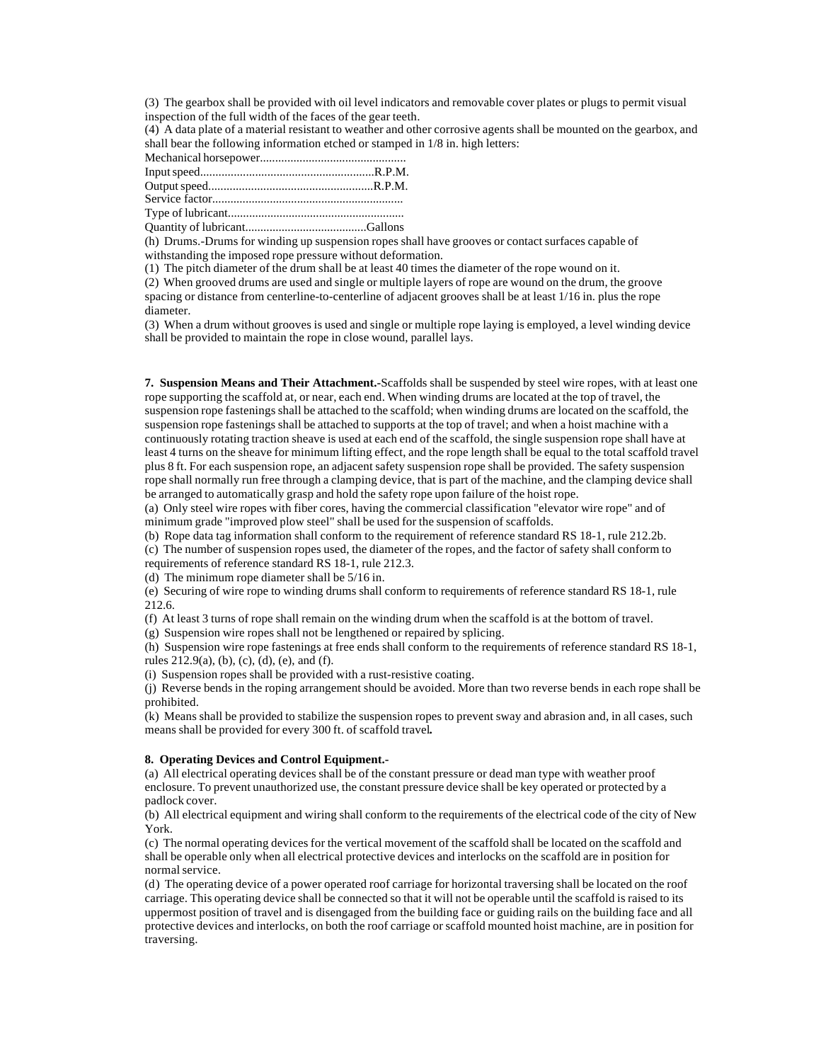(3) The gearbox shall be provided with oil level indicators and removable cover plates or plugs to permit visual inspection of the full width of the faces of the gear teeth.

(4) A data plate of a material resistant to weather and other corrosive agents shall be mounted on the gearbox, and shall bear the following information etched or stamped in 1/8 in. high letters:

Type of lubricant..........................................................

Quantity of lubricant........................................Gallons

(h) Drums.-Drums for winding up suspension ropes shall have grooves or contact surfaces capable of withstanding the imposed rope pressure without deformation.

(1) The pitch diameter of the drum shall be at least 40 times the diameter of the rope wound on it.

(2) When grooved drums are used and single or multiple layers of rope are wound on the drum, the groove spacing or distance from centerline-to-centerline of adjacent grooves shall be at least 1/16 in. plus the rope diameter.

(3) When a drum without grooves is used and single or multiple rope laying is employed, a level winding device shall be provided to maintain the rope in close wound, parallel lays.

**7. Suspension Means and Their Attachment.-**Scaffolds shall be suspended by steel wire ropes, with at least one rope supporting the scaffold at, or near, each end. When winding drums are located at the top of travel, the suspension rope fastenings shall be attached to the scaffold; when winding drums are located on the scaffold, the suspension rope fastenings shall be attached to supports at the top of travel; and when a hoist machine with a continuously rotating traction sheave is used at each end of the scaffold, the single suspension rope shall have at least 4 turns on the sheave for minimum lifting effect, and the rope length shall be equal to the total scaffold travel plus 8 ft. For each suspension rope, an adjacent safety suspension rope shall be provided. The safety suspension rope shall normally run free through a clamping device, that is part of the machine, and the clamping device shall be arranged to automatically grasp and hold the safety rope upon failure of the hoist rope.

(a) Only steel wire ropes with fiber cores, having the commercial classification "elevator wire rope" and of minimum grade "improved plow steel" shall be used for the suspension of scaffolds.

(b) Rope data tag information shall conform to the requirement of reference standard RS 18-1, rule 212.2b.

(c) The number of suspension ropes used, the diameter of the ropes, and the factor of safety shall conform to requirements of reference standard RS 18-1, rule 212.3.

(d) The minimum rope diameter shall be 5/16 in.

(e) Securing of wire rope to winding drums shall conform to requirements of reference standard RS 18-1, rule 212.6.

(f) At least 3 turns of rope shall remain on the winding drum when the scaffold is at the bottom of travel.

(g) Suspension wire ropes shall not be lengthened or repaired by splicing.

(h) Suspension wire rope fastenings at free ends shall conform to the requirements of reference standard RS 18-1, rules 212.9(a), (b), (c), (d), (e), and (f).

(i) Suspension ropes shall be provided with a rust-resistive coating.

(j) Reverse bends in the roping arrangement should be avoided. More than two reverse bends in each rope shall be prohibited.

(k) Means shall be provided to stabilize the suspension ropes to prevent sway and abrasion and, in all cases, such means shall be provided for every 300 ft. of scaffold travel**.**

## **8. Operating Devices and Control Equipment.-**

(a) All electrical operating devices shall be of the constant pressure or dead man type with weather proof enclosure. To prevent unauthorized use, the constant pressure device shall be key operated or protected by a padlock cover.

(b) All electrical equipment and wiring shall conform to the requirements of the electrical code of the city of New York.

(c) The normal operating devices for the vertical movement of the scaffold shall be located on the scaffold and shall be operable only when all electrical protective devices and interlocks on the scaffold are in position for normal service.

(d) The operating device of a power operated roof carriage for horizontal traversing shall be located on the roof carriage. This operating device shall be connected so that it will not be operable until the scaffold is raised to its uppermost position of travel and is disengaged from the building face or guiding rails on the building face and all protective devices and interlocks, on both the roof carriage or scaffold mounted hoist machine, are in position for traversing.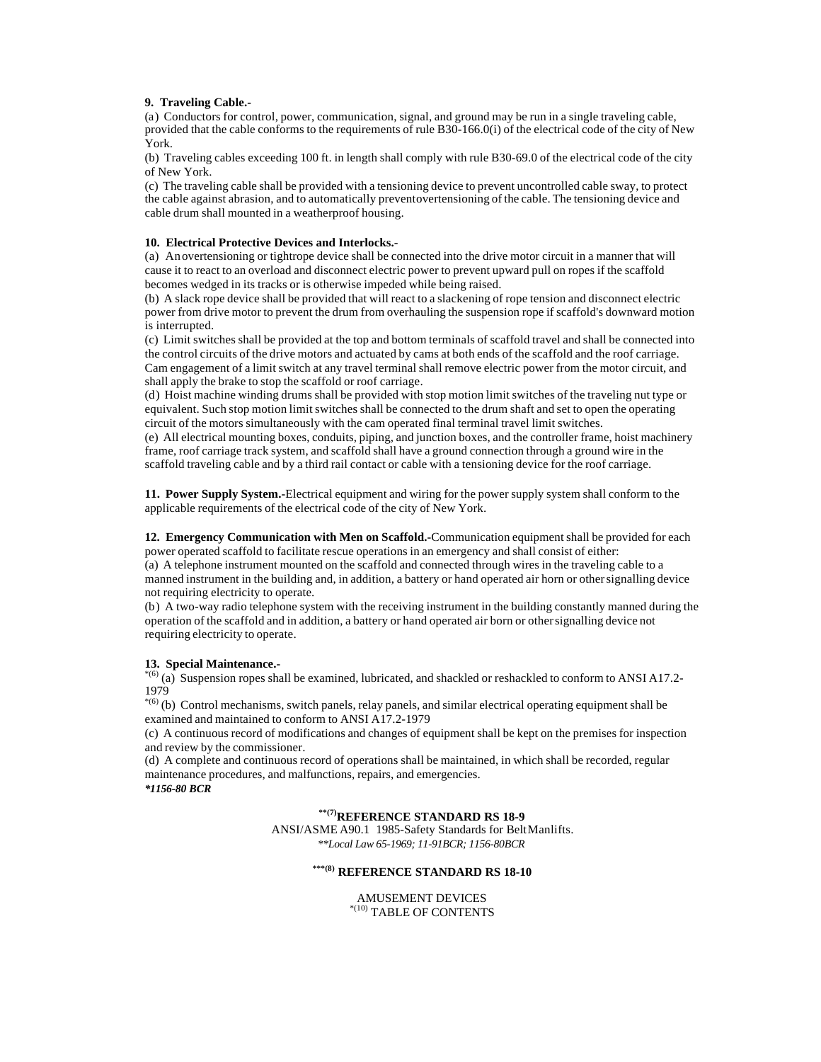## **9. Traveling Cable.-**

(a) Conductors for control, power, communication, signal, and ground may be run in a single traveling cable, provided that the cable conforms to the requirements of rule B30-166.0(i) of the electrical code of the city of New York.

(b) Traveling cables exceeding 100 ft. in length shall comply with rule B30-69.0 of the electrical code of the city of New York.

(c) The traveling cable shall be provided with a tensioning device to prevent uncontrolled cable sway, to protect the cable against abrasion, and to automatically prevent overtensioning of the cable. The tensioning device and cable drum shall mounted in a weatherproof housing.

## **10. Electrical Protective Devices and Interlocks.-**

(a) An overtensioning or tightrope device shall be connected into the drive motor circuit in a manner that will cause it to react to an overload and disconnect electric power to prevent upward pull on ropes if the scaffold becomes wedged in its tracks or is otherwise impeded while being raised.

(b) A slack rope device shall be provided that will react to a slackening of rope tension and disconnect electric power from drive motor to prevent the drum from overhauling the suspension rope if scaffold's downward motion is interrupted.

(c) Limit switches shall be provided at the top and bottom terminals of scaffold travel and shall be connected into the control circuits of the drive motors and actuated by cams at both ends of the scaffold and the roof carriage. Cam engagement of a limit switch at any travel terminal shall remove electric power from the motor circuit, and shall apply the brake to stop the scaffold or roof carriage.

(d) Hoist machine winding drums shall be provided with stop motion limit switches of the traveling nut type or equivalent. Such stop motion limit switches shall be connected to the drum shaft and set to open the operating circuit of the motors simultaneously with the cam operated final terminal travel limit switches.

(e) All electrical mounting boxes, conduits, piping, and junction boxes, and the controller frame, hoist machinery frame, roof carriage track system, and scaffold shall have a ground connection through a ground wire in the scaffold traveling cable and by a third rail contact or cable with a tensioning device for the roof carriage.

**11. Power Supply System.-**Electrical equipment and wiring for the power supply system shall conform to the applicable requirements of the electrical code of the city of New York.

**12. Emergency Communication with Men on Scaffold.-**Communication equipment shall be provided for each power operated scaffold to facilitate rescue operations in an emergency and shall consist of either: (a) A telephone instrument mounted on the scaffold and connected through wires in the traveling cable to a manned instrument in the building and, in addition, a battery or hand operated air horn or other signalling device not requiring electricity to operate.

(b) A two-way radio telephone system with the receiving instrument in the building constantly manned during the operation of the scaffold and in addition, a battery or hand operated air born or other signalling device not requiring electricity to operate.

## **13. Special Maintenance.-**

 $^{*(6)}$  (a) Suspension ropes shall be examined, lubricated, and shackled or reshackled to conform to ANSI A17.2-1979

\*(6) (b) Control mechanisms, switch panels, relay panels, and similar electrical operating equipment shall be examined and maintained to conform to ANSI A17.2-1979

(c) A continuous record of modifications and changes of equipment shall be kept on the premises for inspection and review by the commissioner.

(d) A complete and continuous record of operations shall be maintained, in which shall be recorded, regular maintenance procedures, and malfunctions, repairs, and emergencies. *\*1156-80 BCR*

**\*\*(7)REFERENCE STANDARD RS 18-9**

ANSI/ASME A90.1 1985-Safety Standards for Belt Manlifts. *\*\*Local Law 65-1969; 11-91BCR; 1156-80BCR*

# **\*\*\*(8) REFERENCE STANDARD RS 18-10**

AMUSEMENT DEVICES  $\rm ^{\ast (10)}$  TABLE OF CONTENTS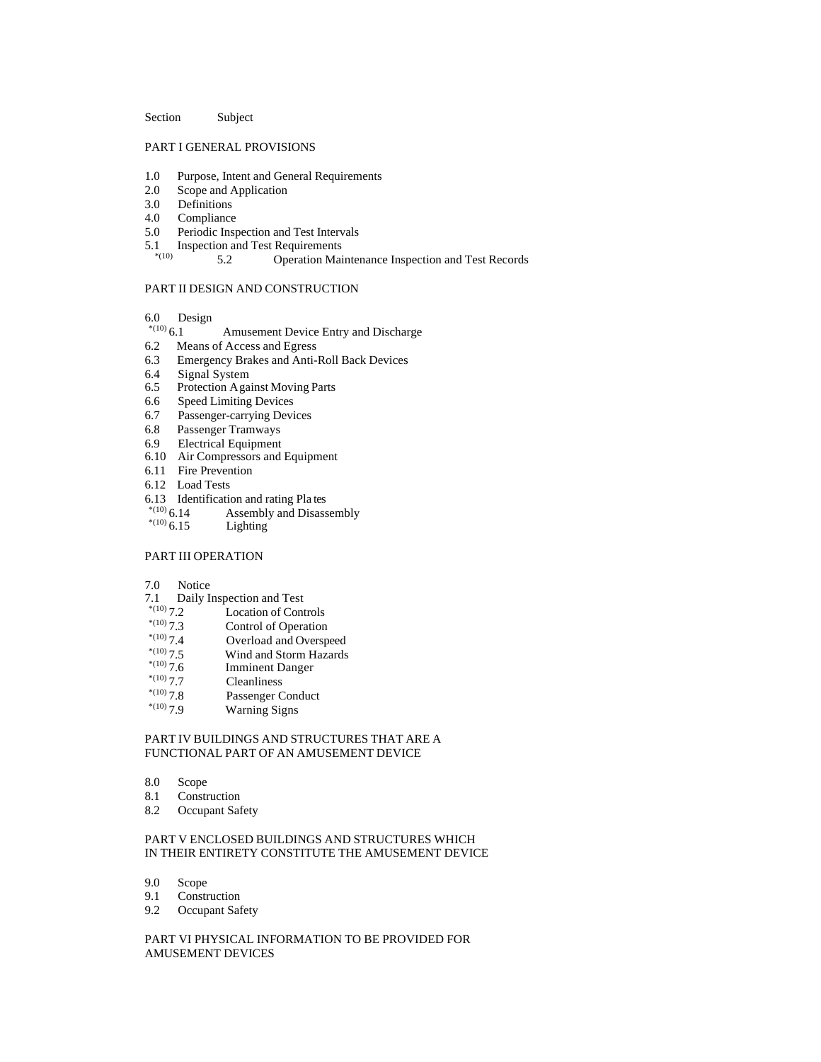#### Section Subject

# PART I GENERAL PROVISIONS

- 1.0 Purpose, Intent and General Requirements
- 2.0 Scope and Application
- 3.0 Definitions
- 4.0 Compliance
- 5.0 Periodic Inspection and Test Intervals
- 5.1 Inspection and Test Requirements

5.2 Operation Maintenance Inspection and Test Records

# PART II DESIGN AND CONSTRUCTION

- 6.0 Design  $*_{(10)} 6.1$
- Amusement Device Entry and Discharge
- 6.2 Means of Access and Egress
- 6.3 Emergency Brakes and Anti-Roll Back Devices
- 6.4 Signal System<br>6.5 Protection Aga
- Protection Against Moving Parts
- 6.6 Speed Limiting Devices<br>6.7 Passenger-carrying Devi
- Passenger-carrying Devices
- 6.8 Passenger Tramways
- 6.9 Electrical Equipment
- 6.10 Air Compressors and Equipment
- 6.11 Fire Prevention
- 6.12 Load Tests
- 6.13 Identification and rating Pla tes<br> $^{*(10)}$  6.14 Assembly and Disass
- Assembly and Disassembly
- \*(10)  $6.15$  Lighting

### PART III OPERATION

- 7.0 Notice
- 
- 7.1 Daily Inspection and Test<br> $^{*(10)}$  7.2 Location of Con
- \*(10) 7.2 Location of Controls<br>\*(10) 7.3 Control of Operation
- \*(10) 7.3 Control of Operation<br> $(10)$  7.4 Overload and Oversp
- \* $^{(10)}$  7.4 Overload and Overspeed<br>\* $^{(10)}$  7.5 Wind and Storm Hazards \*(10) 7.5 Wind and Storm Hazards<br>\*(10) 7.6 Imminent Danger
- \*(10) 7.6 Imminent Danger<br>\*(10) 7.7 Cleanliness
- 
- <sup>\*(10)</sup> 7.7 Cleanliness<br><sup>\*(10)</sup> 7.8 Passenger C \*(10) 7.8 Passenger Conduct<br>\*(10) 7.9 Warning Signs
- Warning Signs

## PART IV BUILDINGS AND STRUCTURES THAT ARE A FUNCTIONAL PART OF AN AMUSEMENT DEVICE

- 8.0 Scope
- 8.1 Construction
- 8.2 Occupant Safety

# PART V ENCLOSED BUILDINGS AND STRUCTURES WHICH IN THEIR ENTIRETY CONSTITUTE THE AMUSEMENT DEVICE

- 9.0 Scope<br>9.1 Constr
- Construction
- 9.2 Occupant Safety

PART VI PHYSICAL INFORMATION TO BE PROVIDED FOR AMUSEMENT DEVICES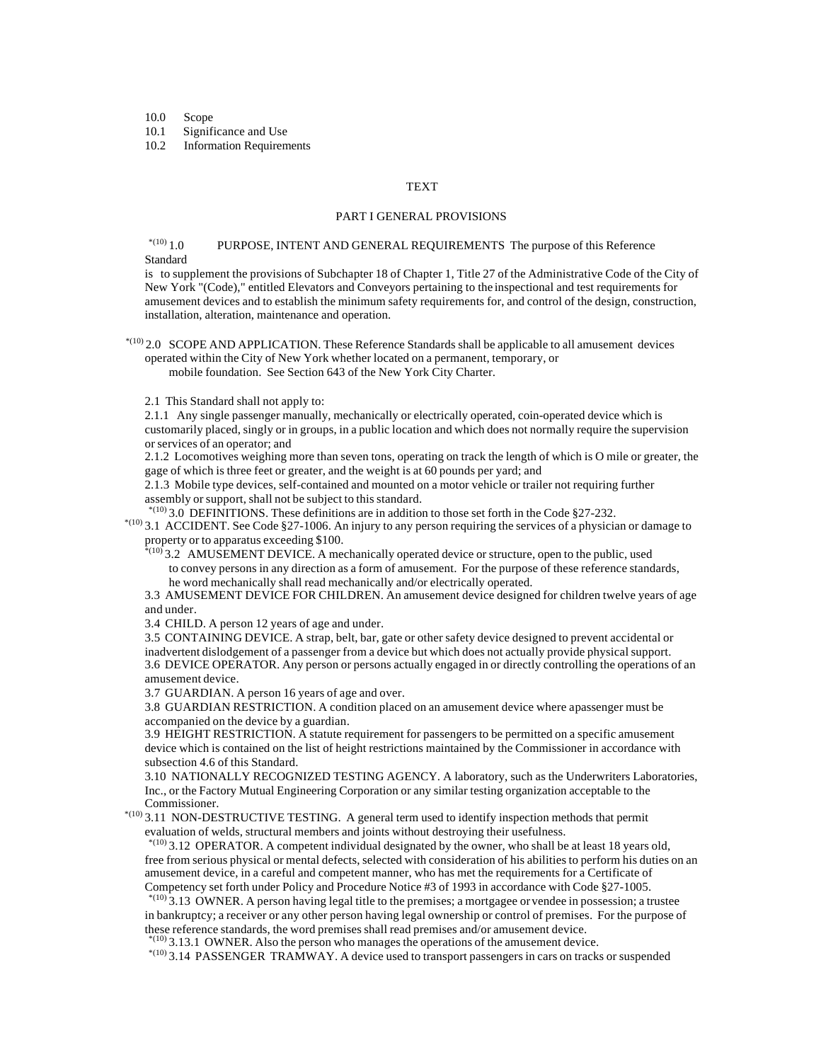10.0 Scope

10.1 Significance and Use

10.2 Information Requirements

### **TEXT**

#### PART I GENERAL PROVISIONS

# $^{*(10)}1.0$  PURPOSE, INTENT AND GENERAL REQUIREMENTS The purpose of this Reference Standard

is to supplement the provisions of Subchapter 18 of Chapter 1, Title 27 of the Administrative Code of the City of New York "(Code)," entitled Elevators and Conveyors pertaining to the inspectional and test requirements for amusement devices and to establish the minimum safety requirements for, and control of the design, construction, installation, alteration, maintenance and operation.

 $*$ (10) 2.0 SCOPE AND APPLICATION. These Reference Standards shall be applicable to all amusement devices operated within the City of New York whether located on a permanent, temporary, or mobile foundation. See Section 643 of the New York City Charter.

2.1 This Standard shall not apply to:

2.1.1 Any single passenger manually, mechanically or electrically operated, coin-operated device which is customarily placed, singly or in groups, in a public location and which does not normally require the supervision or services of an operator; and

2.1.2 Locomotives weighing more than seven tons, operating on track the length of which is O mile or greater, the gage of which is three feet or greater, and the weight is at 60 pounds per yard; and

2.1.3 Mobile type devices, self-contained and mounted on a motor vehicle or trailer not requiring further assembly or support, shall not be subject to this standard.

 $*(10)$  3.0 DEFINITIONS. These definitions are in addition to those set forth in the Code §27-232. \*(10) 3.1 ACCIDENT. See Code §27-1006. An injury to any person requiring the services of a physician or damage to property or to apparatus exceeding \$100.

 $*$ (10) 3.2 AMUSEMENT DEVICE. A mechanically operated device or structure, open to the public, used to convey persons in any direction as a form of amusement. For the purpose of these reference standards, he word mechanically shall read mechanically and/or electrically operated.

3.3 AMUSEMENT DEVICE FOR CHILDREN. An amusement device designed for children twelve years of age and under.

3.4 CHILD. A person 12 years of age and under.

3.5 CONTAINING DEVICE. A strap, belt, bar, gate or other safety device designed to prevent accidental or inadvertent dislodgement of a passenger from a device but which does not actually provide physical support. 3.6 DEVICE OPERATOR. Any person or persons actually engaged in or directly controlling the operations of an amusement device.

3.7 GUARDIAN. A person 16 years of age and over.

3.8 GUARDIAN RESTRICTION. A condition placed on an amusement device where a passenger must be accompanied on the device by a guardian.

3.9 HEIGHT RESTRICTION. A statute requirement for passengers to be permitted on a specific amusement device which is contained on the list of height restrictions maintained by the Commissioner in accordance with subsection 4.6 of this Standard.

3.10 NATIONALLY RECOGNIZED TESTING AGENCY. A laboratory, such as the Underwriters Laboratories, Inc., or the Factory Mutual Engineering Corporation or any similar testing organization acceptable to the Commissioner.

 \*(10) 3.11 NON-DESTRUCTIVE TESTING. A general term used to identify inspection methods that permit evaluation of welds, structural members and joints without destroying their usefulness.

 $*$ (10) 3.12 OPERATOR. A competent individual designated by the owner, who shall be at least 18 years old, free from serious physical or mental defects, selected with consideration of his abilities to perform his duties on an amusement device, in a careful and competent manner, who has met the requirements for a Certificate of Competency set forth under Policy and Procedure Notice #3 of 1993 in accordance with Code §27-1005.

 \*(10) 3.13 OWNER. A person having legal title to the premises; a mortgagee or vendee in possession; a trustee in bankruptcy; a receiver or any other person having legal ownership or control of premises. For the purpose of these reference standards, the word premises shall read premises and/or amusement device.

 $*(10)$  3.13.1 OWNER. Also the person who manages the operations of the amusement device.

\*(10) 3.14 PASSENGER TRAMWAY. A device used to transport passengers in cars on tracks or suspended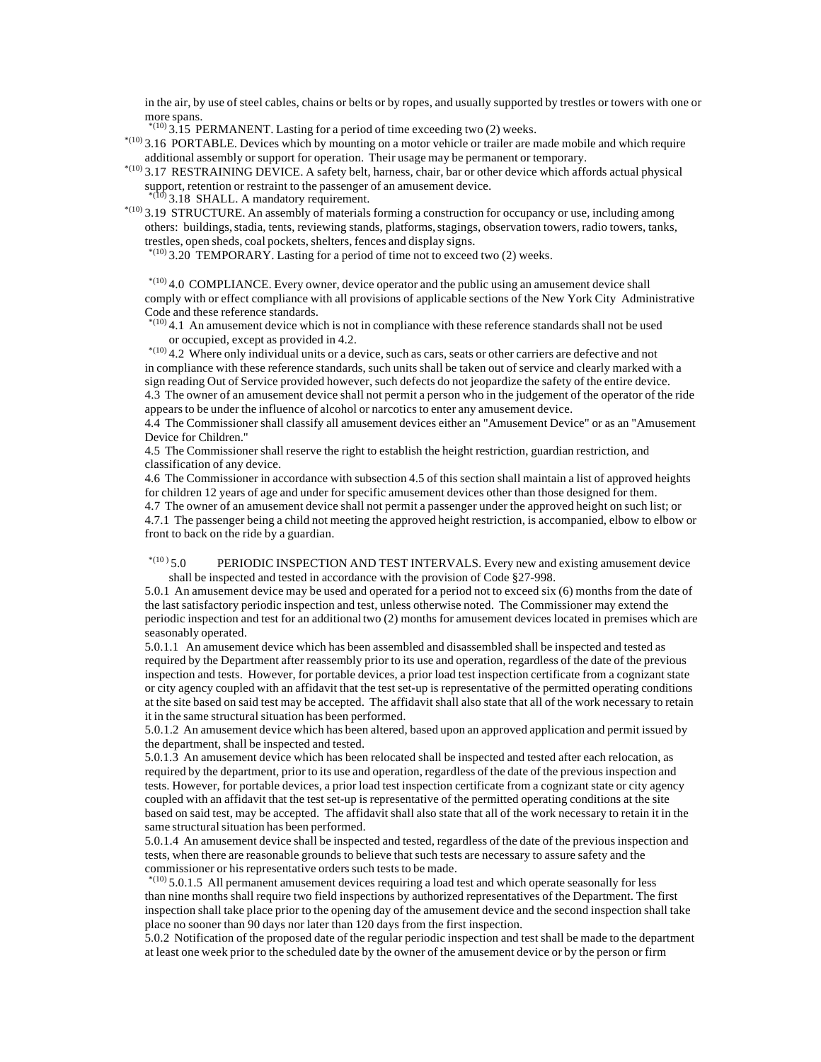in the air, by use of steel cables, chains or belts or by ropes, and usually supported by trestles or towers with one or more spans.

 $*(10)$  3.15 PERMANENT. Lasting for a period of time exceeding two (2) weeks.

 \*(10) 3.16 PORTABLE. Devices which by mounting on a motor vehicle or trailer are made mobile and which require additional assembly or support for operation. Their usage may be permanent or temporary.

 \*(10) 3.17 RESTRAINING DEVICE. A safety belt, harness, chair, bar or other device which affords actual physical support, retention or restraint to the passenger of an amusement device.<br> $*(10)_2$  19 CHALL

 $(9,3.18)$  SHALL. A mandatory requirement.

 \*(10) 3.19 STRUCTURE. An assembly of materials forming a construction for occupancy or use, including among others: buildings, stadia, tents, reviewing stands, platforms, stagings, observation towers, radio towers, tanks, trestles, open sheds, coal pockets, shelters, fences and display signs.

 $^{*(10)}$  3.20 TEMPORARY. Lasting for a period of time not to exceed two (2) weeks.

 $^{*(10)}$  4.0 COMPLIANCE. Every owner, device operator and the public using an amusement device shall comply with or effect compliance with all provisions of applicable sections of the New York City Administrative Code and these reference standards.

 $^{*(10)}$  4.1 An amusement device which is not in compliance with these reference standards shall not be used or occupied, except as provided in 4.2.

 \*(10) 4.2 Where only individual units or a device, such as cars, seats or other carriers are defective and not in compliance with these reference standards, such units shall be taken out of service and clearly marked with a sign reading Out of Service provided however, such defects do not jeopardize the safety of the entire device. 4.3 The owner of an amusement device shall not permit a person who in the judgement of the operator of the ride appears to be under the influence of alcohol or narcotics to enter any amusement device.

4.4 The Commissioner shall classify all amusement devices either an "Amusement Device" or as an "Amusement Device for Children."

4.5 The Commissioner shall reserve the right to establish the height restriction, guardian restriction, and classification of any device.

4.6 The Commissioner in accordance with subsection 4.5 of this section shall maintain a list of approved heights for children 12 years of age and under for specific amusement devices other than those designed for them. 4.7 The owner of an amusement device shall not permit a passenger under the approved height on such list; or 4.7.1 The passenger being a child not meeting the approved height restriction, is accompanied, elbow to elbow or front to back on the ride by a guardian.

 $*(10)$  5.0 PERIODIC INSPECTION AND TEST INTERVALS. Every new and existing amusement device shall be inspected and tested in accordance with the provision of Code §27-998.

5.0.1 An amusement device may be used and operated for a period not to exceed six (6) months from the date of the last satisfactory periodic inspection and test, unless otherwise noted. The Commissioner may extend the periodic inspection and test for an additional two (2) months for amusement devices located in premises which are seasonably operated.

5.0.1.1 An amusement device which has been assembled and disassembled shall be inspected and tested as required by the Department after reassembly prior to its use and operation, regardless of the date of the previous inspection and tests. However, for portable devices, a prior load test inspection certificate from a cognizant state or city agency coupled with an affidavit that the test set-up is representative of the permitted operating conditions at the site based on said test may be accepted. The affidavit shall also state that all of the work necessary to retain it in the same structural situation has been performed.

5.0.1.2 An amusement device which has been altered, based upon an approved application and permit issued by the department, shall be inspected and tested.

5.0.1.3 An amusement device which has been relocated shall be inspected and tested after each relocation, as required by the department, prior to its use and operation, regardless of the date of the previous inspection and tests. However, for portable devices, a prior load test inspection certificate from a cognizant state or city agency coupled with an affidavit that the test set-up is representative of the permitted operating conditions at the site based on said test, may be accepted. The affidavit shall also state that all of the work necessary to retain it in the same structural situation has been performed.

5.0.1.4 An amusement device shall be inspected and tested, regardless of the date of the previous inspection and tests, when there are reasonable grounds to believe that such tests are necessary to assure safety and the commissioner or his representative orders such tests to be made.

 $*(10)$  5.0.1.5 All permanent amusement devices requiring a load test and which operate seasonally for less than nine months shall require two field inspections by authorized representatives of the Department. The first inspection shall take place prior to the opening day of the amusement device and the second inspection shall take place no sooner than 90 days nor later than 120 days from the first inspection.

5.0.2 Notification of the proposed date of the regular periodic inspection and test shall be made to the department at least one week prior to the scheduled date by the owner of the amusement device or by the person or firm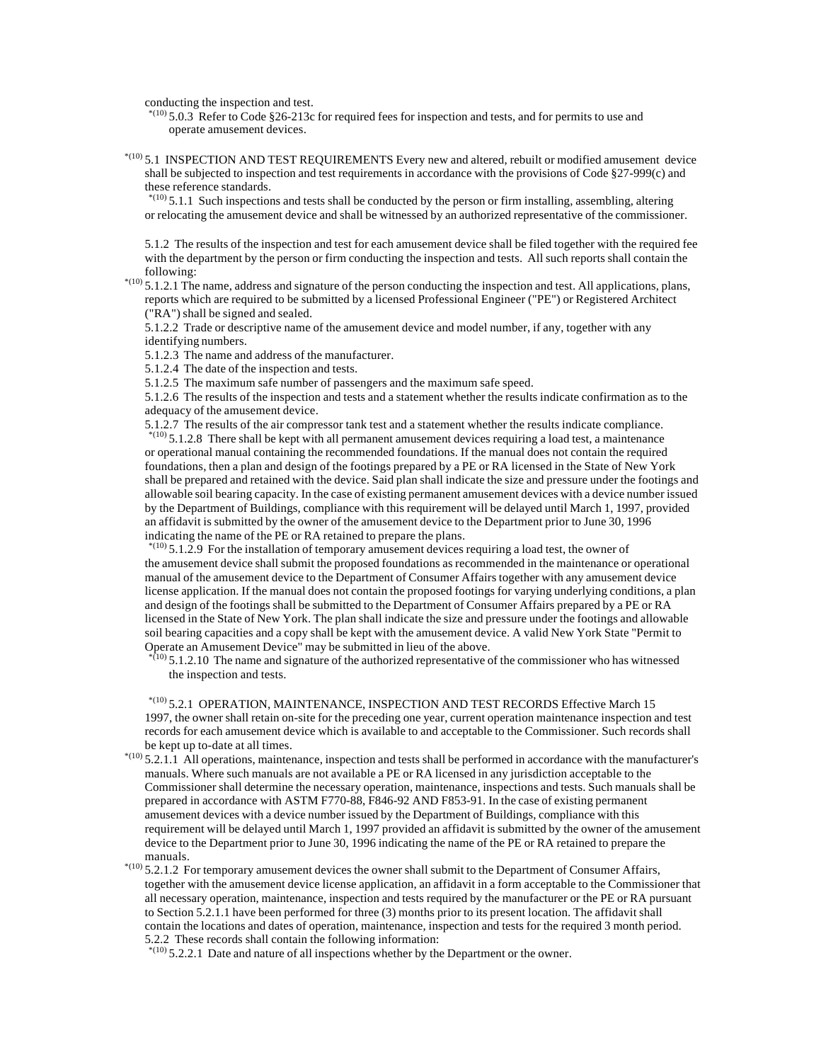conducting the inspection and test.

 $*$ (10) 5.0.3 Refer to Code §26-213c for required fees for inspection and tests, and for permits to use and operate amusement devices.

 $*$ (10) 5.1 INSPECTION AND TEST REQUIREMENTS Every new and altered, rebuilt or modified amusement device shall be subjected to inspection and test requirements in accordance with the provisions of Code §27-999(c) and these reference standards.

 $*$ <sup>(10)</sup> 5.1.1 Such inspections and tests shall be conducted by the person or firm installing, assembling, altering or relocating the amusement device and shall be witnessed by an authorized representative of the commissioner.

5.1.2 The results of the inspection and test for each amusement device shall be filed together with the required fee with the department by the person or firm conducting the inspection and tests. All such reports shall contain the following:

 $*(10)$  5.1.2.1 The name, address and signature of the person conducting the inspection and test. All applications, plans, reports which are required to be submitted by a licensed Professional Engineer ("PE") or Registered Architect ("RA") shall be signed and sealed.

5.1.2.2 Trade or descriptive name of the amusement device and model number, if any, together with any identifying numbers.

5.1.2.3 The name and address of the manufacturer.

5.1.2.4 The date of the inspection and tests.

5.1.2.5 The maximum safe number of passengers and the maximum safe speed.

5.1.2.6 The results of the inspection and tests and a statement whether the results indicate confirmation as to the adequacy of the amusement device.

5.1.2.7 The results of the air compressor tank test and a statement whether the results indicate compliance.  $*$ (10) 5.1.2.8 There shall be kept with all permanent amusement devices requiring a load test, a maintenance or operational manual containing the recommended foundations. If the manual does not contain the required foundations, then a plan and design of the footings prepared by a PE or RA licensed in the State of New York shall be prepared and retained with the device. Said plan shall indicate the size and pressure under the footings and allowable soil bearing capacity. In the case of existing permanent amusement devices with a device number issued by the Department of Buildings, compliance with this requirement will be delayed until March 1, 1997, provided an affidavit is submitted by the owner of the amusement device to the Department prior to June 30, 1996 indicating the name of the PE or RA retained to prepare the plans.

 $^{*(10)}$  5.1.2.9 For the installation of temporary amusement devices requiring a load test, the owner of the amusement device shall submit the proposed foundations as recommended in the maintenance or operational manual of the amusement device to the Department of Consumer Affairs together with any amusement device license application. If the manual does not contain the proposed footings for varying underlying conditions, a plan and design of the footings shall be submitted to the Department of Consumer Affairs prepared by a PE or RA licensed in the State of New York. The plan shall indicate the size and pressure under the footings and allowable soil bearing capacities and a copy shall be kept with the amusement device. A valid New York State "Permit to Operate an Amusement Device" may be submitted in lieu of the above.

 $*_{(10)}$  5.1.2.10 The name and signature of the authorized representative of the commissioner who has witnessed the inspection and tests.

 \*(10) 5.2.1 OPERATION, MAINTENANCE, INSPECTION AND TEST RECORDS Effective March 15 1997, the owner shall retain on-site for the preceding one year, current operation maintenance inspection and test records for each amusement device which is available to and acceptable to the Commissioner. Such records shall be kept up to-date at all times.

 $*$ <sup>(10)</sup> 5.2.1.1 All operations, maintenance, inspection and tests shall be performed in accordance with the manufacturer's manuals. Where such manuals are not available a PE or RA licensed in any jurisdiction acceptable to the Commissioner shall determine the necessary operation, maintenance, inspections and tests. Such manuals shall be prepared in accordance with ASTM F770-88, F846-92 AND F853-91. In the case of existing permanent amusement devices with a device number issued by the Department of Buildings, compliance with this requirement will be delayed until March 1, 1997 provided an affidavit is submitted by the owner of the amusement device to the Department prior to June 30, 1996 indicating the name of the PE or RA retained to prepare the manuals.

 $^{*(10)}$  5.2.1.2 For temporary amusement devices the owner shall submit to the Department of Consumer Affairs, together with the amusement device license application, an affidavit in a form acceptable to the Commissioner that all necessary operation, maintenance, inspection and tests required by the manufacturer or the PE or RA pursuant to Section 5.2.1.1 have been performed for three (3) months prior to its present location. The affidavit shall contain the locations and dates of operation, maintenance, inspection and tests for the required 3 month period. 5.2.2 These records shall contain the following information:

 $*(10)$  5.2.2.1 Date and nature of all inspections whether by the Department or the owner.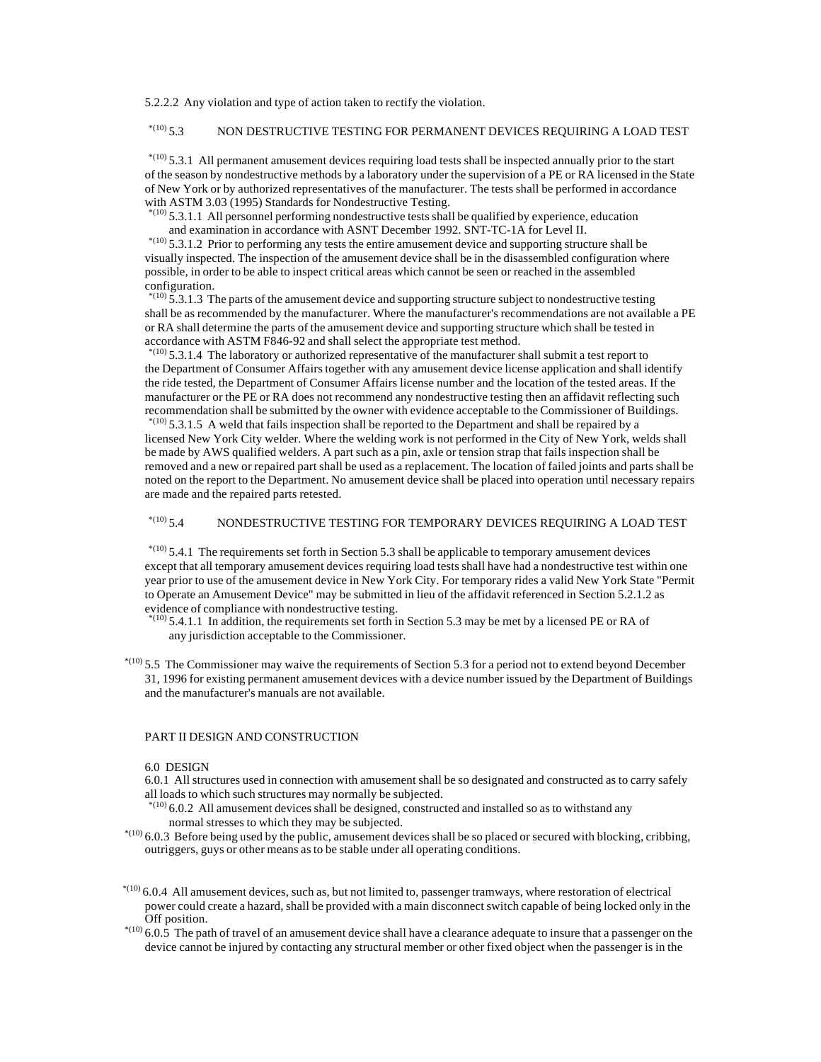5.2.2.2 Any violation and type of action taken to rectify the violation.

# \*(10) 5.3 NON DESTRUCTIVE TESTING FOR PERMANENT DEVICES REQUIRING A LOAD TEST

 \*(10) 5.3.1 All permanent amusement devices requiring load tests shall be inspected annually prior to the start of the season by nondestructive methods by a laboratory under the supervision of a PE or RA licensed in the State of New York or by authorized representatives of the manufacturer. The tests shall be performed in accordance with ASTM 3.03 (1995) Standards for Nondestructive Testing.

 $*$ <sup>(10)</sup> 5.3.1.1 All personnel performing nondestructive tests shall be qualified by experience, education and examination in accordance with ASNT December 1992. SNT-TC-1A for Level II.

 $*(10)$  5.3.1.2 Prior to performing any tests the entire amusement device and supporting structure shall be visually inspected. The inspection of the amusement device shall be in the disassembled configuration where possible, in order to be able to inspect critical areas which cannot be seen or reached in the assembled configuration.

 $*$ <sup>(10)</sup> 5.3.1.3 The parts of the amusement device and supporting structure subject to nondestructive testing shall be as recommended by the manufacturer. Where the manufacturer's recommendations are not available a PE or RA shall determine the parts of the amusement device and supporting structure which shall be tested in accordance with ASTM F846-92 and shall select the appropriate test method.

 $*$ <sup>(10)</sup> 5.3.1.4 The laboratory or authorized representative of the manufacturer shall submit a test report to the Department of Consumer Affairs together with any amusement device license application and shall identify the ride tested, the Department of Consumer Affairs license number and the location of the tested areas. If the manufacturer or the PE or RA does not recommend any nondestructive testing then an affidavit reflecting such recommendation shall be submitted by the owner with evidence acceptable to the Commissioner of Buildings.

 $*$ <sup>(10)</sup> 5.3.1.5 A weld that fails inspection shall be reported to the Department and shall be repaired by a licensed New York City welder. Where the welding work is not performed in the City of New York, welds shall be made by AWS qualified welders. A part such as a pin, axle or tension strap that fails inspection shall be removed and a new or repaired part shall be used as a replacement. The location of failed joints and parts shall be noted on the report to the Department. No amusement device shall be placed into operation until necessary repairs are made and the repaired parts retested.

# \*(10) 5.4 NONDESTRUCTIVE TESTING FOR TEMPORARY DEVICES REQUIRING A LOAD TEST

 $*$ <sup>(10)</sup> 5.4.1 The requirements set forth in Section 5.3 shall be applicable to temporary amusement devices except that all temporary amusement devices requiring load tests shall have had a nondestructive test within one year prior to use of the amusement device in New York City. For temporary rides a valid New York State "Permit to Operate an Amusement Device" may be submitted in lieu of the affidavit referenced in Section 5.2.1.2 as evidence of compliance with nondestructive testing.

 $^{*(10)}$  5.4.1.1 In addition, the requirements set forth in Section 5.3 may be met by a licensed PE or RA of any jurisdiction acceptable to the Commissioner.

 $*$ (10) 5.5 The Commissioner may waive the requirements of Section 5.3 for a period not to extend beyond December 31, 1996 for existing permanent amusement devices with a device number issued by the Department of Buildings and the manufacturer's manuals are not available.

# PART II DESIGN AND CONSTRUCTION

#### 6.0 DESIGN

6.0.1 All structures used in connection with amusement shall be so designated and constructed as to carry safely all loads to which such structures may normally be subjected.

 $^{*(10)}$  6.0.2 All amusement devices shall be designed, constructed and installed so as to withstand any normal stresses to which they may be subjected.

 $^{*(10)}$  6.0.3 Before being used by the public, amusement devices shall be so placed or secured with blocking, cribbing, outriggers, guys or other means as to be stable under all operating conditions.

 $^{*(10)}$  6.0.4 All amusement devices, such as, but not limited to, passenger tramways, where restoration of electrical power could create a hazard, shall be provided with a main disconnect switch capable of being locked only in the Off position.

 $^{*(10)}$  6.0.5 The path of travel of an amusement device shall have a clearance adequate to insure that a passenger on the device cannot be injured by contacting any structural member or other fixed object when the passenger is in the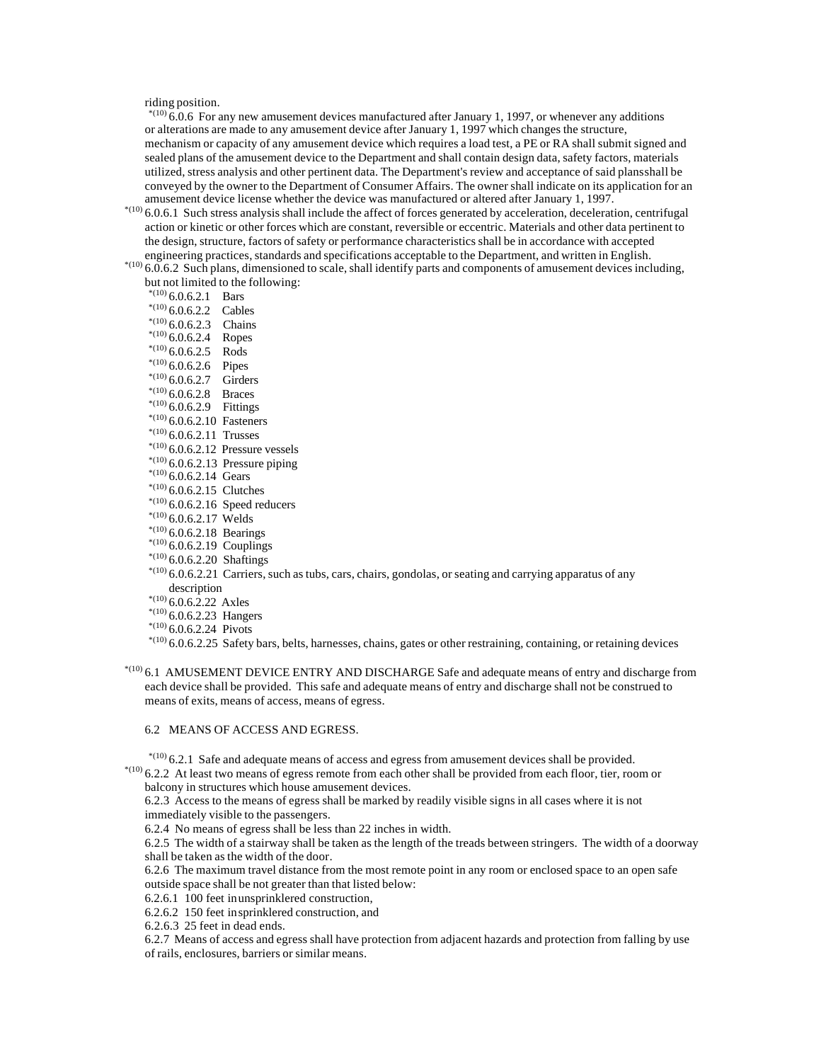riding position.

 $*$ (10) 6.0.6 For any new amusement devices manufactured after January 1, 1997, or whenever any additions or alterations are made to any amusement device after January 1, 1997 which changes the structure, mechanism or capacity of any amusement device which requires a load test, a PE or RA shall submit signed and sealed plans of the amusement device to the Department and shall contain design data, safety factors, materials utilized, stress analysis and other pertinent data. The Department's review and acceptance of said plans shall be conveyed by the owner to the Department of Consumer Affairs. The owner shall indicate on its application for an amusement device license whether the device was manufactured or altered after January 1, 1997.

- $*$ (10) 6.0.6.1 Such stress analysis shall include the affect of forces generated by acceleration, deceleration, centrifugal action or kinetic or other forces which are constant, reversible or eccentric. Materials and other data pertinent to the design, structure, factors of safety or performance characteristics shall be in accordance with accepted engineering practices, standards and specifications acceptable to the Department, and written in English.
- \*(10) 6.0.6.2 Such plans, dimensioned to scale, shall identify parts and components of amusement devices including, but not limited to the following:

\*(10)  $6.0.6.2.1$  Bars  $*(10)$  6.0.6.2.2 Cables \*(10)  $6.0.6.2.3$  Chains  $*(10)$  6.0.6.2.4 Ropes  $*(10)$  6.0.6.2.5 Rods  $*(10)$  6.0.6.2.6 Pipes  $*(10)$  6.0.6.2.7 Girders  $*(10)$  6.0.6.2.8 Braces  $*^{(10)}$  6.0.6.2.9 Fittings  $*(10)$  6.0.6.2.10 Fasteners  $*(10)$  6.0.6.2.11 Trusses  $*(10)$  6.0.6.2.12 Pressure vessels  $*$ <sup>(10)</sup> 6.0.6.2.13 Pressure piping  $*(10)$  6.0.6.2.14 Gears  $*(10)$  6.0.6.2.15 Clutches  $*(10)$  6.0.6.2.16 Speed reducers  $*^{(10)}$  6.0.6.2.17 Welds  $*^{(10)}$  6.0.6.2.18 Bearings  $*(10)$  6.0.6.2.19 Couplings  $*(10)$  6.0.6.2.20 Shaftings

- \*(10) 6.0.6.2.21 Carriers, such as tubs, cars, chairs, gondolas, or seating and carrying apparatus of any description
- 
- $*(10)$  6.0.6.2.22 Axles  $*(10)$  6.0.6.2.23 Hangers
- 
- $*^{(10)}$  6.0.6.2.24 Pivots

 $^{*(10)}$  6.0.6.2.25 Safety bars, belts, harnesses, chains, gates or other restraining, containing, or retaining devices

 \*(10) 6.1 AMUSEMENT DEVICE ENTRY AND DISCHARGE Safe and adequate means of entry and discharge from each device shall be provided. This safe and adequate means of entry and discharge shall not be construed to means of exits, means of access, means of egress.

# 6.2 MEANS OF ACCESS AND EGRESS.

 $*$ <sup>(10)</sup> 6.2.1 Safe and adequate means of access and egress from amusement devices shall be provided.

 \*(10) 6.2.2 At least two means of egress remote from each other shall be provided from each floor, tier, room or balcony in structures which house amusement devices.

6.2.3 Access to the means of egress shall be marked by readily visible signs in all cases where it is not immediately visible to the passengers.

6.2.4 No means of egress shall be less than 22 inches in width.

6.2.5 The width of a stairway shall be taken as the length of the treads between stringers. The width of a doorway shall be taken as the width of the door.

6.2.6 The maximum travel distance from the most remote point in any room or enclosed space to an open safe outside space shall be not greater than that listed below:

6.2.6.1 100 feet in unsprinklered construction,

6.2.6.2 150 feet in sprinklered construction, and

6.2.6.3 25 feet in dead ends.

6.2.7 Means of access and egress shall have protection from adjacent hazards and protection from falling by use of rails, enclosures, barriers or similar means.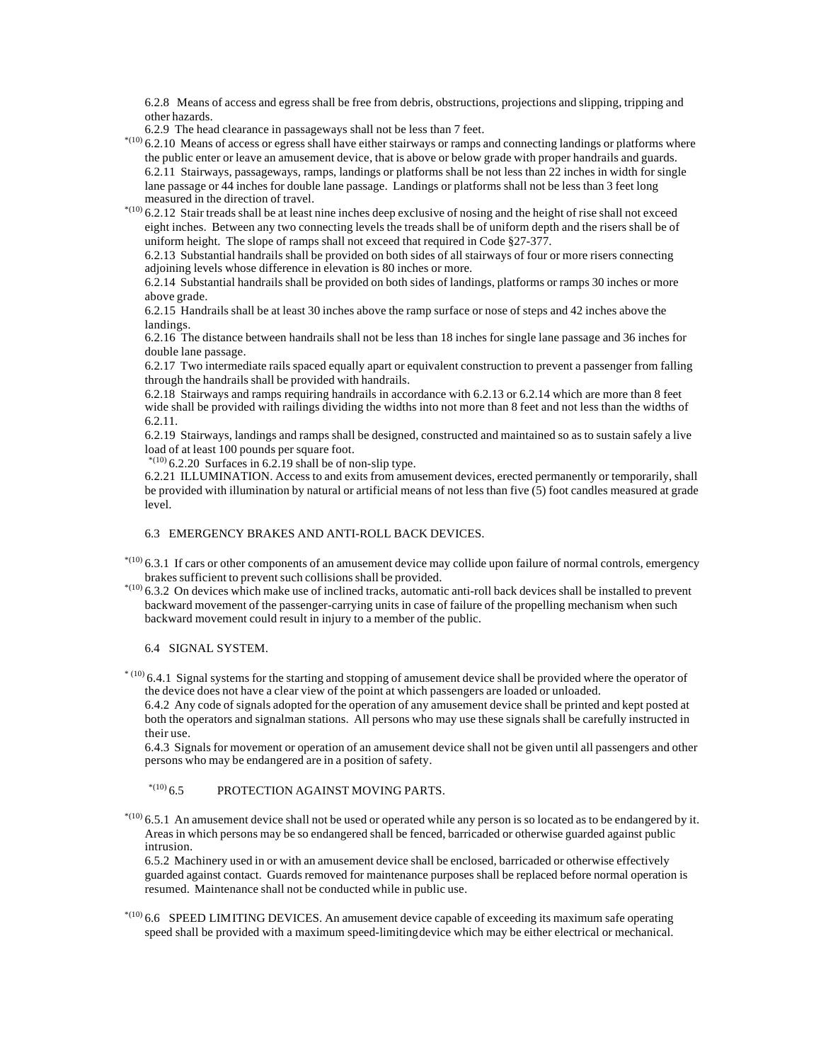6.2.8 Means of access and egress shall be free from debris, obstructions, projections and slipping, tripping and other hazards.

6.2.9 The head clearance in passageways shall not be less than 7 feet.

- \*(10) 6.2.10 Means of access or egress shall have either stairways or ramps and connecting landings or platforms where the public enter or leave an amusement device, that is above or below grade with proper handrails and guards. 6.2.11 Stairways, passageways, ramps, landings or platforms shall be not less than 22 inches in width for single lane passage or 44 inches for double lane passage. Landings or platforms shall not be less than 3 feet long measured in the direction of travel.
- $*$ (10) 6.2.12 Stair treads shall be at least nine inches deep exclusive of nosing and the height of rise shall not exceed eight inches. Between any two connecting levels the treads shall be of uniform depth and the risers shall be of uniform height. The slope of ramps shall not exceed that required in Code §27-377.

6.2.13 Substantial handrails shall be provided on both sides of all stairways of four or more risers connecting adjoining levels whose difference in elevation is 80 inches or more.

6.2.14 Substantial handrails shall be provided on both sides of landings, platforms or ramps 30 inches or more above grade.

6.2.15 Handrails shall be at least 30 inches above the ramp surface or nose of steps and 42 inches above the landings.

6.2.16 The distance between handrails shall not be less than 18 inches for single lane passage and 36 inches for double lane passage.

6.2.17 Two intermediate rails spaced equally apart or equivalent construction to prevent a passenger from falling through the handrails shall be provided with handrails.

6.2.18 Stairways and ramps requiring handrails in accordance with 6.2.13 or 6.2.14 which are more than 8 feet wide shall be provided with railings dividing the widths into not more than 8 feet and not less than the widths of 6.2.11.

6.2.19 Stairways, landings and ramps shall be designed, constructed and maintained so as to sustain safely a live load of at least 100 pounds per square foot.

 $*(10)$  6.2.20 Surfaces in 6.2.19 shall be of non-slip type.

6.2.21 ILLUMINATION. Access to and exits from amusement devices, erected permanently or temporarily, shall be provided with illumination by natural or artificial means of not less than five (5) foot candles measured at grade level.

### 6.3 EMERGENCY BRAKES AND ANTI-ROLL BACK DEVICES.

 $^{*(10)}$  6.3.1 If cars or other components of an amusement device may collide upon failure of normal controls, emergency brakes sufficient to prevent such collisions shall be provided.

 $*$ (10) 6.3.2 On devices which make use of inclined tracks, automatic anti-roll back devices shall be installed to prevent backward movement of the passenger-carrying units in case of failure of the propelling mechanism when such backward movement could result in injury to a member of the public.

# 6.4 SIGNAL SYSTEM.

 $*$  (10) 6.4.1 Signal systems for the starting and stopping of amusement device shall be provided where the operator of the device does not have a clear view of the point at which passengers are loaded or unloaded.

6.4.2 Any code of signals adopted for the operation of any amusement device shall be printed and kept posted at both the operators and signalman stations. All persons who may use these signals shall be carefully instructed in their use.

6.4.3 Signals for movement or operation of an amusement device shall not be given until all passengers and other persons who may be endangered are in a position of safety.

# $^{*(10)}$  6.5 PROTECTION AGAINST MOVING PARTS.

 $*$ <sup>100</sup> 6.5.1 An amusement device shall not be used or operated while any person is so located as to be endangered by it. Areas in which persons may be so endangered shall be fenced, barricaded or otherwise guarded against public intrusion.

6.5.2 Machinery used in or with an amusement device shall be enclosed, barricaded or otherwise effectively guarded against contact. Guards removed for maintenance purposes shall be replaced before normal operation is resumed. Maintenance shall not be conducted while in public use.

 $^{*(10)}$  6.6 SPEED LIMITING DEVICES. An amusement device capable of exceeding its maximum safe operating speed shall be provided with a maximum speed-limiting device which may be either electrical or mechanical.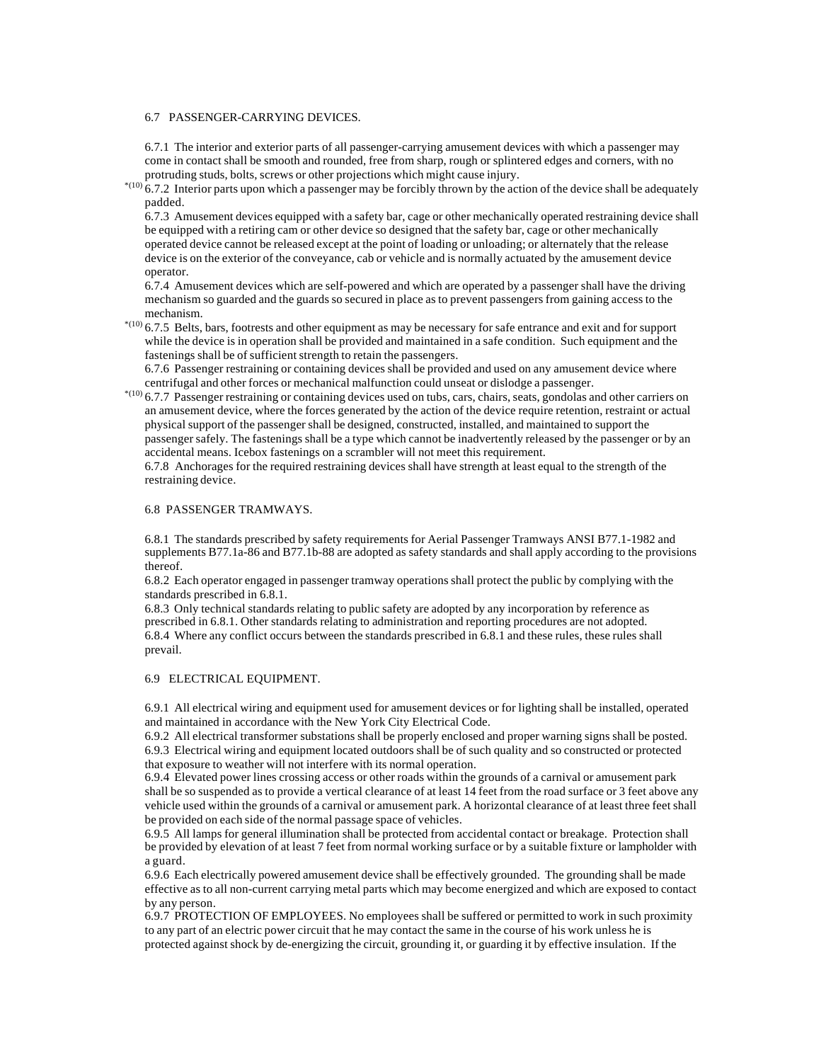#### 6.7 PASSENGER-CARRYING DEVICES.

6.7.1 The interior and exterior parts of all passenger-carrying amusement devices with which a passenger may come in contact shall be smooth and rounded, free from sharp, rough or splintered edges and corners, with no protruding studs, bolts, screws or other projections which might cause injury.

 $^{*(10)}$  6.7.2 Interior parts upon which a passenger may be forcibly thrown by the action of the device shall be adequately padded.

6.7.3 Amusement devices equipped with a safety bar, cage or other mechanically operated restraining device shall be equipped with a retiring cam or other device so designed that the safety bar, cage or other mechanically operated device cannot be released except at the point of loading or unloading; or alternately that the release device is on the exterior of the conveyance, cab or vehicle and is normally actuated by the amusement device operator.

6.7.4 Amusement devices which are self-powered and which are operated by a passenger shall have the driving mechanism so guarded and the guards so secured in place as to prevent passengers from gaining access to the mechanism.

 $*$ (10) 6.7.5 Belts, bars, footrests and other equipment as may be necessary for safe entrance and exit and for support while the device is in operation shall be provided and maintained in a safe condition. Such equipment and the fastenings shall be of sufficient strength to retain the passengers.

6.7.6 Passenger restraining or containing devices shall be provided and used on any amusement device where centrifugal and other forces or mechanical malfunction could unseat or dislodge a passenger.

 $^{*(10)}$  6.7.7 Passenger restraining or containing devices used on tubs, cars, chairs, seats, gondolas and other carriers on an amusement device, where the forces generated by the action of the device require retention, restraint or actual physical support of the passenger shall be designed, constructed, installed, and maintained to support the passenger safely. The fastenings shall be a type which cannot be inadvertently released by the passenger or by an accidental means. Icebox fastenings on a scrambler will not meet this requirement.

6.7.8 Anchorages for the required restraining devices shall have strength at least equal to the strength of the restraining device.

## 6.8 PASSENGER TRAMWAYS.

6.8.1 The standards prescribed by safety requirements for Aerial Passenger Tramways ANSI B77.1-1982 and supplements B77.1a-86 and B77.1b-88 are adopted as safety standards and shall apply according to the provisions thereof.

6.8.2 Each operator engaged in passenger tramway operations shall protect the public by complying with the standards prescribed in 6.8.1.

6.8.3 Only technical standards relating to public safety are adopted by any incorporation by reference as prescribed in 6.8.1. Other standards relating to administration and reporting procedures are not adopted. 6.8.4 Where any conflict occurs between the standards prescribed in 6.8.1 and these rules, these rules shall prevail.

## 6.9 ELECTRICAL EQUIPMENT.

6.9.1 All electrical wiring and equipment used for amusement devices or for lighting shall be installed, operated and maintained in accordance with the New York City Electrical Code.

6.9.2 All electrical transformer substations shall be properly enclosed and proper warning signs shall be posted. 6.9.3 Electrical wiring and equipment located outdoors shall be of such quality and so constructed or protected that exposure to weather will not interfere with its normal operation.

6.9.4 Elevated power lines crossing access or other roads within the grounds of a carnival or amusement park shall be so suspended as to provide a vertical clearance of at least 14 feet from the road surface or 3 feet above any vehicle used within the grounds of a carnival or amusement park. A horizontal clearance of at least three feet shall be provided on each side of the normal passage space of vehicles.

6.9.5 All lamps for general illumination shall be protected from accidental contact or breakage. Protection shall be provided by elevation of at least 7 feet from normal working surface or by a suitable fixture or lampholder with a guard.

6.9.6 Each electrically powered amusement device shall be effectively grounded. The grounding shall be made effective as to all non-current carrying metal parts which may become energized and which are exposed to contact by any person.

6.9.7 PROTECTION OF EMPLOYEES. No employees shall be suffered or permitted to work in such proximity to any part of an electric power circuit that he may contact the same in the course of his work unless he is protected against shock by de-energizing the circuit, grounding it, or guarding it by effective insulation. If the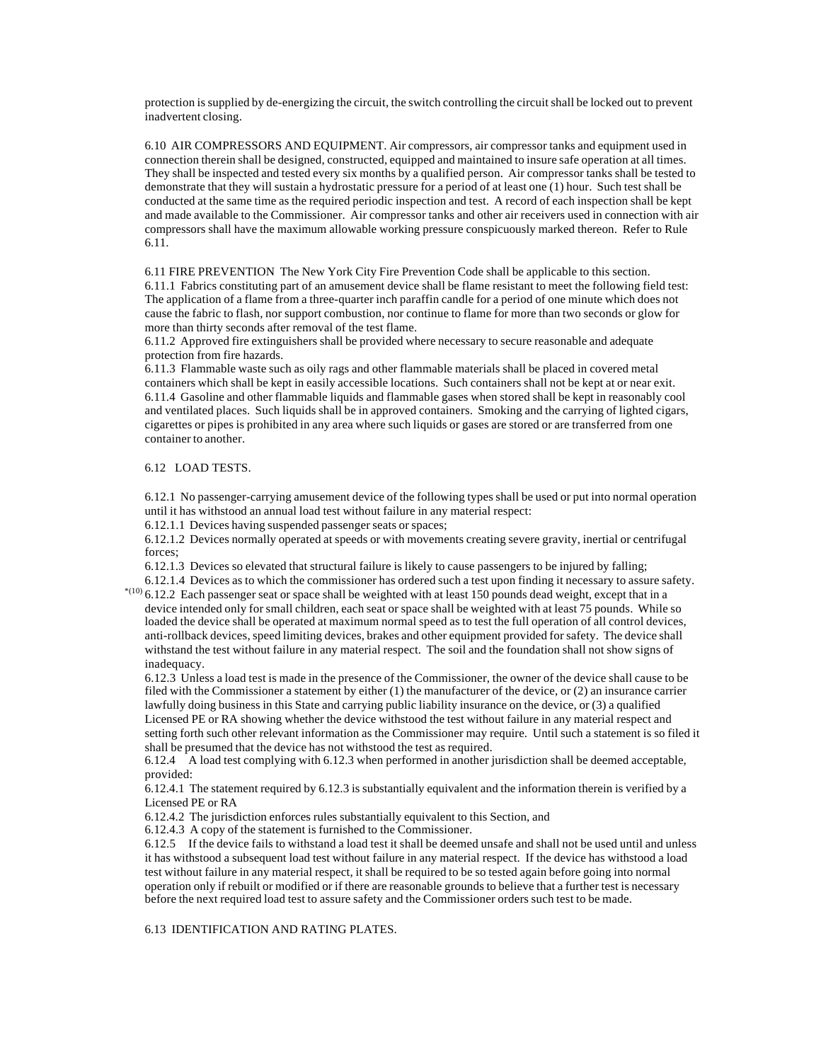protection is supplied by de-energizing the circuit, the switch controlling the circuit shall be locked out to prevent inadvertent closing.

6.10 AIR COMPRESSORS AND EQUIPMENT. Air compressors, air compressor tanks and equipment used in connection therein shall be designed, constructed, equipped and maintained to insure safe operation at all times. They shall be inspected and tested every six months by a qualified person. Air compressor tanks shall be tested to demonstrate that they will sustain a hydrostatic pressure for a period of at least one (1) hour. Such test shall be conducted at the same time as the required periodic inspection and test. A record of each inspection shall be kept and made available to the Commissioner. Air compressor tanks and other air receivers used in connection with air compressors shall have the maximum allowable working pressure conspicuously marked thereon. Refer to Rule 6.11.

6.11 FIRE PREVENTION The New York City Fire Prevention Code shall be applicable to this section. 6.11.1 Fabrics constituting part of an amusement device shall be flame resistant to meet the following field test: The application of a flame from a three-quarter inch paraffin candle for a period of one minute which does not cause the fabric to flash, nor support combustion, nor continue to flame for more than two seconds or glow for more than thirty seconds after removal of the test flame.

6.11.2 Approved fire extinguishers shall be provided where necessary to secure reasonable and adequate protection from fire hazards.

6.11.3 Flammable waste such as oily rags and other flammable materials shall be placed in covered metal containers which shall be kept in easily accessible locations. Such containers shall not be kept at or near exit. 6.11.4 Gasoline and other flammable liquids and flammable gases when stored shall be kept in reasonably cool and ventilated places. Such liquids shall be in approved containers. Smoking and the carrying of lighted cigars, cigarettes or pipes is prohibited in any area where such liquids or gases are stored or are transferred from one container to another.

## 6.12 LOAD TESTS.

6.12.1 No passenger-carrying amusement device of the following types shall be used or put into normal operation until it has withstood an annual load test without failure in any material respect:

6.12.1.1 Devices having suspended passenger seats or spaces;

6.12.1.2 Devices normally operated at speeds or with movements creating severe gravity, inertial or centrifugal forces;

6.12.1.3 Devices so elevated that structural failure is likely to cause passengers to be injured by falling; 6.12.1.4 Devices as to which the commissioner has ordered such a test upon finding it necessary to assure safety.

 $^{*(10)}$  6.12.2 Each passenger seat or space shall be weighted with at least 150 pounds dead weight, except that in a device intended only for small children, each seat or space shall be weighted with at least 75 pounds. While so loaded the device shall be operated at maximum normal speed as to test the full operation of all control devices, anti-rollback devices, speed limiting devices, brakes and other equipment provided for safety. The device shall withstand the test without failure in any material respect. The soil and the foundation shall not show signs of inadequacy.

6.12.3 Unless a load test is made in the presence of the Commissioner, the owner of the device shall cause to be filed with the Commissioner a statement by either (1) the manufacturer of the device, or (2) an insurance carrier lawfully doing business in this State and carrying public liability insurance on the device, or (3) a qualified Licensed PE or RA showing whether the device withstood the test without failure in any material respect and setting forth such other relevant information as the Commissioner may require. Until such a statement is so filed it shall be presumed that the device has not withstood the test as required.

6.12.4 A load test complying with 6.12.3 when performed in another jurisdiction shall be deemed acceptable, provided:

6.12.4.1 The statement required by 6.12.3 is substantially equivalent and the information therein is verified by a Licensed PE or RA

6.12.4.2 The jurisdiction enforces rules substantially equivalent to this Section, and

6.12.4.3 A copy of the statement is furnished to the Commissioner.

6.12.5 If the device fails to withstand a load test it shall be deemed unsafe and shall not be used until and unless it has withstood a subsequent load test without failure in any material respect. If the device has withstood a load test without failure in any material respect, it shall be required to be so tested again before going into normal operation only if rebuilt or modified or if there are reasonable grounds to believe that a further test is necessary before the next required load test to assure safety and the Commissioner orders such test to be made.

6.13 IDENTIFICATION AND RATING PLATES.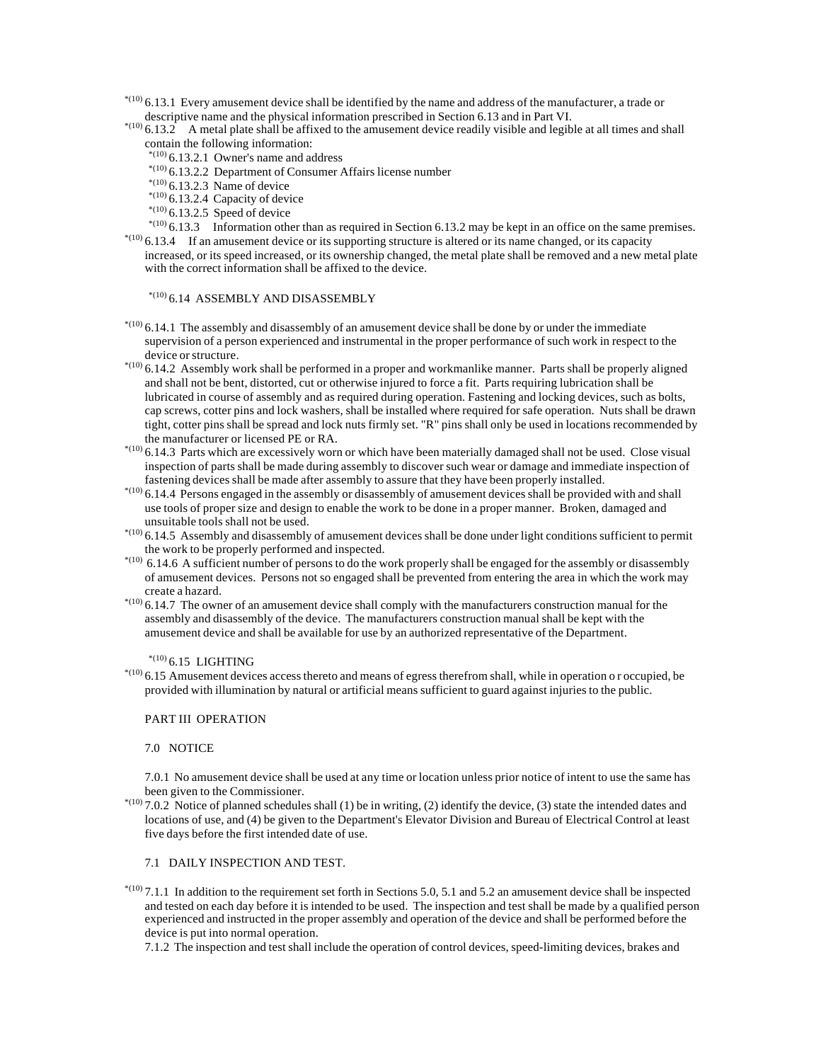$*$ (10) 6.13.1 Every amusement device shall be identified by the name and address of the manufacturer, a trade or descriptive name and the physical information prescribed in Section 6.13 and in Part VI.

 $^{*(10)}$  6.13.2 A metal plate shall be affixed to the amusement device readily visible and legible at all times and shall contain the following information:

- $*(10)$  6.13.2.1 Owner's name and address
- $*(10)$  6.13.2.2 Department of Consumer Affairs license number
- $*(10)$  6.13.2.3 Name of device
- $*$ <sup>(10)</sup> 6.13.2.4 Capacity of device
- $*(10)$  6.13.2.5 Speed of device

 $*^{(10)}$  6.13.3 Information other than as required in Section 6.13.2 may be kept in an office on the same premises.  $^{*(10)}$  6.13.4 If an amusement device or its supporting structure is altered or its name changed, or its capacity

increased, or its speed increased, or its ownership changed, the metal plate shall be removed and a new metal plate with the correct information shall be affixed to the device.

# \*(10) 6.14 ASSEMBLY AND DISASSEMBLY

- $*$ (10) 6.14.1 The assembly and disassembly of an amusement device shall be done by or under the immediate supervision of a person experienced and instrumental in the proper performance of such work in respect to the device or structure.
- $^{*(10)}$  6.14.2 Assembly work shall be performed in a proper and workmanlike manner. Parts shall be properly aligned and shall not be bent, distorted, cut or otherwise injured to force a fit. Parts requiring lubrication shall be lubricated in course of assembly and as required during operation. Fastening and locking devices, such as bolts, cap screws, cotter pins and lock washers, shall be installed where required for safe operation. Nuts shall be drawn tight, cotter pins shall be spread and lock nuts firmly set. "R" pins shall only be used in locations recommended by the manufacturer or licensed PE or RA.
- $^{*(10)}$  6.14.3 Parts which are excessively worn or which have been materially damaged shall not be used. Close visual inspection of parts shall be made during assembly to discover such wear or damage and immediate inspection of fastening devices shall be made after assembly to assure that they have been properly installed.
- $^{*(10)}$  6.14.4 Persons engaged in the assembly or disassembly of amusement devices shall be provided with and shall use tools of proper size and design to enable the work to be done in a proper manner. Broken, damaged and unsuitable tools shall not be used.
- $^{*(10)}$  6.14.5 Assembly and disassembly of amusement devices shall be done under light conditions sufficient to permit the work to be properly performed and inspected.
- $^{*(10)}$  6.14.6 A sufficient number of persons to do the work properly shall be engaged for the assembly or disassembly of amusement devices. Persons not so engaged shall be prevented from entering the area in which the work may create a hazard.
- $^{*(10)}$  6.14.7 The owner of an amusement device shall comply with the manufacturers construction manual for the assembly and disassembly of the device. The manufacturers construction manual shall be kept with the amusement device and shall be available for use by an authorized representative of the Department.

 $^{*(10)}$  6.15 LIGHTING

 $*$ (10) 6.15 Amusement devices access thereto and means of egress therefrom shall, while in operation or occupied, be provided with illumination by natural or artificial means sufficient to guard against injuries to the public.

#### PART III OPERATION

#### 7.0 NOTICE

7.0.1 No amusement device shall be used at any time or location unless prior notice of intent to use the same has been given to the Commissioner.

 $*(10)$  7.0.2 Notice of planned schedules shall (1) be in writing, (2) identify the device, (3) state the intended dates and locations of use, and (4) be given to the Department's Elevator Division and Bureau of Electrical Control at least five days before the first intended date of use.

# 7.1 DAILY INSPECTION AND TEST.

 $*(10)$  7.1.1 In addition to the requirement set forth in Sections 5.0, 5.1 and 5.2 an amusement device shall be inspected and tested on each day before it is intended to be used. The inspection and test shall be made by a qualified person experienced and instructed in the proper assembly and operation of the device and shall be performed before the device is put into normal operation.

7.1.2 The inspection and test shall include the operation of control devices, speed-limiting devices, brakes and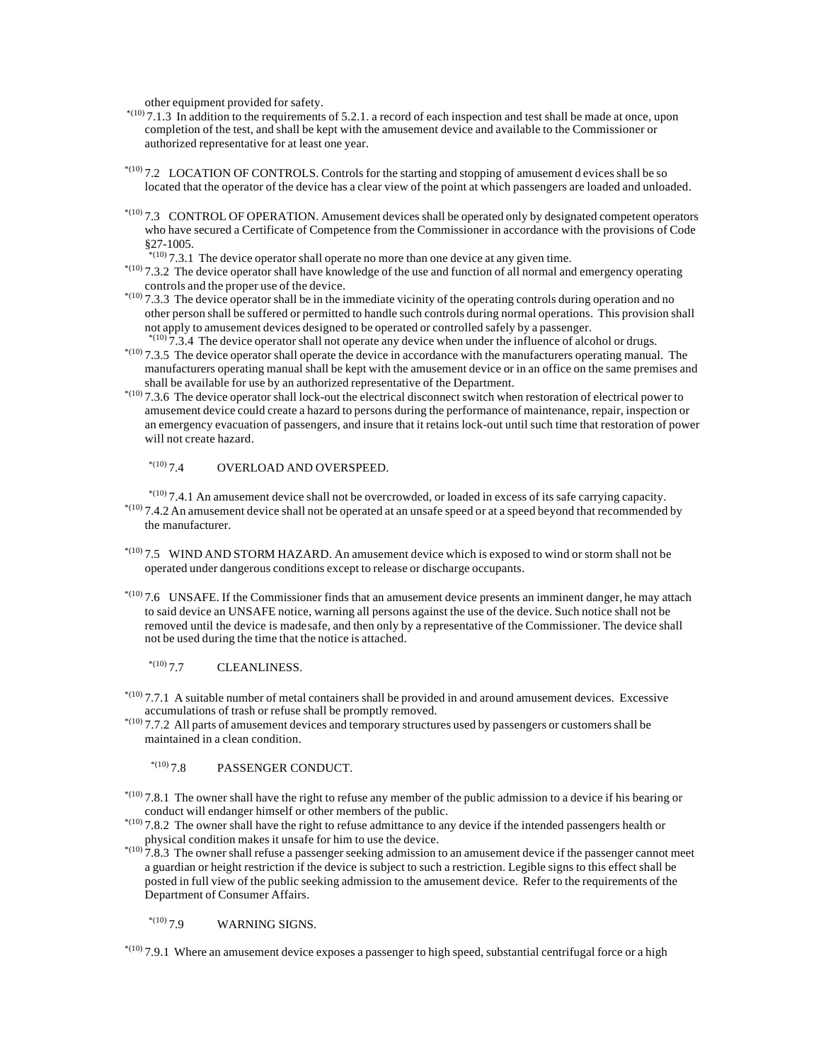other equipment provided for safety.

- $*(10)$  7.1.3 In addition to the requirements of 5.2.1. a record of each inspection and test shall be made at once, upon completion of the test, and shall be kept with the amusement device and available to the Commissioner or authorized representative for at least one year.
- \*(10) 7.2 LOCATION OF CONTROLS. Controls for the starting and stopping of amusement d evices shall be so located that the operator of the device has a clear view of the point at which passengers are loaded and unloaded.
- $*$ (10) 7.3 CONTROL OF OPERATION. Amusement devices shall be operated only by designated competent operators who have secured a Certificate of Competence from the Commissioner in accordance with the provisions of Code §27-1005.
	- $*(10)$  7.3.1 The device operator shall operate no more than one device at any given time.
- \*(10) 7.3.2 The device operator shall have knowledge of the use and function of all normal and emergency operating controls and the proper use of the device.
- $*$ <sup>(10)</sup> 7.3.3 The device operator shall be in the immediate vicinity of the operating controls during operation and no other person shall be suffered or permitted to handle such controls during normal operations. This provision shall not apply to amusement devices designed to be operated or controlled safely by a passenger.  $\frac{1}{7.3.4}$  The device operator shall not operate any device when under the influence of alcohol or drugs.
- $*$ (10) 7.3.5 The device operator shall operate the device in accordance with the manufacturers operating manual. The manufacturers operating manual shall be kept with the amusement device or in an office on the same premises and shall be available for use by an authorized representative of the Department.
- $*$ <sup>(10)</sup> 7.3.6 The device operator shall lock-out the electrical disconnect switch when restoration of electrical power to amusement device could create a hazard to persons during the performance of maintenance, repair, inspection or an emergency evacuation of passengers, and insure that it retains lock-out until such time that restoration of power will not create hazard.

# $^{*(10)}$  7.4 OVERLOAD AND OVERSPEED.

 $*(10)$  7.4.1 An amusement device shall not be overcrowded, or loaded in excess of its safe carrying capacity.  $*$ (10) 7.4.2 An amusement device shall not be operated at an unsafe speed or at a speed beyond that recommended by the manufacturer.

- $*$ (10) 7.5 WIND AND STORM HAZARD. An amusement device which is exposed to wind or storm shall not be operated under dangerous conditions except to release or discharge occupants.
- $*$ (10) 7.6 UNSAFE. If the Commissioner finds that an amusement device presents an imminent danger, he may attach to said device an UNSAFE notice, warning all persons against the use of the device. Such notice shall not be removed until the device is made safe, and then only by a representative of the Commissioner. The device shall not be used during the time that the notice is attached.

 $^{*(10)}$  7.7 CLEANLINESS.

- $^{*(10)}$  7.7.1 A suitable number of metal containers shall be provided in and around amusement devices. Excessive accumulations of trash or refuse shall be promptly removed.
- \*(10) 7.7.2 All parts of amusement devices and temporary structures used by passengers or customers shall be maintained in a clean condition.

 $*$ <sup>(10)</sup> 7.8 PASSENGER CONDUCT.

- $*$ <sup>(10)</sup> 7.8.1 The owner shall have the right to refuse any member of the public admission to a device if his bearing or conduct will endanger himself or other members of the public.
- $*$ <sup>(10)</sup> 7.8.2 The owner shall have the right to refuse admittance to any device if the intended passengers health or physical condition makes it unsafe for him to use the device.
- $*$ (10) 7.8.3 The owner shall refuse a passenger seeking admission to an amusement device if the passenger cannot meet a guardian or height restriction if the device is subject to such a restriction. Legible signs to this effect shall be posted in full view of the public seeking admission to the amusement device. Refer to the requirements of the Department of Consumer Affairs.

# $^{*(10)}$  7.9 WARNING SIGNS.

 $*(10)$  7.9.1 Where an amusement device exposes a passenger to high speed, substantial centrifugal force or a high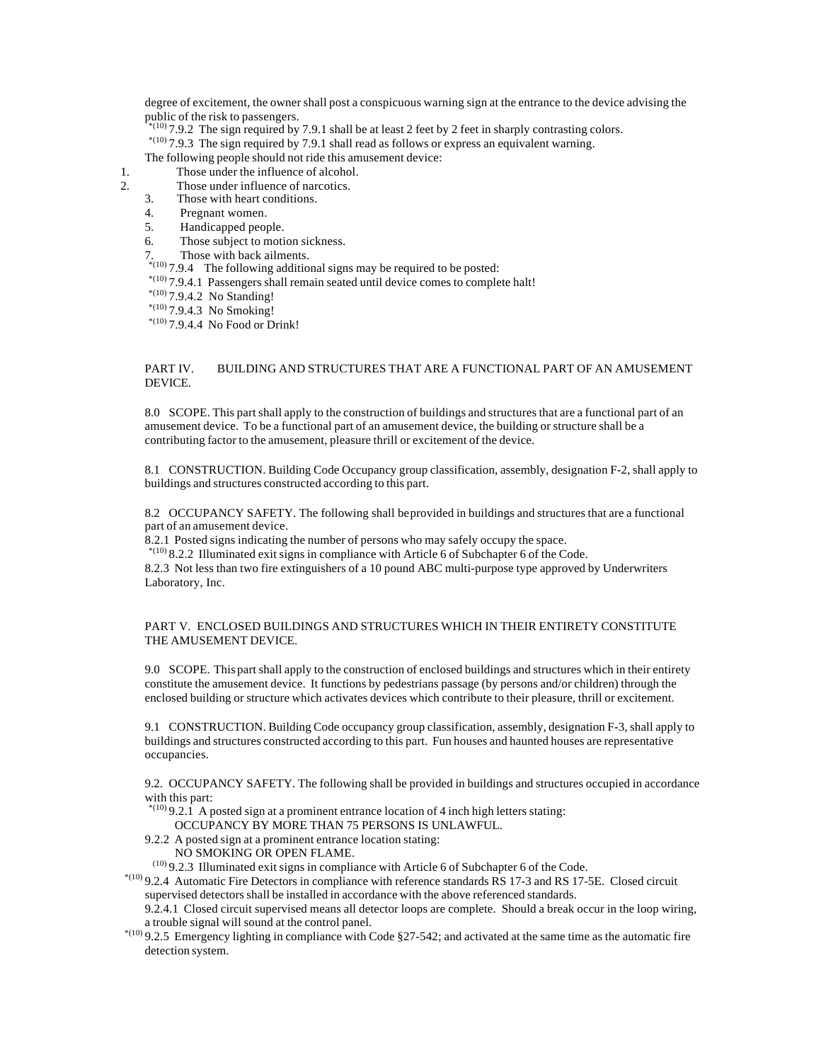degree of excitement, the owner shall post a conspicuous warning sign at the entrance to the device advising the public of the risk to passengers.

 $^{(10)}$  7.9.2 The sign required by 7.9.1 shall be at least 2 feet by 2 feet in sharply contrasting colors.

 $*(10)$  7.9.3 The sign required by 7.9.1 shall read as follows or express an equivalent warning.

The following people should not ride this amusement device:

- 1. Those under the influence of alcohol.
- 2. Those under influence of narcotics.<br>3. Those with heart conditions.
	- Those with heart conditions.
	- 4. Pregnant women.
	- 5. Handicapped people.
	- 6. Those subject to motion sickness.

7. Those with back ailments.

 $*$ <sup>(10)</sup> 7.9.4 The following additional signs may be required to be posted:

- \*(10) 7.9.4.1 Passengers shall remain seated until device comes to complete halt!
- $*^{(10)}$  7.9.4.2 No Standing!

 $*^{(10)}$  7.9.4.3 No Smoking!

 $*$ <sup>(10)</sup> 7.9.4.4 No Food or Drink!

# PART IV. BUILDING AND STRUCTURES THAT ARE A FUNCTIONAL PART OF AN AMUSEMENT DEVICE.

8.0 SCOPE. This part shall apply to the construction of buildings and structures that are a functional part of an amusement device. To be a functional part of an amusement device, the building or structure shall be a contributing factor to the amusement, pleasure thrill or excitement of the device.

8.1 CONSTRUCTION. Building Code Occupancy group classification, assembly, designation F-2, shall apply to buildings and structures constructed according to this part.

8.2 OCCUPANCY SAFETY. The following shall be provided in buildings and structures that are a functional part of an amusement device.

8.2.1 Posted signs indicating the number of persons who may safely occupy the space.

 $*(10)$  8.2.2 Illuminated exit signs in compliance with Article 6 of Subchapter 6 of the Code.

8.2.3 Not less than two fire extinguishers of a 10 pound ABC multi-purpose type approved by Underwriters Laboratory, Inc.

# PART V. ENCLOSED BUILDINGS AND STRUCTURES WHICH IN THEIR ENTIRETY CONSTITUTE THE AMUSEMENT DEVICE.

9.0 SCOPE. This part shall apply to the construction of enclosed buildings and structures which in their entirety constitute the amusement device. It functions by pedestrians passage (by persons and/or children) through the enclosed building or structure which activates devices which contribute to their pleasure, thrill or excitement.

9.1 CONSTRUCTION. Building Code occupancy group classification, assembly, designation F-3, shall apply to buildings and structures constructed according to this part. Fun houses and haunted houses are representative occupancies.

9.2. OCCUPANCY SAFETY. The following shall be provided in buildings and structures occupied in accordance with this part:

 $*(10)$  9.2.1 A posted sign at a prominent entrance location of 4 inch high letters stating:

OCCUPANCY BY MORE THAN 75 PERSONS IS UNLAWFUL.

9.2.2 A posted sign at a prominent entrance location stating:

NO SMOKING OR OPEN FLAME.

(10) 9.2.3 Illuminated exit signs in compliance with Article 6 of Subchapter 6 of the Code.

 $*$ (10) 9.2.4 Automatic Fire Detectors in compliance with reference standards RS 17-3 and RS 17-5E. Closed circuit supervised detectors shall be installed in accordance with the above referenced standards.

9.2.4.1 Closed circuit supervised means all detector loops are complete. Should a break occur in the loop wiring, a trouble signal will sound at the control panel.

 \*(10) 9.2.5 Emergency lighting in compliance with Code §27-542; and activated at the same time as the automatic fire detection system.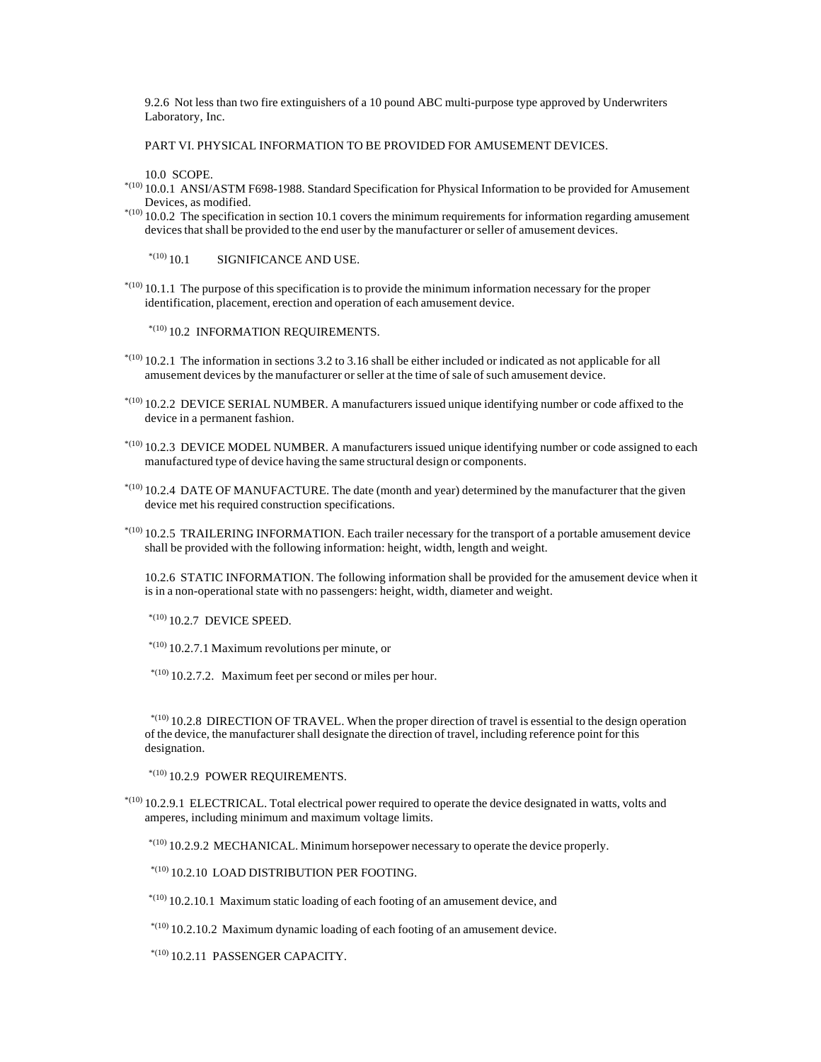9.2.6 Not less than two fire extinguishers of a 10 pound ABC multi-purpose type approved by Underwriters Laboratory, Inc.

PART VI. PHYSICAL INFORMATION TO BE PROVIDED FOR AMUSEMENT DEVICES.

10.0 SCOPE.

- \*(10) 10.0.1 ANSI/ASTM F698-1988. Standard Specification for Physical Information to be provided for Amusement Devices, as modified.
- $*$ (10) 10.0.2 The specification in section 10.1 covers the minimum requirements for information regarding amusement devices that shall be provided to the end user by the manufacturer or seller of amusement devices.

 $*$ <sup>(10)</sup> 10.1 SIGNIFICANCE AND USE.

 $^{*(10)}$  10.1.1 The purpose of this specification is to provide the minimum information necessary for the proper identification, placement, erection and operation of each amusement device.

 $*$ <sup>(10)</sup> 10.2 INFORMATION REQUIREMENTS.

- $*$ (10) 10.2.1 The information in sections 3.2 to 3.16 shall be either included or indicated as not applicable for all amusement devices by the manufacturer or seller at the time of sale of such amusement device.
- $^{*(10)}$  10.2.2 DEVICE SERIAL NUMBER. A manufacturers issued unique identifying number or code affixed to the device in a permanent fashion.
- $^{*(10)}$  10.2.3 DEVICE MODEL NUMBER. A manufacturers issued unique identifying number or code assigned to each manufactured type of device having the same structural design or components.
- $*$ (10) 10.2.4 DATE OF MANUFACTURE. The date (month and year) determined by the manufacturer that the given device met his required construction specifications.
- $*$ (10) 10.2.5 TRAILERING INFORMATION. Each trailer necessary for the transport of a portable amusement device shall be provided with the following information: height, width, length and weight.
	- 10.2.6 STATIC INFORMATION. The following information shall be provided for the amusement device when it is in a non-operational state with no passengers: height, width, diameter and weight.

 $*$ <sup>(10)</sup> 10.2.7 DEVICE SPEED.

- $^{*(10)}$  10.2.7.1 Maximum revolutions per minute, or
- $^{*(10)}$  10.2.7.2. Maximum feet per second or miles per hour.

 $*$ <sup>(10)</sup> 10.2.8 DIRECTION OF TRAVEL. When the proper direction of travel is essential to the design operation of the device, the manufacturer shall designate the direction of travel, including reference point for this designation.

 $*$ <sup>(10)</sup> 10.2.9 POWER REQUIREMENTS.

 $^{*(10)}$  10.2.9.1 ELECTRICAL. Total electrical power required to operate the device designated in watts, volts and amperes, including minimum and maximum voltage limits.

 $^{*(10)}$  10.2.9.2 MECHANICAL. Minimum horsepower necessary to operate the device properly.

 $*$ <sup>(10)</sup> 10.2.10 LOAD DISTRIBUTION PER FOOTING.

- $^{*(10)}$  10.2.10.1 Maximum static loading of each footing of an amusement device, and
- $^{*(10)}$  10.2.10.2 Maximum dynamic loading of each footing of an amusement device.
- $*$ <sup>(10)</sup> 10.2.11 PASSENGER CAPACITY.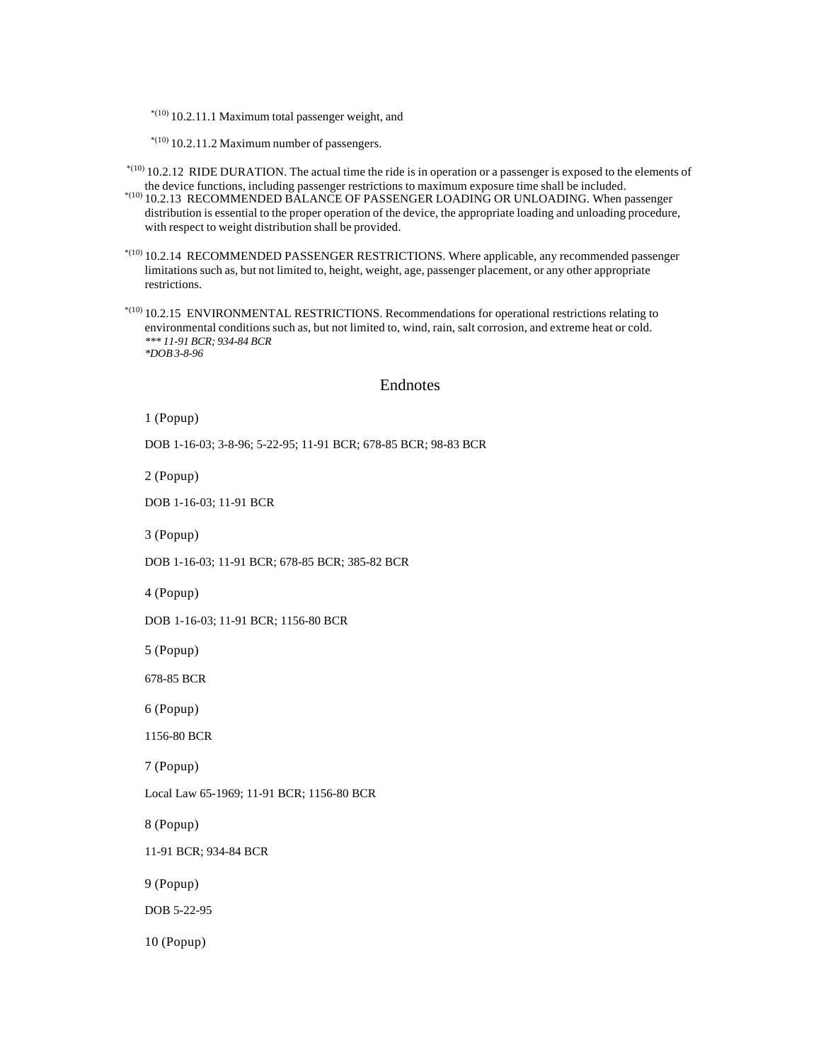$^{*(10)}$  10.2.11.1 Maximum total passenger weight, and

 $*(10)$  10.2.11.2 Maximum number of passengers.

 $^{*(10)}$  10.2.12 RIDE DURATION. The actual time the ride is in operation or a passenger is exposed to the elements of the device functions, including passenger restrictions to maximum exposure time shall be included.

- \*(10) 10.2.13 RECOMMENDED BALANCE OF PASSENGER LOADING OR UNLOADING. When passenger distribution is essential to the proper operation of the device, the appropriate loading and unloading procedure, with respect to weight distribution shall be provided.
- \*(10) 10.2.14 RECOMMENDED PASSENGER RESTRICTIONS. Where applicable, any recommended passenger limitations such as, but not limited to, height, weight, age, passenger placement, or any other appropriate restrictions.
- \*(10) 10.2.15 ENVIRONMENTAL RESTRICTIONS. Recommendations for operational restrictions relating to environmental conditions such as, but not limited to, wind, rain, salt corrosion, and extreme heat or cold. *\*\*\* 11-91 BCR; 934-84 BCR \*DOB 3-8-96*

# Endnotes

1 (Popup)

DOB 1-16-03; 3-8-96; 5-22-95; 11-91 BCR; 678-85 BCR; 98-83 BCR

2 (Popup)

DOB 1-16-03; 11-91 BCR

3 (Popup)

DOB 1-16-03; 11-91 BCR; 678-85 BCR; 385-82 BCR

4 (Popup)

DOB 1-16-03; 11-91 BCR; 1156-80 BCR

5 (Popup)

678-85 BCR

6 (Popup)

1156-80 BCR

7 (Popup)

Local Law 65-1969; 11-91 BCR; 1156-80 BCR

8 (Popup)

11-91 BCR; 934-84 BCR

9 (Popup)

DOB 5-22-95

10 (Popup)